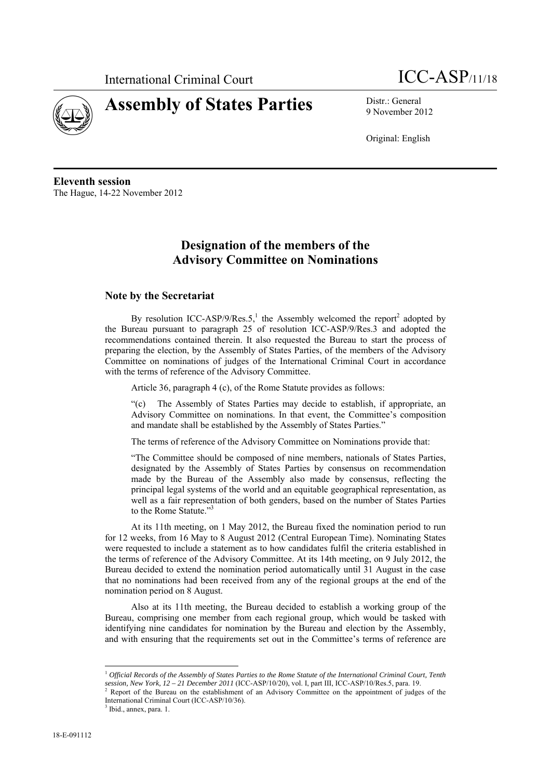



# 9 November 2012

Original: English

**Eleventh session**  The Hague, 14-22 November 2012

# **Designation of the members of the Advisory Committee on Nominations**

# **Note by the Secretariat**

By resolution ICC-ASP/9/Res.5,<sup>1</sup> the Assembly welcomed the report<sup>2</sup> adopted by the Bureau pursuant to paragraph 25 of resolution ICC-ASP/9/Res.3 and adopted the recommendations contained therein. It also requested the Bureau to start the process of preparing the election, by the Assembly of States Parties, of the members of the Advisory Committee on nominations of judges of the International Criminal Court in accordance with the terms of reference of the Advisory Committee.

Article 36, paragraph 4 (c), of the Rome Statute provides as follows:

"(c) The Assembly of States Parties may decide to establish, if appropriate, an Advisory Committee on nominations. In that event, the Committee's composition and mandate shall be established by the Assembly of States Parties."

The terms of reference of the Advisory Committee on Nominations provide that:

"The Committee should be composed of nine members, nationals of States Parties, designated by the Assembly of States Parties by consensus on recommendation made by the Bureau of the Assembly also made by consensus, reflecting the principal legal systems of the world and an equitable geographical representation, as well as a fair representation of both genders, based on the number of States Parties to the Rome Statute."<sup>3</sup>

At its 11th meeting, on 1 May 2012, the Bureau fixed the nomination period to run for 12 weeks, from 16 May to 8 August 2012 (Central European Time). Nominating States were requested to include a statement as to how candidates fulfil the criteria established in the terms of reference of the Advisory Committee. At its 14th meeting, on 9 July 2012, the Bureau decided to extend the nomination period automatically until 31 August in the case that no nominations had been received from any of the regional groups at the end of the nomination period on 8 August.

Also at its 11th meeting, the Bureau decided to establish a working group of the Bureau, comprising one member from each regional group, which would be tasked with identifying nine candidates for nomination by the Bureau and election by the Assembly, and with ensuring that the requirements set out in the Committee's terms of reference are

 $\overline{a}$ 

<sup>1</sup> *Official Records of the Assembly of States Parties to the Rome Statute of the International Criminal Court, Tenth session, New York, 12 – 21 December 2011* (ICC-ASP/10/20), vol. I, part III, ICC-ASP/10/Res.5, para. 19. 2

Report of the Bureau on the establishment of an Advisory Committee on the appointment of judges of the International Criminal Court (ICC-ASP/10/36).

<sup>&</sup>lt;sup>3</sup> Ibid., annex, para. 1.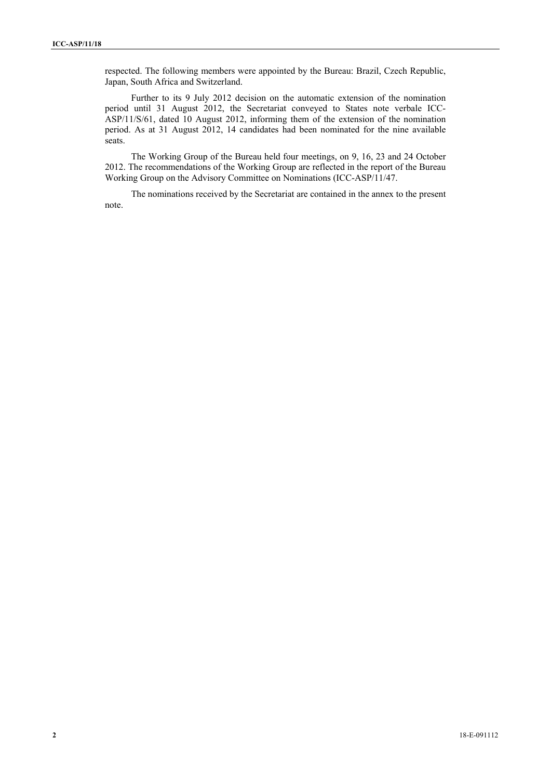respected. The following members were appointed by the Bureau: Brazil, Czech Republic, Japan, South Africa and Switzerland.

Further to its 9 July 2012 decision on the automatic extension of the nomination period until 31 August 2012, the Secretariat conveyed to States note verbale ICC-ASP/11/S/61, dated 10 August 2012, informing them of the extension of the nomination period. As at 31 August 2012, 14 candidates had been nominated for the nine available seats.

The Working Group of the Bureau held four meetings, on 9, 16, 23 and 24 October 2012. The recommendations of the Working Group are reflected in the report of the Bureau Working Group on the Advisory Committee on Nominations (ICC-ASP/11/47.

The nominations received by the Secretariat are contained in the annex to the present note.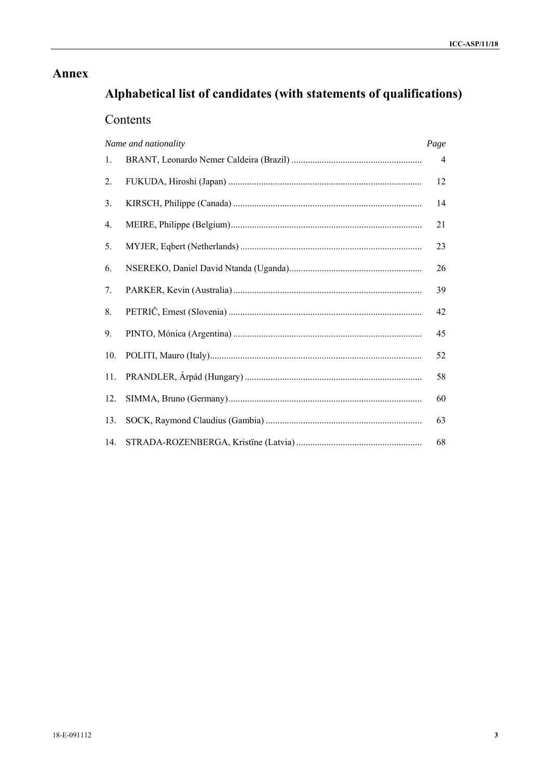# **Annex**

# Alphabetical list of candidates (with statements of qualifications)

# Contents

|     | Name and nationality | Page           |
|-----|----------------------|----------------|
| 1.  |                      | $\overline{4}$ |
| 2.  |                      | 12             |
| 3.  |                      | 14             |
| 4.  |                      | 21             |
| 5.  |                      | 23             |
| 6.  |                      | 26             |
| 7.  |                      | 39             |
| 8.  |                      | 42             |
| 9.  |                      | 45             |
| 10. |                      | 52             |
| 11. |                      | 58             |
| 12. |                      | 60             |
| 13. |                      | 63             |
| 14. |                      | 68             |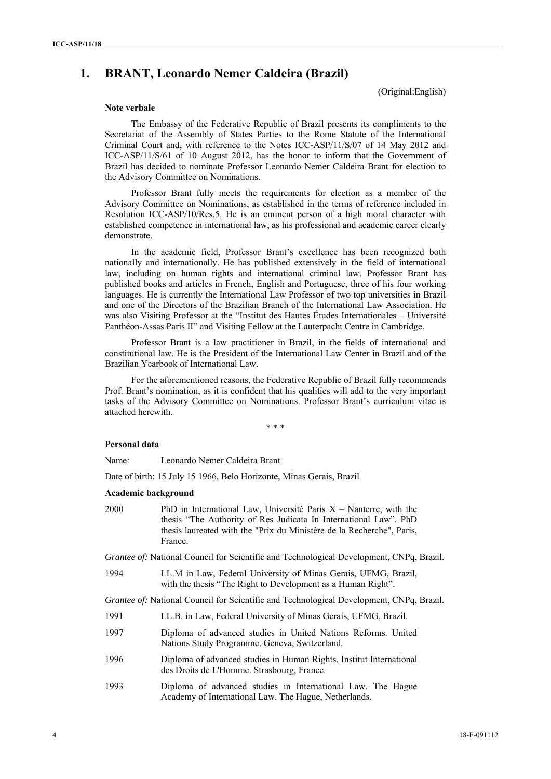# **1. BRANT, Leonardo Nemer Caldeira (Brazil)**

(Original:English)

# **Note verbale**

The Embassy of the Federative Republic of Brazil presents its compliments to the Secretariat of the Assembly of States Parties to the Rome Statute of the International Criminal Court and, with reference to the Notes ICC-ASP/11/S/07 of 14 May 2012 and ICC-ASP/11/S/61 of 10 August 2012, has the honor to inform that the Government of Brazil has decided to nominate Professor Leonardo Nemer Caldeira Brant for election to the Advisory Committee on Nominations.

Professor Brant fully meets the requirements for election as a member of the Advisory Committee on Nominations, as established in the terms of reference included in Resolution ICC-ASP/10/Res.5. He is an eminent person of a high moral character with established competence in international law, as his professional and academic career clearly demonstrate.

In the academic field, Professor Brant's excellence has been recognized both nationally and internationally. He has published extensively in the field of international law, including on human rights and international criminal law. Professor Brant has published books and articles in French, English and Portuguese, three of his four working languages. He is currently the International Law Professor of two top universities in Brazil and one of the Directors of the Brazilian Branch of the International Law Association. He was also Visiting Professor at the "Institut des Hautes Études Internationales – Université Panthéon-Assas Paris II" and Visiting Fellow at the Lauterpacht Centre in Cambridge.

Professor Brant is a law practitioner in Brazil, in the fields of international and constitutional law. He is the President of the International Law Center in Brazil and of the Brazilian Yearbook of International Law.

For the aforementioned reasons, the Federative Republic of Brazil fully recommends Prof. Brant's nomination, as it is confident that his qualities will add to the very important tasks of the Advisory Committee on Nominations. Professor Brant's curriculum vitae is attached herewith.

\* \* \*

#### **Personal data**

Name: Leonardo Nemer Caldeira Brant

Date of birth: 15 July 15 1966, Belo Horizonte, Minas Gerais, Brazil

#### **Academic background**

2000 PhD in International Law, Université Paris X – Nanterre, with the thesis "The Authority of Res Judicata In International Law". PhD thesis laureated with the "Prix du Ministère de la Recherche", Paris, France.

*Grantee of:* National Council for Scientific and Technological Development, CNPq, Brazil.

1994 LL.M in Law, Federal University of Minas Gerais, UFMG, Brazil, with the thesis "The Right to Development as a Human Right".

*Grantee of:* National Council for Scientific and Technological Development, CNPq, Brazil.

- 1991 LL.B. in Law, Federal University of Minas Gerais, UFMG, Brazil.
- 1997 Diploma of advanced studies in United Nations Reforms. United Nations Study Programme. Geneva, Switzerland.
- 1996 Diploma of advanced studies in Human Rights. Institut International des Droits de L'Homme. Strasbourg, France.
- 1993 Diploma of advanced studies in International Law. The Hague Academy of International Law. The Hague, Netherlands.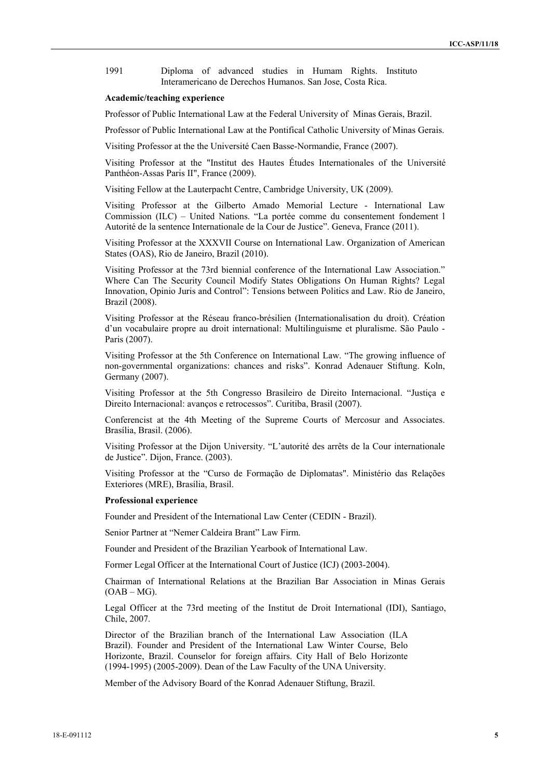1991 Diploma of advanced studies in Humam Rights. Instituto Interamericano de Derechos Humanos. San Jose, Costa Rica.

### **Academic/teaching experience**

Professor of Public International Law at the Federal University of Minas Gerais, Brazil.

Professor of Public International Law at the Pontifical Catholic University of Minas Gerais.

Visiting Professor at the the Université Caen Basse-Normandie, France (2007).

Visiting Professor at the "Institut des Hautes Études Internationales of the Université Panthéon-Assas Paris II", France (2009).

Visiting Fellow at the Lauterpacht Centre, Cambridge University, UK (2009).

Visiting Professor at the Gilberto Amado Memorial Lecture - International Law Commission (ILC) – United Nations. "La portée comme du consentement fondement l Autorité de la sentence Internationale de la Cour de Justice". Geneva, France (2011).

Visiting Professor at the XXXVII Course on International Law. Organization of American States (OAS), Rio de Janeiro, Brazil (2010).

Visiting Professor at the 73rd biennial conference of the International Law Association." Where Can The Security Council Modify States Obligations On Human Rights? Legal Innovation, Opinio Juris and Control": Tensions between Politics and Law. Rio de Janeiro, Brazil (2008).

Visiting Professor at the Réseau franco-brésilien (Internationalisation du droit). Création d'un vocabulaire propre au droit international: Multilinguisme et pluralisme. São Paulo - Paris (2007).

Visiting Professor at the 5th Conference on International Law. "The growing influence of non-governmental organizations: chances and risks". Konrad Adenauer Stiftung. Koln, Germany (2007).

Visiting Professor at the 5th Congresso Brasileiro de Direito Internacional. "Justiça e Direito Internacional: avanços e retrocessos". Curitiba, Brasil (2007).

Conferencist at the 4th Meeting of the Supreme Courts of Mercosur and Associates. Brasília, Brasil. (2006).

Visiting Professor at the Dijon University. "L'autorité des arrêts de la Cour internationale de Justice". Dijon, France. (2003).

Visiting Professor at the "Curso de Formação de Diplomatas". Ministério das Relações Exteriores (MRE), Brasília, Brasil.

#### **Professional experience**

Founder and President of the International Law Center (CEDIN - Brazil).

Senior Partner at "Nemer Caldeira Brant" Law Firm.

Founder and President of the Brazilian Yearbook of International Law.

Former Legal Officer at the International Court of Justice (ICJ) (2003-2004).

Chairman of International Relations at the Brazilian Bar Association in Minas Gerais  $(OAB - MG)$ .

Legal Officer at the 73rd meeting of the Institut de Droit International (IDI), Santiago, Chile, 2007.

Director of the Brazilian branch of the International Law Association (ILA Brazil). Founder and President of the International Law Winter Course, Belo Horizonte, Brazil. Counselor for foreign affairs. City Hall of Belo Horizonte (1994-1995) (2005-2009). Dean of the Law Faculty of the UNA University.

Member of the Advisory Board of the Konrad Adenauer Stiftung, Brazil.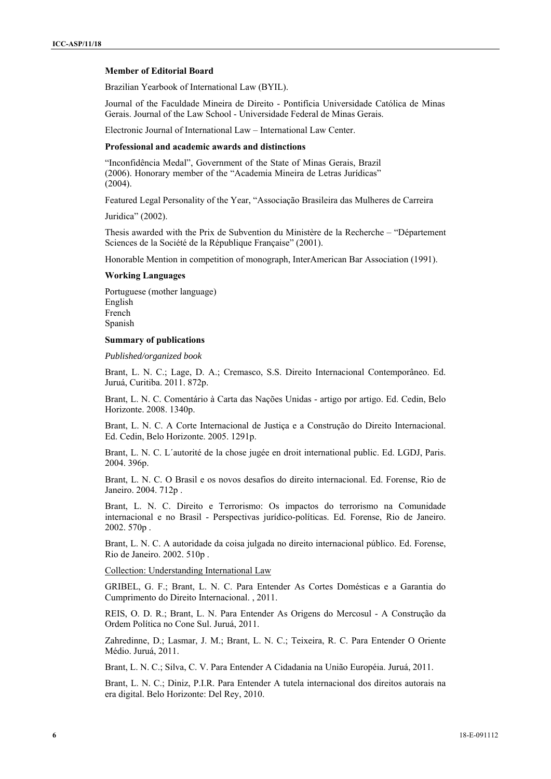### **Member of Editorial Board**

Brazilian Yearbook of International Law (BYIL).

Journal of the Faculdade Mineira de Direito - Pontifícia Universidade Católica de Minas Gerais. Journal of the Law School - Universidade Federal de Minas Gerais.

Electronic Journal of International Law – International Law Center.

# **Professional and academic awards and distinctions**

"Inconfidência Medal", Government of the State of Minas Gerais, Brazil (2006). Honorary member of the "Academia Mineira de Letras Jurídicas" (2004).

Featured Legal Personality of the Year, "Associação Brasileira das Mulheres de Carreira

Juridica" (2002).

Thesis awarded with the Prix de Subvention du Ministère de la Recherche – "Département Sciences de la Société de la République Française" (2001).

Honorable Mention in competition of monograph, InterAmerican Bar Association (1991).

### **Working Languages**

Portuguese (mother language) English French Spanish

### **Summary of publications**

*Published/organized book* 

Brant, L. N. C.; Lage, D. A.; Cremasco, S.S. Direito Internacional Contemporâneo. Ed. Juruá, Curitiba. 2011. 872p.

Brant, L. N. C. Comentário à Carta das Nações Unidas - artigo por artigo. Ed. Cedin, Belo Horizonte. 2008. 1340p.

Brant, L. N. C. A Corte Internacional de Justiça e a Construção do Direito Internacional. Ed. Cedin, Belo Horizonte. 2005. 1291p.

Brant, L. N. C. L´autorité de la chose jugée en droit international public. Ed. LGDJ, Paris. 2004. 396p.

Brant, L. N. C. O Brasil e os novos desafios do direito internacional. Ed. Forense, Rio de Janeiro. 2004. 712p .

Brant, L. N. C. Direito e Terrorismo: Os impactos do terrorismo na Comunidade internacional e no Brasil - Perspectivas jurídico-políticas. Ed. Forense, Rio de Janeiro. 2002. 570p .

Brant, L. N. C. A autoridade da coisa julgada no direito internacional público. Ed. Forense, Rio de Janeiro. 2002. 510p .

Collection: Understanding International Law

GRIBEL, G. F.; Brant, L. N. C. Para Entender As Cortes Domésticas e a Garantia do Cumprimento do Direito Internacional. , 2011.

REIS, O. D. R.; Brant, L. N. Para Entender As Origens do Mercosul - A Construção da Ordem Política no Cone Sul. Juruá, 2011.

Zahredinne, D.; Lasmar, J. M.; Brant, L. N. C.; Teixeira, R. C. Para Entender O Oriente Médio. Juruá, 2011.

Brant, L. N. C.; Silva, C. V. Para Entender A Cidadania na União Européia. Juruá, 2011.

Brant, L. N. C.; Diniz, P.I.R. Para Entender A tutela internacional dos direitos autorais na era digital. Belo Horizonte: Del Rey, 2010.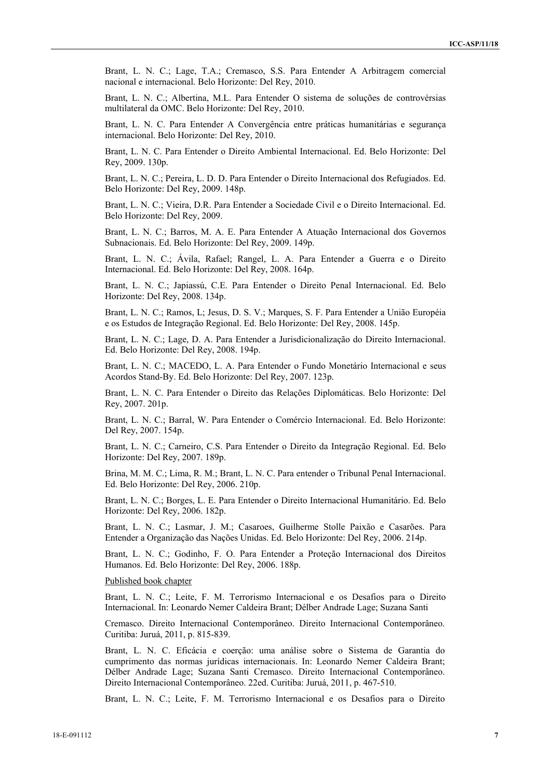Brant, L. N. C.; Lage, T.A.; Cremasco, S.S. Para Entender A Arbitragem comercial nacional e internacional. Belo Horizonte: Del Rey, 2010.

Brant, L. N. C.; Albertina, M.L. Para Entender O sistema de soluções de controvérsias multilateral da OMC. Belo Horizonte: Del Rey, 2010.

Brant, L. N. C. Para Entender A Convergência entre práticas humanitárias e segurança internacional. Belo Horizonte: Del Rey, 2010.

Brant, L. N. C. Para Entender o Direito Ambiental Internacional. Ed. Belo Horizonte: Del Rey, 2009. 130p.

Brant, L. N. C.; Pereira, L. D. D. Para Entender o Direito Internacional dos Refugiados. Ed. Belo Horizonte: Del Rey, 2009. 148p.

Brant, L. N. C.; Vieira, D.R. Para Entender a Sociedade Civil e o Direito Internacional. Ed. Belo Horizonte: Del Rey, 2009.

Brant, L. N. C.; Barros, M. A. E. Para Entender A Atuação Internacional dos Governos Subnacionais. Ed. Belo Horizonte: Del Rey, 2009. 149p.

Brant, L. N. C.; Ávila, Rafael; Rangel, L. A. Para Entender a Guerra e o Direito Internacional. Ed. Belo Horizonte: Del Rey, 2008. 164p.

Brant, L. N. C.; Japiassú, C.E. Para Entender o Direito Penal Internacional. Ed. Belo Horizonte: Del Rey, 2008. 134p.

Brant, L. N. C.; Ramos, L; Jesus, D. S. V.; Marques, S. F. Para Entender a União Européia e os Estudos de Integração Regional. Ed. Belo Horizonte: Del Rey, 2008. 145p.

Brant, L. N. C.; Lage, D. A. Para Entender a Jurisdicionalização do Direito Internacional. Ed. Belo Horizonte: Del Rey, 2008. 194p.

Brant, L. N. C.; MACEDO, L. A. Para Entender o Fundo Monetário Internacional e seus Acordos Stand-By. Ed. Belo Horizonte: Del Rey, 2007. 123p.

Brant, L. N. C. Para Entender o Direito das Relações Diplomáticas. Belo Horizonte: Del Rey, 2007. 201p.

Brant, L. N. C.; Barral, W. Para Entender o Comércio Internacional. Ed. Belo Horizonte: Del Rey, 2007. 154p.

Brant, L. N. C.; Carneiro, C.S. Para Entender o Direito da Integração Regional. Ed. Belo Horizonte: Del Rey, 2007. 189p.

Brina, M. M. C.; Lima, R. M.; Brant, L. N. C. Para entender o Tribunal Penal Internacional. Ed. Belo Horizonte: Del Rey, 2006. 210p.

Brant, L. N. C.; Borges, L. E. Para Entender o Direito Internacional Humanitário. Ed. Belo Horizonte: Del Rey, 2006. 182p.

Brant, L. N. C.; Lasmar, J. M.; Casaroes, Guilherme Stolle Paixão e Casarões. Para Entender a Organização das Nações Unidas. Ed. Belo Horizonte: Del Rey, 2006. 214p.

Brant, L. N. C.; Godinho, F. O. Para Entender a Proteção Internacional dos Direitos Humanos. Ed. Belo Horizonte: Del Rey, 2006. 188p.

Published book chapter

Brant, L. N. C.; Leite, F. M. Terrorismo Internacional e os Desafios para o Direito Internacional. In: Leonardo Nemer Caldeira Brant; Délber Andrade Lage; Suzana Santi

Cremasco. Direito Internacional Contemporâneo. Direito Internacional Contemporâneo. Curitiba: Juruá, 2011, p. 815-839.

Brant, L. N. C. Eficácia e coerção: uma análise sobre o Sistema de Garantia do cumprimento das normas jurídicas internacionais. In: Leonardo Nemer Caldeira Brant; Délber Andrade Lage; Suzana Santi Cremasco. Direito Internacional Contemporâneo. Direito Internacional Contemporâneo. 22ed. Curitiba: Juruá, 2011, p. 467-510.

Brant, L. N. C.; Leite, F. M. Terrorismo Internacional e os Desafios para o Direito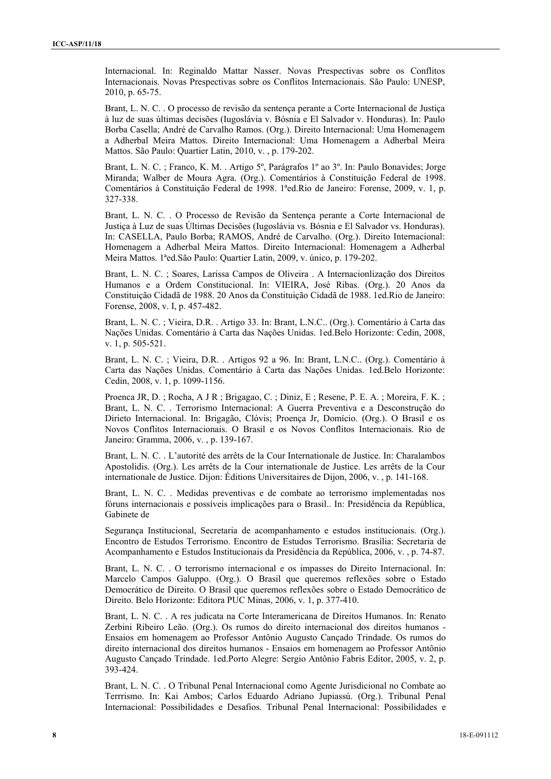Internacional. In: Reginaldo Mattar Nasser. Novas Prespectivas sobre os Conflitos Internacionais. Novas Prespectivas sobre os Conflitos Internacionais. São Paulo: UNESP, 2010, p. 65-75.

Brant, L. N. C. . O processo de revisão da sentença perante a Corte Internacional de Justiça à luz de suas últimas decisões (Iugoslávia v. Bósnia e El Salvador v. Honduras). In: Paulo Borba Casella; André de Carvalho Ramos. (Org.). Direito Internacional: Uma Homenagem a Adherbal Meira Mattos. Direito Internacional: Uma Homenagem a Adherbal Meira Mattos. São Paulo: Quartier Latin, 2010, v. , p. 179-202.

Brant, L. N. C. ; Franco, K. M. . Artigo 5º, Parágrafos 1º ao 3º. In: Paulo Bonavides; Jorge Miranda; Walber de Moura Agra. (Org.). Comentários à Constituição Federal de 1998. Comentários à Constituição Federal de 1998. 1ªed.Rio de Janeiro: Forense, 2009, v. 1, p. 327-338.

Brant, L. N. C. . O Processo de Revisão da Sentença perante a Corte Internacional de Justiça à Luz de suas Últimas Decisões (Iugoslávia vs. Bósnia e El Salvador vs. Honduras). In: CASELLA, Paulo Borba; RAMOS, André de Carvalho. (Org.). Direito Internacional: Homenagem a Adherbal Meira Mattos. Direito Internacional: Homenagem a Adherbal Meira Mattos. 1ªed.São Paulo: Quartier Latin, 2009, v. único, p. 179-202.

Brant, L. N. C. ; Soares, Larissa Campos de Oliveira . A Internacionlização dos Direitos Humanos e a Ordem Constitucional. In: VIEIRA, José Ribas. (Org.). 20 Anos da Constituição Cidadã de 1988. 20 Anos da Constituição Cidadã de 1988. 1ed.Rio de Janeiro: Forense, 2008, v. I, p. 457-482.

Brant, L. N. C. ; Vieira, D.R. . Artigo 33. In: Brant, L.N.C.. (Org.). Comentário à Carta das Nações Unidas. Comentário à Carta das Nações Unidas. 1ed.Belo Horizonte: Cedin, 2008, v. 1, p. 505-521.

Brant, L. N. C. ; Vieira, D.R. . Artigos 92 a 96. In: Brant, L.N.C.. (Org.). Comentário à Carta das Nações Unidas. Comentário à Carta das Nações Unidas. 1ed.Belo Horizonte: Cedin, 2008, v. 1, p. 1099-1156.

Proenca JR, D. ; Rocha, A J R ; Brigagao, C. ; Diniz, E ; Resene, P. E. A. ; Moreira, F. K. ; Brant, L. N. C. . Terrorismo Internacional: A Guerra Preventiva e a Desconstrução do Dirieto Internacional. In: Brigagão, Clóvis; Proença Jr, Domício. (Org.). O Brasil e os Novos Conflitos Internacionais. O Brasil e os Novos Conflitos Internacionais. Rio de Janeiro: Gramma, 2006, v. , p. 139-167.

Brant, L. N. C. . L'autorité des arrêts de la Cour Internationale de Justice. In: Charalambos Apostolidis. (Org.). Les arrêts de la Cour internationale de Justice. Les arrêts de la Cour internationale de Justice. Dijon: Éditions Universitaires de Dijon, 2006, v. , p. 141-168.

Brant, L. N. C. . Medidas preventivas e de combate ao terrorismo implementadas nos fóruns internacionais e possíveis implicações para o Brasil.. In: Presidência da República, Gabinete de

Segurança Institucional, Secretaria de acompanhamento e estudos institucionais. (Org.). Encontro de Estudos Terrorismo. Encontro de Estudos Terrorismo. Brasília: Secretaria de Acompanhamento e Estudos Institucionais da Presidência da República, 2006, v. , p. 74-87.

Brant, L. N. C. . O terrorismo internacional e os impasses do Direito Internacional. In: Marcelo Campos Galuppo. (Org.). O Brasil que queremos reflexões sobre o Estado Democrático de Direito. O Brasil que queremos reflexões sobre o Estado Democrático de Direito. Belo Horizonte: Editora PUC Minas, 2006, v. 1, p. 377-410.

Brant, L. N. C. . A res judicata na Corte Interamericana de Direitos Humanos. In: Renato Zerbini Ribeiro Leão. (Org.). Os rumos do direito internacional dos direitos humanos - Ensaios em homenagem ao Professor Antônio Augusto Cançado Trindade. Os rumos do direito internacional dos direitos humanos - Ensaios em homenagem ao Professor Antônio Augusto Cançado Trindade. 1ed.Porto Alegre: Sergio Antônio Fabris Editor, 2005, v. 2, p. 393-424.

Brant, L. N. C. . O Tribunal Penal Internacional como Agente Jurisdicional no Combate ao Terrrismo. In: Kai Ambos; Carlos Eduardo Adriano Jupiassú. (Org.). Tribunal Penal Internacional: Possibilidades e Desafios. Tribunal Penal Internacional: Possibilidades e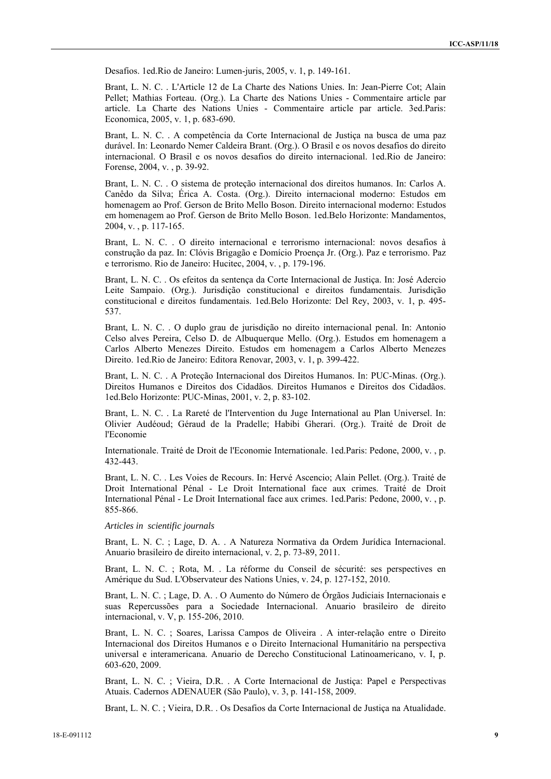Desafios. 1ed.Rio de Janeiro: Lumen-juris, 2005, v. 1, p. 149-161.

Brant, L. N. C. . L'Article 12 de La Charte des Nations Unies. In: Jean-Pierre Cot; Alain Pellet; Mathias Forteau. (Org.). La Charte des Nations Unies - Commentaire article par article. La Charte des Nations Unies - Commentaire article par article. 3ed.Paris: Economica, 2005, v. 1, p. 683-690.

Brant, L. N. C. . A competência da Corte Internacional de Justiça na busca de uma paz durável. In: Leonardo Nemer Caldeira Brant. (Org.). O Brasil e os novos desafios do direito internacional. O Brasil e os novos desafios do direito internacional. 1ed.Rio de Janeiro: Forense, 2004, v. , p. 39-92.

Brant, L. N. C. . O sistema de proteção internacional dos direitos humanos. In: Carlos A. Canêdo da Silva; Érica A. Costa. (Org.). Direito internacional moderno: Estudos em homenagem ao Prof. Gerson de Brito Mello Boson. Direito internacional moderno: Estudos em homenagem ao Prof. Gerson de Brito Mello Boson. 1ed.Belo Horizonte: Mandamentos, 2004, v. , p. 117-165.

Brant, L. N. C. . O direito internacional e terrorismo internacional: novos desafios à construção da paz. In: Clóvis Brigagão e Domício Proença Jr. (Org.). Paz e terrorismo. Paz e terrorismo. Rio de Janeiro: Hucitec, 2004, v. , p. 179-196.

Brant, L. N. C. . Os efeitos da sentença da Corte Internacional de Justiça. In: José Adercio Leite Sampaio. (Org.). Jurisdição constitucional e direitos fundamentais. Jurisdição constitucional e direitos fundamentais. 1ed.Belo Horizonte: Del Rey, 2003, v. 1, p. 495- 537.

Brant, L. N. C. . O duplo grau de jurisdição no direito internacional penal. In: Antonio Celso alves Pereira, Celso D. de Albuquerque Mello. (Org.). Estudos em homenagem a Carlos Alberto Menezes Direito. Estudos em homenagem a Carlos Alberto Menezes Direito. 1ed.Rio de Janeiro: Editora Renovar, 2003, v. 1, p. 399-422.

Brant, L. N. C. . A Proteção Internacional dos Direitos Humanos. In: PUC-Minas. (Org.). Direitos Humanos e Direitos dos Cidadãos. Direitos Humanos e Direitos dos Cidadãos. 1ed.Belo Horizonte: PUC-Minas, 2001, v. 2, p. 83-102.

Brant, L. N. C. . La Rareté de l'Intervention du Juge International au Plan Universel. In: Olivier Audéoud; Géraud de la Pradelle; Habibi Gherari. (Org.). Traité de Droit de l'Economie

Internationale. Traité de Droit de l'Economie Internationale. 1ed.Paris: Pedone, 2000, v. , p. 432-443.

Brant, L. N. C. . Les Voies de Recours. In: Hervé Ascencio; Alain Pellet. (Org.). Traité de Droit International Pénal - Le Droit International face aux crimes. Traité de Droit International Pénal - Le Droit International face aux crimes. 1ed.Paris: Pedone, 2000, v. , p. 855-866.

### *Articles in scientific journals*

Brant, L. N. C. ; Lage, D. A. . A Natureza Normativa da Ordem Jurídica Internacional. Anuario brasileiro de direito internacional, v. 2, p. 73-89, 2011.

Brant, L. N. C. ; Rota, M. . La réforme du Conseil de sécurité: ses perspectives en Amérique du Sud. L'Observateur des Nations Unies, v. 24, p. 127-152, 2010.

Brant, L. N. C. ; Lage, D. A. . O Aumento do Número de Órgãos Judiciais Internacionais e suas Repercussões para a Sociedade Internacional. Anuario brasileiro de direito internacional, v. V, p. 155-206, 2010.

Brant, L. N. C. ; Soares, Larissa Campos de Oliveira . A inter-relação entre o Direito Internacional dos Direitos Humanos e o Direito Internacional Humanitário na perspectiva universal e interamericana. Anuario de Derecho Constitucional Latinoamericano, v. I, p. 603-620, 2009.

Brant, L. N. C. ; Vieira, D.R. . A Corte Internacional de Justiça: Papel e Perspectivas Atuais. Cadernos ADENAUER (São Paulo), v. 3, p. 141-158, 2009.

Brant, L. N. C. ; Vieira, D.R. . Os Desafios da Corte Internacional de Justiça na Atualidade.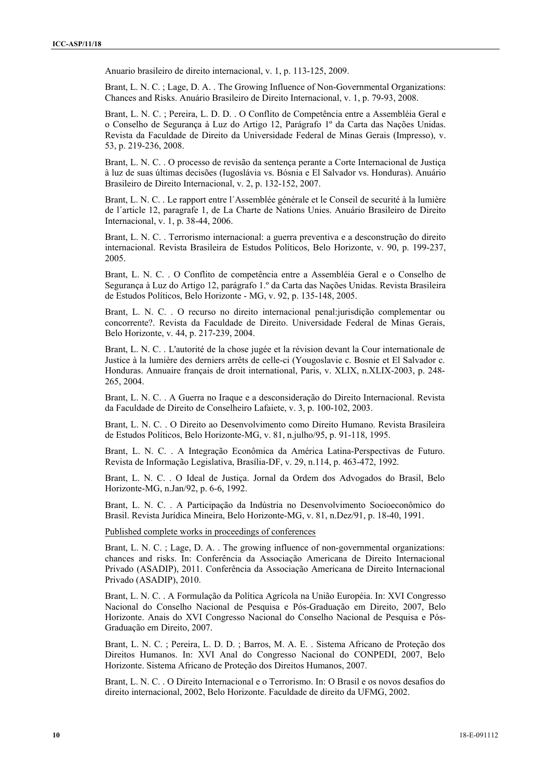Anuario brasileiro de direito internacional, v. 1, p. 113-125, 2009.

Brant, L. N. C. ; Lage, D. A. . The Growing Influence of Non-Governmental Organizations: Chances and Risks. Anuário Brasileiro de Direito Internacional, v. 1, p. 79-93, 2008.

Brant, L. N. C. ; Pereira, L. D. D. . O Conflito de Competência entre a Assembléia Geral e o Conselho de Segurança à Luz do Artigo 12, Parágrafo 1º da Carta das Nações Unidas. Revista da Faculdade de Direito da Universidade Federal de Minas Gerais (Impresso), v. 53, p. 219-236, 2008.

Brant, L. N. C. . O processo de revisão da sentença perante a Corte Internacional de Justiça à luz de suas últimas decisões (Iugoslávia vs. Bósnia e El Salvador vs. Honduras). Anuário Brasileiro de Direito Internacional, v. 2, p. 132-152, 2007.

Brant, L. N. C. . Le rapport entre l´Assemblée générale et le Conseil de securité à la lumière de l´article 12, paragrafe 1, de La Charte de Nations Unies. Anuário Brasileiro de Direito Internacional, v. 1, p. 38-44, 2006.

Brant, L. N. C. . Terrorismo internacional: a guerra preventiva e a desconstrução do direito internacional. Revista Brasileira de Estudos Políticos, Belo Horizonte, v. 90, p. 199-237, 2005.

Brant, L. N. C. . O Conflito de competência entre a Assembléia Geral e o Conselho de Segurança à Luz do Artigo 12, parágrafo 1.º da Carta das Nações Unidas. Revista Brasileira de Estudos Políticos, Belo Horizonte - MG, v. 92, p. 135-148, 2005.

Brant, L. N. C. . O recurso no direito internacional penal:jurisdição complementar ou concorrente?. Revista da Faculdade de Direito. Universidade Federal de Minas Gerais, Belo Horizonte, v. 44, p. 217-239, 2004.

Brant, L. N. C. . L'autorité de la chose jugée et la révision devant la Cour internationale de Justice à la lumière des derniers arrêts de celle-ci (Yougoslavie c. Bosnie et El Salvador c. Honduras. Annuaire français de droit international, Paris, v. XLIX, n.XLIX-2003, p. 248- 265, 2004.

Brant, L. N. C. . A Guerra no Iraque e a desconsideração do Direito Internacional. Revista da Faculdade de Direito de Conselheiro Lafaiete, v. 3, p. 100-102, 2003.

Brant, L. N. C. . O Direito ao Desenvolvimento como Direito Humano. Revista Brasileira de Estudos Políticos, Belo Horizonte-MG, v. 81, n.julho/95, p. 91-118, 1995.

Brant, L. N. C. . A Integração Econômica da América Latina-Perspectivas de Futuro. Revista de Informação Legislativa, Brasília-DF, v. 29, n.114, p. 463-472, 1992.

Brant, L. N. C. . O Ideal de Justiça. Jornal da Ordem dos Advogados do Brasil, Belo Horizonte-MG, n.Jan/92, p. 6-6, 1992.

Brant, L. N. C. . A Participação da Indústria no Desenvolvimento Socioeconômico do Brasil. Revista Jurídica Mineira, Belo Horizonte-MG, v. 81, n.Dez/91, p. 18-40, 1991.

Published complete works in proceedings of conferences

Brant, L. N. C. ; Lage, D. A. . The growing influence of non-governmental organizations: chances and risks. In: Conferência da Associação Americana de Direito Internacional Privado (ASADIP), 2011. Conferência da Associação Americana de Direito Internacional Privado (ASADIP), 2010.

Brant, L. N. C. . A Formulação da Política Agrícola na União Européia. In: XVI Congresso Nacional do Conselho Nacional de Pesquisa e Pós-Graduação em Direito, 2007, Belo Horizonte. Anais do XVI Congresso Nacional do Conselho Nacional de Pesquisa e Pós-Graduação em Direito, 2007.

Brant, L. N. C. ; Pereira, L. D. D. ; Barros, M. A. E. . Sistema Africano de Proteção dos Direitos Humanos. In: XVI Anal do Congresso Nacional do CONPEDI, 2007, Belo Horizonte. Sistema Africano de Proteção dos Direitos Humanos, 2007.

Brant, L. N. C. . O Direito Internacional e o Terrorismo. In: O Brasil e os novos desafios do direito internacional, 2002, Belo Horizonte. Faculdade de direito da UFMG, 2002.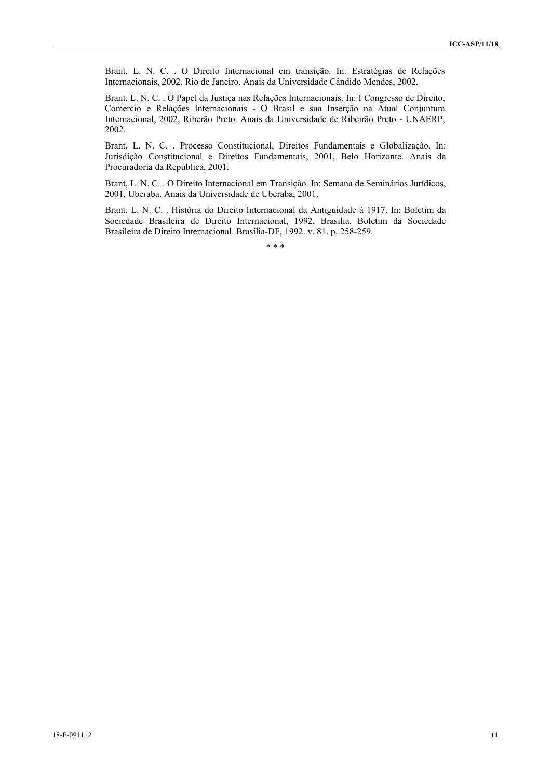Brant, L. N. C. . O Direito Internacional em transição. In: Estratégias de Relações Internacionais, 2002, Rio de Janeiro. Anais da Universidade Cândido Mendes, 2002.

Brant, L. N. C. . O Papel da Justiça nas Relações Internacionais. In: I Congresso de Direito, Comércio e Relações Internacionais - O Brasil e sua Inserção na Atual Conjuntura Internacional, 2002, Riberão Preto. Anais da Universidade de Ribeirão Preto - UNAERP, 2002.

Brant, L. N. C. . Processo Constitucional, Direitos Fundamentais e Globalização. In: Jurisdição Constitucional e Direitos Fundamentais, 2001, Belo Horizonte. Anais da Procuradoria da República, 2001.

Brant, L. N. C. . O Direito Internacional em Transição. In: Semana de Seminários Jurídicos, 2001, Uberaba. Anais da Universidade de Uberaba, 2001.

Brant, L. N. C. . História do Direito Internacional da Antiguidade à 1917. In: Boletim da Sociedade Brasileira de Direito Internacional, 1992, Brasília. Boletim da Sociedade Brasileira de Direito Internacional. Brasília-DF, 1992. v. 81. p. 258-259.

\* \* \*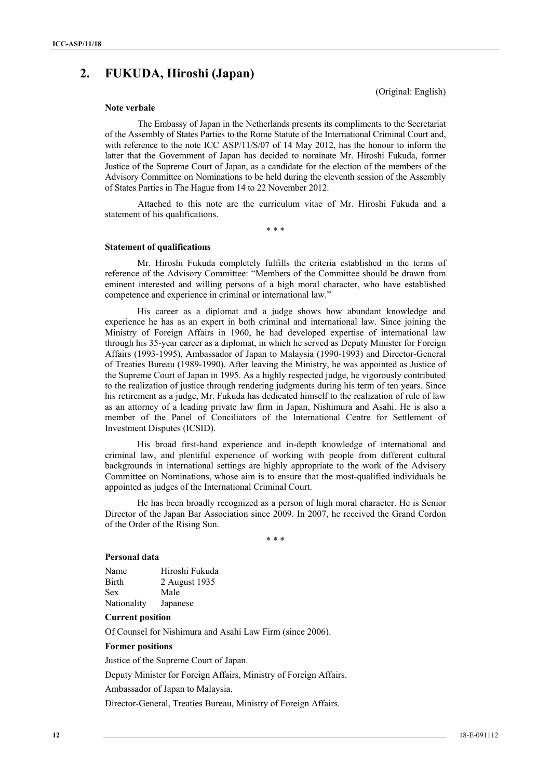# **2. FUKUDA, Hiroshi (Japan)**

(Original: English)

# **Note verbale**

The Embassy of Japan in the Netherlands presents its compliments to the Secretariat of the Assembly of States Parties to the Rome Statute of the International Criminal Court and, with reference to the note ICC ASP/11/S/07 of 14 May 2012, has the honour to inform the latter that the Government of Japan has decided to nominate Mr. Hiroshi Fukuda, former Justice of the Supreme Court of Japan, as a candidate for the election of the members of the Advisory Committee on Nominations to be held during the eleventh session of the Assembly of States Parties in The Hague from 14 to 22 November 2012.

Attached to this note are the curriculum vitae of Mr. Hiroshi Fukuda and a statement of his qualifications.

\* \* \*

### **Statement of qualifications**

Mr. Hiroshi Fukuda completely fulfills the criteria established in the terms of reference of the Advisory Committee: "Members of the Committee should be drawn from eminent interested and willing persons of a high moral character, who have established competence and experience in criminal or international law."

His career as a diplomat and a judge shows how abundant knowledge and experience he has as an expert in both criminal and international law. Since joining the Ministry of Foreign Affairs in 1960, he had developed expertise of international law through his 35-year career as a diplomat, in which he served as Deputy Minister for Foreign Affairs (1993-1995), Ambassador of Japan to Malaysia (1990-1993) and Director-General of Treaties Bureau (1989-1990). After leaving the Ministry, he was appointed as Justice of the Supreme Court of Japan in 1995. As a highly respected judge, he vigorously contributed to the realization of justice through rendering judgments during his term of ten years. Since his retirement as a judge, Mr. Fukuda has dedicated himself to the realization of rule of law as an attorney of a leading private law firm in Japan, Nishimura and Asahi. He is also a member of the Panel of Conciliators of the International Centre for Settlement of Investment Disputes (ICSID).

His broad first-hand experience and in-depth knowledge of international and criminal law, and plentiful experience of working with people from different cultural backgrounds in international settings are highly appropriate to the work of the Advisory Committee on Nominations, whose aim is to ensure that the most-qualified individuals be appointed as judges of the International Criminal Court.

He has been broadly recognized as a person of high moral character. He is Senior Director of the Japan Bar Association since 2009. In 2007, he received the Grand Cordon of the Order of the Rising Sun.

\* \* \*

### **Personal data**

| Name         | Hiroshi Fukuda |
|--------------|----------------|
| <b>Birth</b> | 2 August 1935  |
| <b>Sex</b>   | Male           |
| Nationality  | Japanese       |

# **Current position**

Of Counsel for Nishimura and Asahi Law Firm (since 2006).

#### **Former positions**

Justice of the Supreme Court of Japan.

Deputy Minister for Foreign Affairs, Ministry of Foreign Affairs.

Ambassador of Japan to Malaysia.

Director-General, Treaties Bureau, Ministry of Foreign Affairs.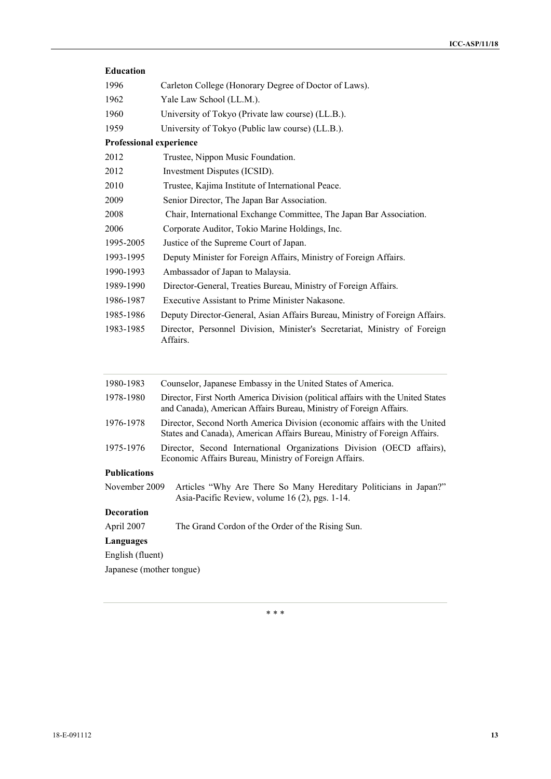| <b>Education</b>               |                                                                                                                                                        |
|--------------------------------|--------------------------------------------------------------------------------------------------------------------------------------------------------|
| 1996                           | Carleton College (Honorary Degree of Doctor of Laws).                                                                                                  |
| 1962                           | Yale Law School (LL.M.).                                                                                                                               |
| 1960                           | University of Tokyo (Private law course) (LL.B.).                                                                                                      |
| 1959                           | University of Tokyo (Public law course) (LL.B.).                                                                                                       |
| <b>Professional experience</b> |                                                                                                                                                        |
| 2012                           | Trustee, Nippon Music Foundation.                                                                                                                      |
| 2012                           | Investment Disputes (ICSID).                                                                                                                           |
| 2010                           | Trustee, Kajima Institute of International Peace.                                                                                                      |
| 2009                           | Senior Director, The Japan Bar Association.                                                                                                            |
| 2008                           | Chair, International Exchange Committee, The Japan Bar Association.                                                                                    |
| 2006                           | Corporate Auditor, Tokio Marine Holdings, Inc.                                                                                                         |
| 1995-2005                      | Justice of the Supreme Court of Japan.                                                                                                                 |
| 1993-1995                      | Deputy Minister for Foreign Affairs, Ministry of Foreign Affairs.                                                                                      |
| 1990-1993                      | Ambassador of Japan to Malaysia.                                                                                                                       |
| 1989-1990                      | Director-General, Treaties Bureau, Ministry of Foreign Affairs.                                                                                        |
| 1986-1987                      | <b>Executive Assistant to Prime Minister Nakasone.</b>                                                                                                 |
| 1985-1986                      | Deputy Director-General, Asian Affairs Bureau, Ministry of Foreign Affairs.                                                                            |
| 1983-1985                      | Director, Personnel Division, Minister's Secretariat, Ministry of Foreign<br>Affairs.                                                                  |
| 1980-1983                      | Counselor, Japanese Embassy in the United States of America.                                                                                           |
| 1978-1980                      | Director, First North America Division (political affairs with the United States<br>and Canada), American Affairs Bureau, Ministry of Foreign Affairs. |

- 1976-1978 Director, Second North America Division (economic affairs with the United States and Canada), American Affairs Bureau, Ministry of Foreign Affairs.
- 1975-1976 Director, Second International Organizations Division (OECD affairs), Economic Affairs Bureau, Ministry of Foreign Affairs.

# **Publications**

November 2009 Articles "Why Are There So Many Hereditary Politicians in Japan?" Asia-Pacific Review, volume 16 (2), pgs. 1-14.

# **Decoration**

April 2007 The Grand Cordon of the Order of the Rising Sun.

# **Languages**

English (fluent)

Japanese (mother tongue)

\* \* \*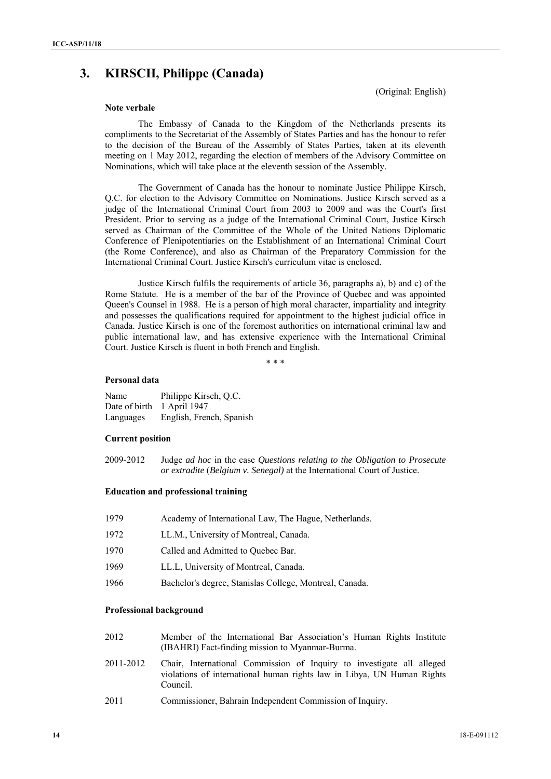# **3. KIRSCH, Philippe (Canada)**

(Original: English)

### **Note verbale**

The Embassy of Canada to the Kingdom of the Netherlands presents its compliments to the Secretariat of the Assembly of States Parties and has the honour to refer to the decision of the Bureau of the Assembly of States Parties, taken at its eleventh meeting on 1 May 2012, regarding the election of members of the Advisory Committee on Nominations, which will take place at the eleventh session of the Assembly.

The Government of Canada has the honour to nominate Justice Philippe Kirsch, Q.C. for election to the Advisory Committee on Nominations. Justice Kirsch served as a judge of the International Criminal Court from 2003 to 2009 and was the Court's first President. Prior to serving as a judge of the International Criminal Court, Justice Kirsch served as Chairman of the Committee of the Whole of the United Nations Diplomatic Conference of Plenipotentiaries on the Establishment of an International Criminal Court (the Rome Conference), and also as Chairman of the Preparatory Commission for the International Criminal Court. Justice Kirsch's curriculum vitae is enclosed.

Justice Kirsch fulfils the requirements of article 36, paragraphs a), b) and c) of the Rome Statute. He is a member of the bar of the Province of Quebec and was appointed Queen's Counsel in 1988. He is a person of high moral character, impartiality and integrity and possesses the qualifications required for appointment to the highest judicial office in Canada. Justice Kirsch is one of the foremost authorities on international criminal law and public international law, and has extensive experience with the International Criminal Court. Justice Kirsch is fluent in both French and English.

\* \* \*

### **Personal data**

Name Philippe Kirsch, Q.C. Date of birth 1 April 1947 Languages English, French, Spanish

### **Current position**

2009-2012 Judge *ad hoc* in the case *Questions relating to the Obligation to Prosecute or extradite* (*Belgium v. Senegal)* at the International Court of Justice.

# **Education and professional training**

| 1979 | Academy of International Law, The Hague, Netherlands.   |
|------|---------------------------------------------------------|
| 1972 | LL.M., University of Montreal, Canada.                  |
| 1970 | Called and Admitted to Quebec Bar.                      |
| 1969 | LL.L. University of Montreal, Canada.                   |
| 1966 | Bachelor's degree, Stanislas College, Montreal, Canada. |
|      |                                                         |

### **Professional background**

| 2012 |  | Member of the International Bar Association's Human Rights Institute |  |  |  |
|------|--|----------------------------------------------------------------------|--|--|--|
|      |  | (IBAHRI) Fact-finding mission to Myanmar-Burma.                      |  |  |  |

- 2011-2012 Chair, International Commission of Inquiry to investigate all alleged violations of international human rights law in Libya, UN Human Rights Council.
- 2011 Commissioner, Bahrain Independent Commission of Inquiry.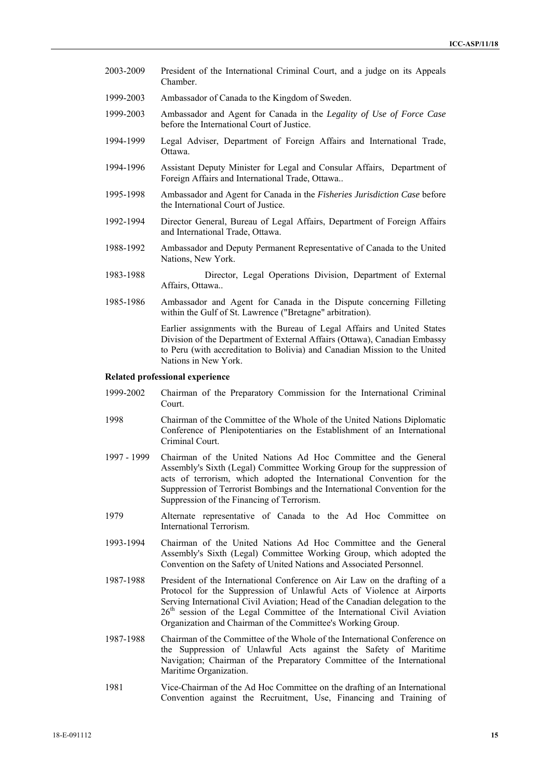- 2003-2009 President of the International Criminal Court, and a judge on its Appeals Chamber.
- 1999-2003 Ambassador of Canada to the Kingdom of Sweden.
- 1999-2003 Ambassador and Agent for Canada in the *Legality of Use of Force Case*  before the International Court of Justice.
- 1994-1999 Legal Adviser, Department of Foreign Affairs and International Trade, Ottawa.
- 1994-1996 Assistant Deputy Minister for Legal and Consular Affairs, Department of Foreign Affairs and International Trade, Ottawa..
- 1995-1998 Ambassador and Agent for Canada in the *Fisheries Jurisdiction Case* before the International Court of Justice.
- 1992-1994 Director General, Bureau of Legal Affairs, Department of Foreign Affairs and International Trade, Ottawa.
- 1988-1992 Ambassador and Deputy Permanent Representative of Canada to the United Nations, New York.
- 1983-1988 Director, Legal Operations Division, Department of External Affairs, Ottawa..
- 1985-1986 Ambassador and Agent for Canada in the Dispute concerning Filleting within the Gulf of St. Lawrence ("Bretagne" arbitration).

Earlier assignments with the Bureau of Legal Affairs and United States Division of the Department of External Affairs (Ottawa), Canadian Embassy to Peru (with accreditation to Bolivia) and Canadian Mission to the United Nations in New York.

### **Related professional experience**

- 1999-2002 Chairman of the Preparatory Commission for the International Criminal Court.
- 1998 Chairman of the Committee of the Whole of the United Nations Diplomatic Conference of Plenipotentiaries on the Establishment of an International Criminal Court.
- 1997 1999 Chairman of the United Nations Ad Hoc Committee and the General Assembly's Sixth (Legal) Committee Working Group for the suppression of acts of terrorism, which adopted the International Convention for the Suppression of Terrorist Bombings and the International Convention for the Suppression of the Financing of Terrorism.
- 1979 Alternate representative of Canada to the Ad Hoc Committee on International Terrorism.
- 1993-1994 Chairman of the United Nations Ad Hoc Committee and the General Assembly's Sixth (Legal) Committee Working Group, which adopted the Convention on the Safety of United Nations and Associated Personnel.
- 1987-1988 President of the International Conference on Air Law on the drafting of a Protocol for the Suppression of Unlawful Acts of Violence at Airports Serving International Civil Aviation; Head of the Canadian delegation to the 26<sup>th</sup> session of the Legal Committee of the International Civil Aviation Organization and Chairman of the Committee's Working Group.
- 1987-1988 Chairman of the Committee of the Whole of the International Conference on the Suppression of Unlawful Acts against the Safety of Maritime Navigation; Chairman of the Preparatory Committee of the International Maritime Organization.
- 1981 Vice-Chairman of the Ad Hoc Committee on the drafting of an International Convention against the Recruitment, Use, Financing and Training of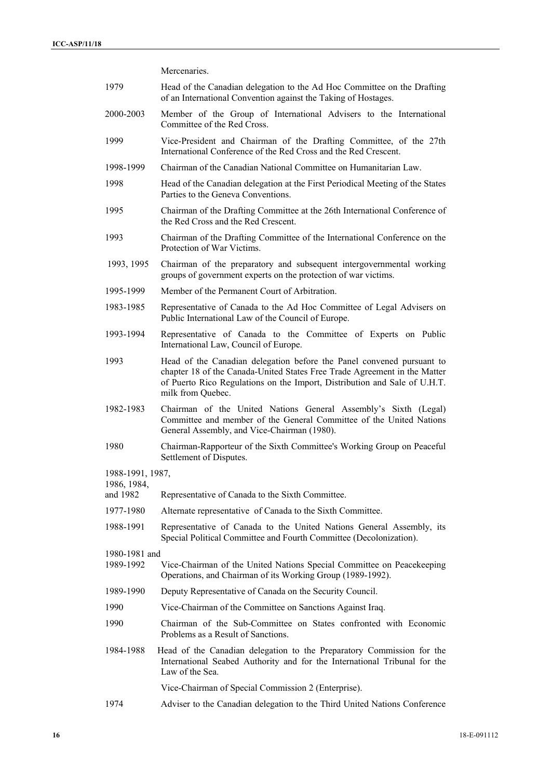Mercenaries.

| 1979                    | Head of the Canadian delegation to the Ad Hoc Committee on the Drafting<br>of an International Convention against the Taking of Hostages.                                                                                                            |
|-------------------------|------------------------------------------------------------------------------------------------------------------------------------------------------------------------------------------------------------------------------------------------------|
| 2000-2003               | Member of the Group of International Advisers to the International<br>Committee of the Red Cross.                                                                                                                                                    |
| 1999                    | Vice-President and Chairman of the Drafting Committee, of the 27th<br>International Conference of the Red Cross and the Red Crescent.                                                                                                                |
| 1998-1999               | Chairman of the Canadian National Committee on Humanitarian Law.                                                                                                                                                                                     |
| 1998                    | Head of the Canadian delegation at the First Periodical Meeting of the States<br>Parties to the Geneva Conventions.                                                                                                                                  |
| 1995                    | Chairman of the Drafting Committee at the 26th International Conference of<br>the Red Cross and the Red Crescent.                                                                                                                                    |
| 1993                    | Chairman of the Drafting Committee of the International Conference on the<br>Protection of War Victims.                                                                                                                                              |
| 1993, 1995              | Chairman of the preparatory and subsequent intergovernmental working<br>groups of government experts on the protection of war victims.                                                                                                               |
| 1995-1999               | Member of the Permanent Court of Arbitration.                                                                                                                                                                                                        |
| 1983-1985               | Representative of Canada to the Ad Hoc Committee of Legal Advisers on<br>Public International Law of the Council of Europe.                                                                                                                          |
| 1993-1994               | Representative of Canada to the Committee of Experts on Public<br>International Law, Council of Europe.                                                                                                                                              |
| 1993                    | Head of the Canadian delegation before the Panel convened pursuant to<br>chapter 18 of the Canada-United States Free Trade Agreement in the Matter<br>of Puerto Rico Regulations on the Import, Distribution and Sale of U.H.T.<br>milk from Quebec. |
| 1982-1983               | Chairman of the United Nations General Assembly's Sixth (Legal)<br>Committee and member of the General Committee of the United Nations<br>General Assembly, and Vice-Chairman (1980).                                                                |
| 1980                    | Chairman-Rapporteur of the Sixth Committee's Working Group on Peaceful<br>Settlement of Disputes.                                                                                                                                                    |
| 1988-1991, 1987,        |                                                                                                                                                                                                                                                      |
| 1986, 1984,<br>and 1982 | Representative of Canada to the Sixth Committee.                                                                                                                                                                                                     |
| 1977-1980               | Alternate representative of Canada to the Sixth Committee.                                                                                                                                                                                           |
| 1988-1991               | Representative of Canada to the United Nations General Assembly, its<br>Special Political Committee and Fourth Committee (Decolonization).                                                                                                           |
| 1980-1981 and           |                                                                                                                                                                                                                                                      |
| 1989-1992               | Vice-Chairman of the United Nations Special Committee on Peacekeeping<br>Operations, and Chairman of its Working Group (1989-1992).                                                                                                                  |
| 1989-1990               | Deputy Representative of Canada on the Security Council.                                                                                                                                                                                             |
| 1990                    | Vice-Chairman of the Committee on Sanctions Against Iraq.                                                                                                                                                                                            |
| 1990                    | Chairman of the Sub-Committee on States confronted with Economic<br>Problems as a Result of Sanctions.                                                                                                                                               |
| 1984-1988               | Head of the Canadian delegation to the Preparatory Commission for the<br>International Seabed Authority and for the International Tribunal for the<br>Law of the Sea.                                                                                |
|                         | Vice-Chairman of Special Commission 2 (Enterprise).                                                                                                                                                                                                  |
| 1974                    | Adviser to the Canadian delegation to the Third United Nations Conference                                                                                                                                                                            |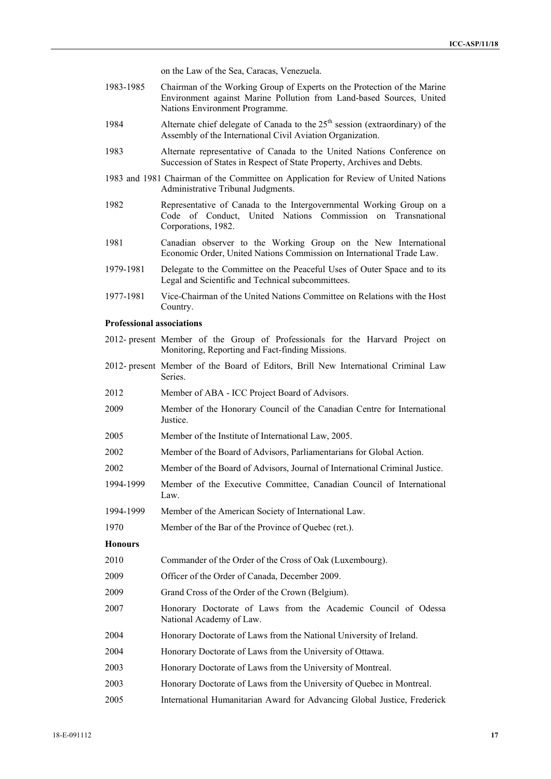on the Law of the Sea, Caracas, Venezuela.

- 1983-1985 Chairman of the Working Group of Experts on the Protection of the Marine Environment against Marine Pollution from Land-based Sources, United Nations Environment Programme.
- 1984 Alternate chief delegate of Canada to the  $25<sup>th</sup>$  session (extraordinary) of the Assembly of the International Civil Aviation Organization.
- 1983 Alternate representative of Canada to the United Nations Conference on Succession of States in Respect of State Property, Archives and Debts.
- 1983 and 1981 Chairman of the Committee on Application for Review of United Nations Administrative Tribunal Judgments.
- 1982 Representative of Canada to the Intergovernmental Working Group on a Code of Conduct, United Nations Commission on Transnational Corporations, 1982.
- 1981 Canadian observer to the Working Group on the New International Economic Order, United Nations Commission on International Trade Law.
- 1979-1981 Delegate to the Committee on the Peaceful Uses of Outer Space and to its Legal and Scientific and Technical subcommittees.
- 1977-1981 Vice-Chairman of the United Nations Committee on Relations with the Host Country.

### **Professional associations**

- 2012- present Member of the Group of Professionals for the Harvard Project on Monitoring, Reporting and Fact-finding Missions.
- 2012- present Member of the Board of Editors, Brill New International Criminal Law Series.
- 2012 Member of ABA ICC Project Board of Advisors.
- 2009 Member of the Honorary Council of the Canadian Centre for International Justice.
- 2005 Member of the Institute of International Law, 2005.
- 2002 Member of the Board of Advisors, Parliamentarians for Global Action.
- 2002 Member of the Board of Advisors, Journal of International Criminal Justice.
- 1994-1999 Member of the Executive Committee, Canadian Council of International Law.
- 1994-1999 Member of the American Society of International Law.
- 1970 Member of the Bar of the Province of Quebec (ret.).

# **Honours**

- 2010 Commander of the Order of the Cross of Oak (Luxembourg).
- 2009 Officer of the Order of Canada, December 2009.
- 2009 Grand Cross of the Order of the Crown (Belgium).
- 2007 Honorary Doctorate of Laws from the Academic Council of Odessa National Academy of Law.
- 2004 Honorary Doctorate of Laws from the National University of Ireland.
- 2004 Honorary Doctorate of Laws from the University of Ottawa.
- 2003 Honorary Doctorate of Laws from the University of Montreal.
- 2003 Honorary Doctorate of Laws from the University of Quebec in Montreal.
- 2005 International Humanitarian Award for Advancing Global Justice, Frederick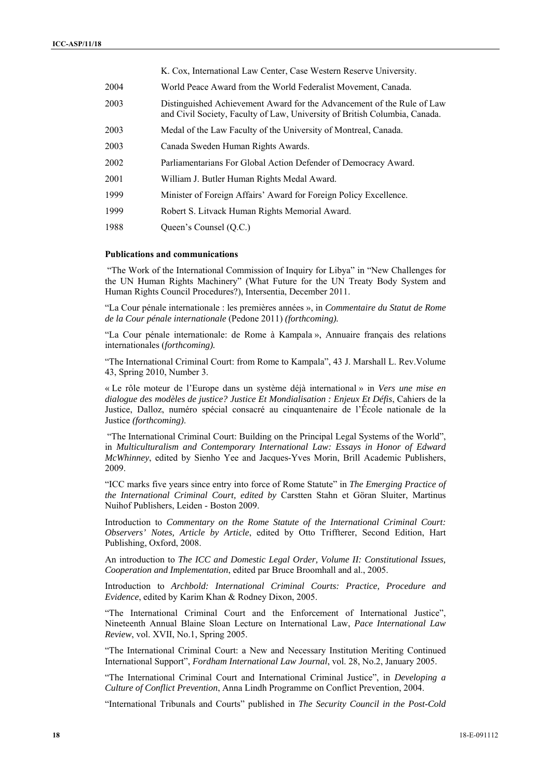|      | K. Cox, International Law Center, Case Western Reserve University.                                                                                   |
|------|------------------------------------------------------------------------------------------------------------------------------------------------------|
| 2004 | World Peace Award from the World Federalist Movement, Canada.                                                                                        |
| 2003 | Distinguished Achievement Award for the Advancement of the Rule of Law<br>and Civil Society, Faculty of Law, University of British Columbia, Canada. |
| 2003 | Medal of the Law Faculty of the University of Montreal, Canada.                                                                                      |
| 2003 | Canada Sweden Human Rights Awards.                                                                                                                   |
| 2002 | Parliamentarians For Global Action Defender of Democracy Award.                                                                                      |
| 2001 | William J. Butler Human Rights Medal Award.                                                                                                          |
| 1999 | Minister of Foreign Affairs' Award for Foreign Policy Excellence.                                                                                    |
| 1999 | Robert S. Litvack Human Rights Memorial Award.                                                                                                       |
| 1988 | Queen's Counsel (O.C.)                                                                                                                               |

### **Publications and communications**

 "The Work of the International Commission of Inquiry for Libya" in "New Challenges for the UN Human Rights Machinery" (What Future for the UN Treaty Body System and Human Rights Council Procedures?), Intersentia, December 2011.

"La Cour pénale internationale : les premières années », in *Commentaire du Statut de Rome de la Cour pénale internationale* (Pedone 2011) *(forthcoming).*

"La Cour pénale internationale: de Rome à Kampala », Annuaire français des relations internationales (*forthcoming).*

"The International Criminal Court: from Rome to Kampala", 43 J. Marshall L. Rev.Volume 43, Spring 2010, Number 3.

« Le rôle moteur de l'Europe dans un système déjà international » in *Vers une mise en dialogue des modèles de justice? Justice Et Mondialisation : Enjeux Et Défis*, Cahiers de la Justice, Dalloz, numéro spécial consacré au cinquantenaire de l'École nationale de la Justice *(forthcoming)*.

 "The International Criminal Court: Building on the Principal Legal Systems of the World", in *Multiculturalism and Contemporary International Law: Essays in Honor of Edward McWhinney*, edited by Sienho Yee and Jacques-Yves Morin, Brill Academic Publishers, 2009.

"ICC marks five years since entry into force of Rome Statute" in *The Emerging Practice of the International Criminal Court, edited by* Carstten Stahn et Göran Sluiter, Martinus Nuihof Publishers, Leiden - Boston 2009.

Introduction to *Commentary on the Rome Statute of the International Criminal Court: Observers' Notes, Article by Article*, edited by Otto Triffterer, Second Edition, Hart Publishing, Oxford, 2008.

An introduction to *The ICC and Domestic Legal Order, Volume II: Constitutional Issues, Cooperation and Implementation*, edited par Bruce Broomhall and al., 2005.

Introduction to *Archbold: International Criminal Courts: Practice, Procedure and Evidence*, edited by Karim Khan & Rodney Dixon, 2005.

"The International Criminal Court and the Enforcement of International Justice", Nineteenth Annual Blaine Sloan Lecture on International Law, *Pace International Law Review*, vol. XVII, No.1, Spring 2005.

"The International Criminal Court: a New and Necessary Institution Meriting Continued International Support", *Fordham International Law Journal*, vol. 28, No.2, January 2005.

"The International Criminal Court and International Criminal Justice", in *Developing a Culture of Conflict Prevention*, Anna Lindh Programme on Conflict Prevention, 2004.

"International Tribunals and Courts" published in *The Security Council in the Post-Cold*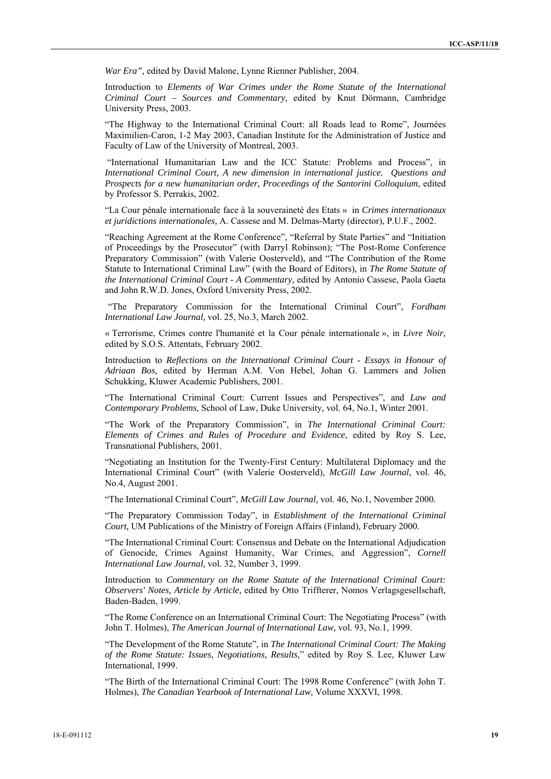*War Era",* edited by David Malone, Lynne Rienner Publisher, 2004.

Introduction to *Elements of War Crimes under the Rome Statute of the International Criminal Court – Sources and Commentary,* edited by Knut Dörmann, Cambridge University Press, 2003.

"The Highway to the International Criminal Court: all Roads lead to Rome", Journées Maximilien-Caron, 1-2 May 2003, Canadian Institute for the Administration of Justice and Faculty of Law of the University of Montreal, 2003.

 "International Humanitarian Law and the ICC Statute: Problems and Process", in *International Criminal Court, A new dimension in international justice. Questions and Prospects for a new humanitarian order, Proceedings of the Santorini Colloquium*, edited by Professor S. Perrakis, 2002.

"La Cour pénale internationale face à la souveraineté des Etats » in *Crimes internationaux et juridictions internationales,* A. Cassese and M. Delmas-Marty (director), P.U.F., 2002.

"Reaching Agreement at the Rome Conference", "Referral by State Parties" and "Initiation of Proceedings by the Prosecutor" (with Darryl Robinson); "The Post-Rome Conference Preparatory Commission" (with Valerie Oosterveld), and "The Contribution of the Rome Statute to International Criminal Law" (with the Board of Editors), in *The Rome Statute of the International Criminal Court - A Commentary,* edited by Antonio Cassese, Paola Gaeta and John R.W.D. Jones, Oxford University Press, 2002.

"The Preparatory Commission for the International Criminal Court", *Fordham International Law Journal,* vol. 25, No.3, March 2002.

« Terrorisme, Crimes contre l'humanité et la Cour pénale internationale », in *Livre Noir,*  edited by S.O.S. Attentats, February 2002.

Introduction to *Reflections on the International Criminal Court* - *Essays in Honour of Adriaan Bos,* edited by Herman A.M. Von Hebel, Johan G. Lammers and Jolien Schukking, Kluwer Academic Publishers, 2001.

"The International Criminal Court: Current Issues and Perspectives", and *Law and Contemporary Problems,* School of Law, Duke University*,* vol. 64, No.1, Winter 2001.

"The Work of the Preparatory Commission", in *The International Criminal Court: Elements of Crimes and Rules of Procedure and Evidence,* edited by Roy S. Lee, Transnational Publishers, 2001.

"Negotiating an Institution for the Twenty-First Century: Multilateral Diplomacy and the International Criminal Court" (with Valerie Oosterveld), *McGill Law Journal,* vol. 46, No.4, August 2001.

"The International Criminal Court", *McGill Law Journal,* vol. 46, No.1, November 2000.

"The Preparatory Commission Today", in *Establishment of the International Criminal Court,* UM Publications of the Ministry of Foreign Affairs (Finland), February 2000.

"The International Criminal Court: Consensus and Debate on the International Adjudication of Genocide, Crimes Against Humanity, War Crimes, and Aggression", *Cornell International Law Journal,* vol. 32, Number 3, 1999.

Introduction to *Commentary on the Rome Statute of the International Criminal Court: Observers' Notes, Article by Article,* edited by Otto Triffterer, Nomos Verlagsgesellschaft, Baden-Baden, 1999.

"The Rome Conference on an International Criminal Court: The Negotiating Process" (with John T. Holmes), *The American Journal of International Law,* vol. 93, No.1, 1999.

"The Development of the Rome Statute", in *The International Criminal Court: The Making of the Rome Statute: Issues, Negotiations, Results,*" edited by Roy S. Lee, Kluwer Law International, 1999.

"The Birth of the International Criminal Court: The 1998 Rome Conference" (with John T. Holmes), *The Canadian Yearbook of International Law,* Volume XXXVI, 1998.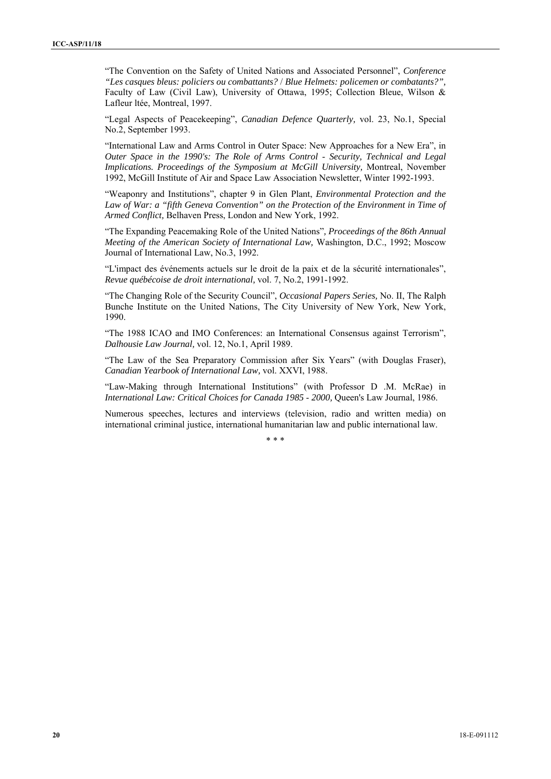"The Convention on the Safety of United Nations and Associated Personnel", *Conference "Les casques bleus: policiers ou combattants?* / *Blue Helmets: policemen or combatants?",*  Faculty of Law (Civil Law), University of Ottawa, 1995; Collection Bleue, Wilson & Lafleur ltée, Montreal, 1997.

"Legal Aspects of Peacekeeping", *Canadian Defence Quarterly,* vol. 23, No.1, Special No.2, September 1993.

"International Law and Arms Control in Outer Space: New Approaches for a New Era", in *Outer Space in the 1990's: The Role of Arms Control* - *Security, Technical and Legal Implications. Proceedings of the Symposium at McGill University,* Montreal, November 1992, McGill Institute of Air and Space Law Association Newsletter, Winter 1992-1993.

"Weaponry and Institutions", chapter 9 in Glen Plant, *Environmental Protection and the*  Law of War: a "fifth Geneva Convention" on the Protection of the Environment in Time of *Armed Conflict,* Belhaven Press, London and New York, 1992.

"The Expanding Peacemaking Role of the United Nations"*, Proceedings of the 86th Annual Meeting of the American Society of International Law,* Washington, D.C., 1992; Moscow Journal of International Law, No.3, 1992.

"L'impact des événements actuels sur le droit de la paix et de la sécurité internationales", *Revue québécoise de droit international,* vol. 7, No.2, 1991-1992.

"The Changing Role of the Security Council", *Occasional Papers Series,* No. II, The Ralph Bunche Institute on the United Nations, The City University of New York, New York, 1990.

"The 1988 ICAO and IMO Conferences: an International Consensus against Terrorism", *Dalhousie Law Journal,* vol. 12, No.1, April 1989.

"The Law of the Sea Preparatory Commission after Six Years" (with Douglas Fraser), *Canadian Yearbook of International Law,* vol. XXVI, 1988.

"Law-Making through International Institutions" (with Professor D .M. McRae) in *International Law: Critical Choices for Canada 1985* - *2000,* Queen's Law Journal, 1986.

Numerous speeches, lectures and interviews (television, radio and written media) on international criminal justice, international humanitarian law and public international law.

\* \* \*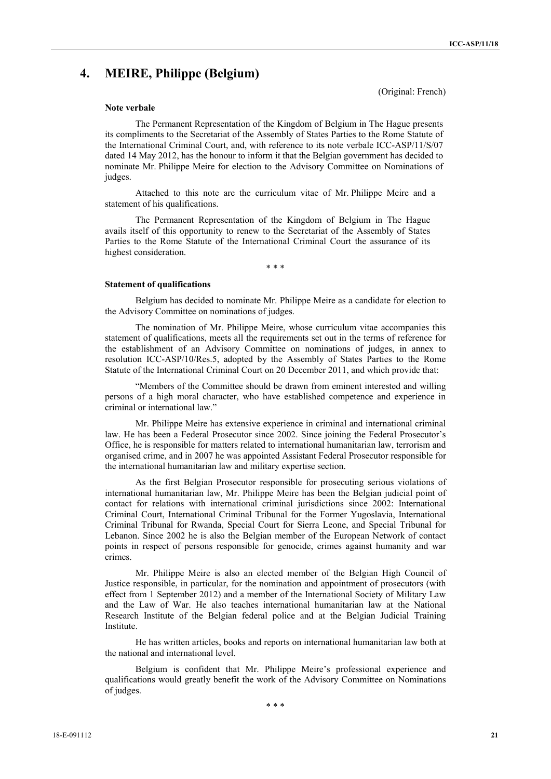# **4. MEIRE, Philippe (Belgium)**

(Original: French)

### **Note verbale**

The Permanent Representation of the Kingdom of Belgium in The Hague presents its compliments to the Secretariat of the Assembly of States Parties to the Rome Statute of the International Criminal Court, and, with reference to its note verbale ICC-ASP/11/S/07 dated 14 May 2012, has the honour to inform it that the Belgian government has decided to nominate Mr. Philippe Meire for election to the Advisory Committee on Nominations of judges.

Attached to this note are the curriculum vitae of Mr. Philippe Meire and a statement of his qualifications.

The Permanent Representation of the Kingdom of Belgium in The Hague avails itself of this opportunity to renew to the Secretariat of the Assembly of States Parties to the Rome Statute of the International Criminal Court the assurance of its highest consideration.

\* \* \*

#### **Statement of qualifications**

Belgium has decided to nominate Mr. Philippe Meire as a candidate for election to the Advisory Committee on nominations of judges.

The nomination of Mr. Philippe Meire, whose curriculum vitae accompanies this statement of qualifications, meets all the requirements set out in the terms of reference for the establishment of an Advisory Committee on nominations of judges, in annex to resolution ICC-ASP/10/Res.5, adopted by the Assembly of States Parties to the Rome Statute of the International Criminal Court on 20 December 2011, and which provide that:

"Members of the Committee should be drawn from eminent interested and willing persons of a high moral character, who have established competence and experience in criminal or international law."

Mr. Philippe Meire has extensive experience in criminal and international criminal law. He has been a Federal Prosecutor since 2002. Since joining the Federal Prosecutor's Office, he is responsible for matters related to international humanitarian law, terrorism and organised crime, and in 2007 he was appointed Assistant Federal Prosecutor responsible for the international humanitarian law and military expertise section.

As the first Belgian Prosecutor responsible for prosecuting serious violations of international humanitarian law, Mr. Philippe Meire has been the Belgian judicial point of contact for relations with international criminal jurisdictions since 2002: International Criminal Court, International Criminal Tribunal for the Former Yugoslavia, International Criminal Tribunal for Rwanda, Special Court for Sierra Leone, and Special Tribunal for Lebanon. Since 2002 he is also the Belgian member of the European Network of contact points in respect of persons responsible for genocide, crimes against humanity and war crimes.

Mr. Philippe Meire is also an elected member of the Belgian High Council of Justice responsible, in particular, for the nomination and appointment of prosecutors (with effect from 1 September 2012) and a member of the International Society of Military Law and the Law of War. He also teaches international humanitarian law at the National Research Institute of the Belgian federal police and at the Belgian Judicial Training Institute.

He has written articles, books and reports on international humanitarian law both at the national and international level.

Belgium is confident that Mr. Philippe Meire's professional experience and qualifications would greatly benefit the work of the Advisory Committee on Nominations of judges.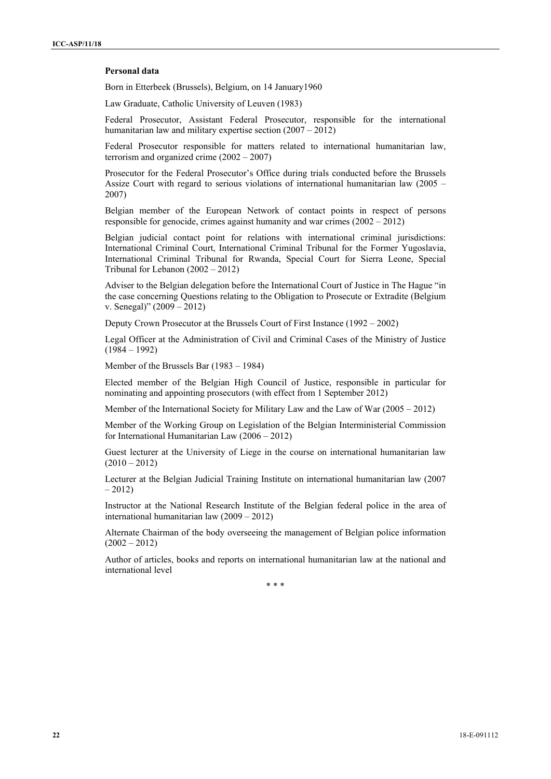### **Personal data**

Born in Etterbeek (Brussels), Belgium, on 14 January1960

Law Graduate, Catholic University of Leuven (1983)

Federal Prosecutor, Assistant Federal Prosecutor, responsible for the international humanitarian law and military expertise section  $(2007 - 2012)$ 

Federal Prosecutor responsible for matters related to international humanitarian law, terrorism and organized crime (2002 – 2007)

Prosecutor for the Federal Prosecutor's Office during trials conducted before the Brussels Assize Court with regard to serious violations of international humanitarian law (2005 – 2007)

Belgian member of the European Network of contact points in respect of persons responsible for genocide, crimes against humanity and war crimes (2002 – 2012)

Belgian judicial contact point for relations with international criminal jurisdictions: International Criminal Court, International Criminal Tribunal for the Former Yugoslavia, International Criminal Tribunal for Rwanda, Special Court for Sierra Leone, Special Tribunal for Lebanon (2002 – 2012)

Adviser to the Belgian delegation before the International Court of Justice in The Hague "in the case concerning Questions relating to the Obligation to Prosecute or Extradite (Belgium v. Senegal)" (2009 – 2012)

Deputy Crown Prosecutor at the Brussels Court of First Instance (1992 – 2002)

Legal Officer at the Administration of Civil and Criminal Cases of the Ministry of Justice (1984 – 1992)

Member of the Brussels Bar (1983 – 1984)

Elected member of the Belgian High Council of Justice, responsible in particular for nominating and appointing prosecutors (with effect from 1 September 2012)

Member of the International Society for Military Law and the Law of War (2005 – 2012)

Member of the Working Group on Legislation of the Belgian Interministerial Commission for International Humanitarian Law (2006 – 2012)

Guest lecturer at the University of Liege in the course on international humanitarian law  $(2010 - 2012)$ 

Lecturer at the Belgian Judicial Training Institute on international humanitarian law (2007  $-2012$ 

Instructor at the National Research Institute of the Belgian federal police in the area of international humanitarian law (2009 – 2012)

Alternate Chairman of the body overseeing the management of Belgian police information  $(2002 - 2012)$ 

Author of articles, books and reports on international humanitarian law at the national and international level

\* \* \*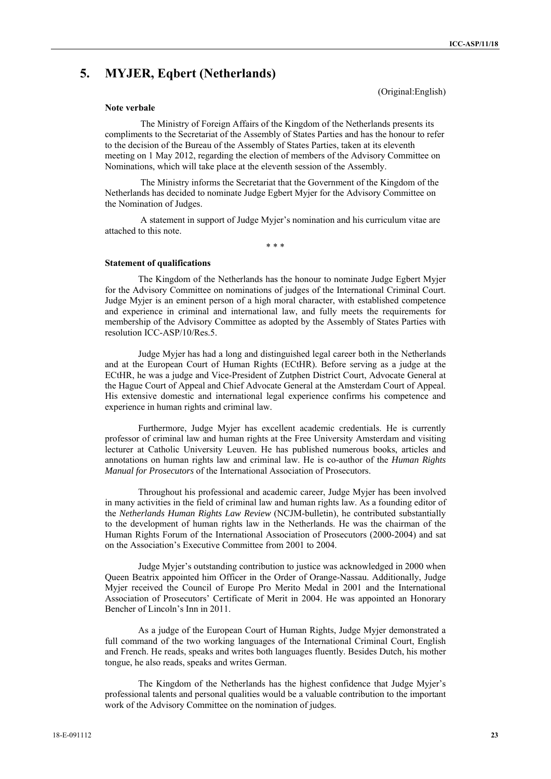# **5. MYJER, Eqbert (Netherlands)**

(Original:English)

#### **Note verbale**

The Ministry of Foreign Affairs of the Kingdom of the Netherlands presents its compliments to the Secretariat of the Assembly of States Parties and has the honour to refer to the decision of the Bureau of the Assembly of States Parties, taken at its eleventh meeting on 1 May 2012, regarding the election of members of the Advisory Committee on Nominations, which will take place at the eleventh session of the Assembly.

The Ministry informs the Secretariat that the Government of the Kingdom of the Netherlands has decided to nominate Judge Egbert Myjer for the Advisory Committee on the Nomination of Judges.

A statement in support of Judge Myjer's nomination and his curriculum vitae are attached to this note.

\* \* \*

### **Statement of qualifications**

The Kingdom of the Netherlands has the honour to nominate Judge Egbert Myjer for the Advisory Committee on nominations of judges of the International Criminal Court. Judge Myjer is an eminent person of a high moral character, with established competence and experience in criminal and international law, and fully meets the requirements for membership of the Advisory Committee as adopted by the Assembly of States Parties with resolution ICC-ASP/10/Res.5.

Judge Myjer has had a long and distinguished legal career both in the Netherlands and at the European Court of Human Rights (ECtHR). Before serving as a judge at the ECtHR, he was a judge and Vice-President of Zutphen District Court, Advocate General at the Hague Court of Appeal and Chief Advocate General at the Amsterdam Court of Appeal. His extensive domestic and international legal experience confirms his competence and experience in human rights and criminal law.

Furthermore, Judge Myjer has excellent academic credentials. He is currently professor of criminal law and human rights at the Free University Amsterdam and visiting lecturer at Catholic University Leuven. He has published numerous books, articles and annotations on human rights law and criminal law. He is co-author of the *Human Rights Manual for Prosecutors* of the International Association of Prosecutors.

Throughout his professional and academic career, Judge Myjer has been involved in many activities in the field of criminal law and human rights law. As a founding editor of the *Netherlands Human Rights Law Review* (NCJM-bulletin), he contributed substantially to the development of human rights law in the Netherlands. He was the chairman of the Human Rights Forum of the International Association of Prosecutors (2000-2004) and sat on the Association's Executive Committee from 2001 to 2004.

Judge Myjer's outstanding contribution to justice was acknowledged in 2000 when Queen Beatrix appointed him Officer in the Order of Orange-Nassau. Additionally, Judge Myjer received the Council of Europe Pro Merito Medal in 2001 and the International Association of Prosecutors' Certificate of Merit in 2004. He was appointed an Honorary Bencher of Lincoln's Inn in 2011.

As a judge of the European Court of Human Rights, Judge Myjer demonstrated a full command of the two working languages of the International Criminal Court, English and French. He reads, speaks and writes both languages fluently. Besides Dutch, his mother tongue, he also reads, speaks and writes German.

The Kingdom of the Netherlands has the highest confidence that Judge Myjer's professional talents and personal qualities would be a valuable contribution to the important work of the Advisory Committee on the nomination of judges.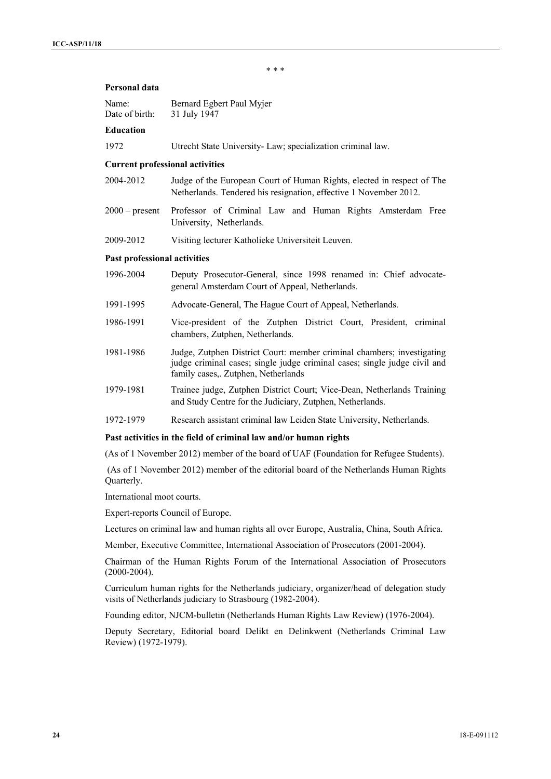\* \* \*

# **Personal data**

| Name:          | Bernard Egbert Paul Myjer |
|----------------|---------------------------|
| Date of birth: | 31 July 1947              |

### **Education**

1972 Utrecht State University- Law; specialization criminal law.

#### **Current professional activities**

- 2004-2012 Judge of the European Court of Human Rights, elected in respect of The Netherlands. Tendered his resignation, effective 1 November 2012.
- 2000 present Professor of Criminal Law and Human Rights Amsterdam Free University, Netherlands.
- 2009-2012 Visiting lecturer Katholieke Universiteit Leuven.

### **Past professional activities**

| 1996-2004 | Deputy Prosecutor-General, since 1998 renamed in: Chief advocate-<br>general Amsterdam Court of Appeal, Netherlands.                                                                       |
|-----------|--------------------------------------------------------------------------------------------------------------------------------------------------------------------------------------------|
| 1991-1995 | Advocate-General, The Hague Court of Appeal, Netherlands.                                                                                                                                  |
| 1986-1991 | Vice-president of the Zutphen District Court, President, criminal<br>chambers, Zutphen, Netherlands.                                                                                       |
| 1981-1986 | Judge, Zutphen District Court: member criminal chambers; investigating<br>judge criminal cases; single judge criminal cases; single judge civil and<br>family cases,. Zutphen, Netherlands |
| 1979-1981 | Trainee judge, Zutphen District Court; Vice-Dean, Netherlands Training<br>and Study Centre for the Judiciary, Zutphen, Netherlands.                                                        |
| 1972-1979 | Research assistant criminal law Leiden State University, Netherlands.                                                                                                                      |

#### **Past activities in the field of criminal law and/or human rights**

(As of 1 November 2012) member of the board of UAF (Foundation for Refugee Students).

 (As of 1 November 2012) member of the editorial board of the Netherlands Human Rights Quarterly.

International moot courts.

Expert-reports Council of Europe.

Lectures on criminal law and human rights all over Europe, Australia, China, South Africa.

Member, Executive Committee, International Association of Prosecutors (2001-2004).

Chairman of the Human Rights Forum of the International Association of Prosecutors (2000-2004).

Curriculum human rights for the Netherlands judiciary, organizer/head of delegation study visits of Netherlands judiciary to Strasbourg (1982-2004).

Founding editor, NJCM-bulletin (Netherlands Human Rights Law Review) (1976-2004).

Deputy Secretary, Editorial board Delikt en Delinkwent (Netherlands Criminal Law Review) (1972-1979).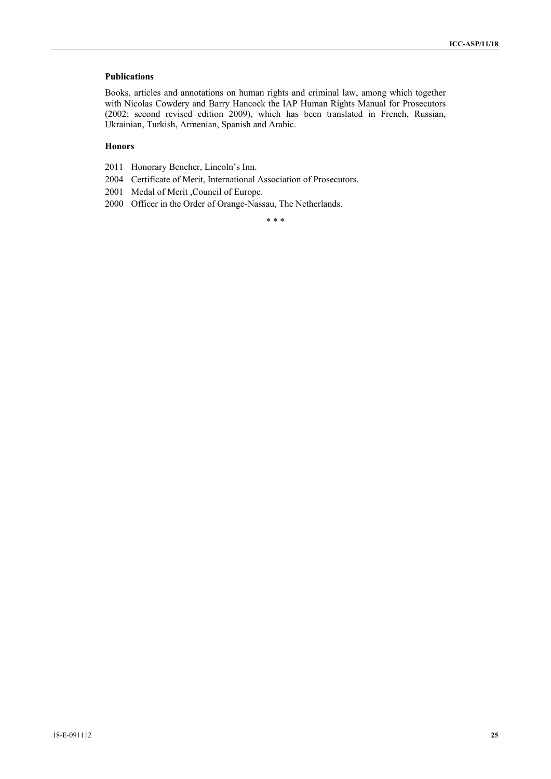# **Publications**

Books, articles and annotations on human rights and criminal law, among which together with Nicolas Cowdery and Barry Hancock the IAP Human Rights Manual for Prosecutors (2002; second revised edition 2009), which has been translated in French, Russian, Ukrainian, Turkish, Armenian, Spanish and Arabic.

### **Honors**

- 2011 Honorary Bencher, Lincoln's Inn.
- 2004 Certificate of Merit, International Association of Prosecutors.
- 2001 Medal of Merit ,Council of Europe.
- 2000 Officer in the Order of Orange-Nassau, The Netherlands.

\* \* \*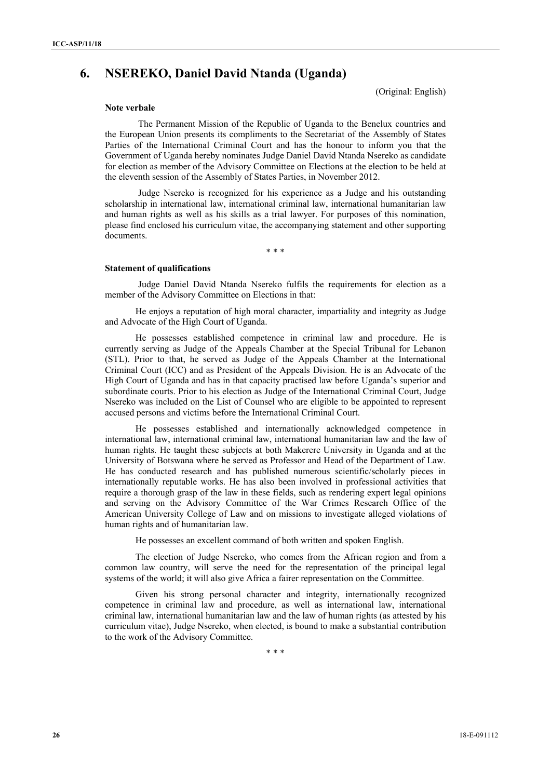# **6. NSEREKO, Daniel David Ntanda (Uganda)**

(Original: English)

#### **Note verbale**

The Permanent Mission of the Republic of Uganda to the Benelux countries and the European Union presents its compliments to the Secretariat of the Assembly of States Parties of the International Criminal Court and has the honour to inform you that the Government of Uganda hereby nominates Judge Daniel David Ntanda Nsereko as candidate for election as member of the Advisory Committee on Elections at the election to be held at the eleventh session of the Assembly of States Parties, in November 2012.

Judge Nsereko is recognized for his experience as a Judge and his outstanding scholarship in international law, international criminal law, international humanitarian law and human rights as well as his skills as a trial lawyer. For purposes of this nomination, please find enclosed his curriculum vitae, the accompanying statement and other supporting documents.

\* \* \*

### **Statement of qualifications**

Judge Daniel David Ntanda Nsereko fulfils the requirements for election as a member of the Advisory Committee on Elections in that:

He enjoys a reputation of high moral character, impartiality and integrity as Judge and Advocate of the High Court of Uganda.

He possesses established competence in criminal law and procedure. He is currently serving as Judge of the Appeals Chamber at the Special Tribunal for Lebanon (STL). Prior to that, he served as Judge of the Appeals Chamber at the International Criminal Court (ICC) and as President of the Appeals Division. He is an Advocate of the High Court of Uganda and has in that capacity practised law before Uganda's superior and subordinate courts. Prior to his election as Judge of the International Criminal Court, Judge Nsereko was included on the List of Counsel who are eligible to be appointed to represent accused persons and victims before the International Criminal Court.

He possesses established and internationally acknowledged competence in international law, international criminal law, international humanitarian law and the law of human rights. He taught these subjects at both Makerere University in Uganda and at the University of Botswana where he served as Professor and Head of the Department of Law. He has conducted research and has published numerous scientific/scholarly pieces in internationally reputable works. He has also been involved in professional activities that require a thorough grasp of the law in these fields, such as rendering expert legal opinions and serving on the Advisory Committee of the War Crimes Research Office of the American University College of Law and on missions to investigate alleged violations of human rights and of humanitarian law.

He possesses an excellent command of both written and spoken English.

The election of Judge Nsereko, who comes from the African region and from a common law country, will serve the need for the representation of the principal legal systems of the world; it will also give Africa a fairer representation on the Committee.

Given his strong personal character and integrity, internationally recognized competence in criminal law and procedure, as well as international law, international criminal law, international humanitarian law and the law of human rights (as attested by his curriculum vitae), Judge Nsereko, when elected, is bound to make a substantial contribution to the work of the Advisory Committee.

\* \* \*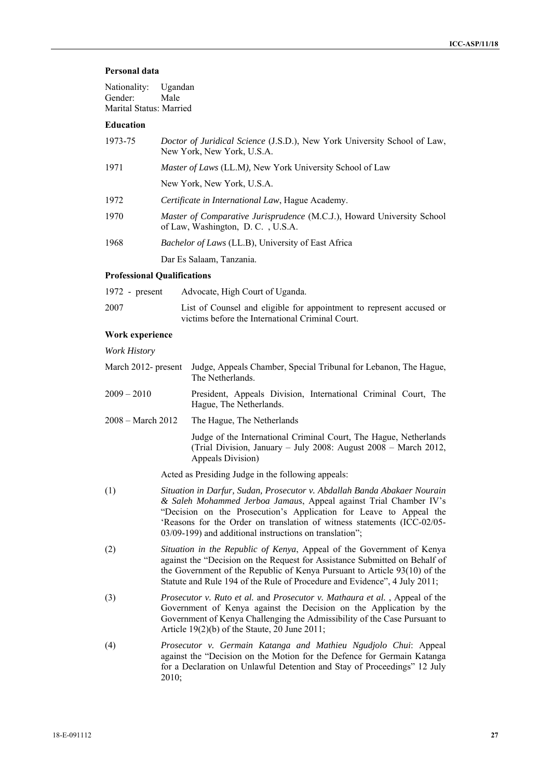### **Personal data**

| Nationality:<br>Gender:<br>Marital Status: Married | Ugandan<br>Male                                                                                               |
|----------------------------------------------------|---------------------------------------------------------------------------------------------------------------|
| <b>Education</b>                                   |                                                                                                               |
| 1973-75                                            | <i>Doctor of Juridical Science</i> (J.S.D.), New York University School of Law,<br>New York, New York, U.S.A. |
| 1971                                               | Master of Laws (LL.M), New York University School of Law                                                      |
|                                                    | New York, New York, U.S.A.                                                                                    |
| 1972                                               | Certificate in International Law, Hague Academy.                                                              |
| 1970                                               | Master of Comparative Jurisprudence (M.C.J.), Howard University School<br>of Law, Washington, D.C., U.S.A.    |
| 1968                                               | <i>Bachelor of Laws</i> (LL.B), University of East Africa                                                     |
|                                                    | Dar Es Salaam, Tanzania.                                                                                      |

#### **Professional Qualifications**

| $1972$ - present | Advocate, High Court of Uganda.                                                                                          |
|------------------|--------------------------------------------------------------------------------------------------------------------------|
| 2007             | List of Counsel and eligible for appointment to represent accused or<br>victims before the International Criminal Court. |

#### **Work experience**

*Work History* 

| March 2012- present Judge, Appeals Chamber, Special Tribunal for Lebanon, The Hague, |
|--------------------------------------------------------------------------------------|
| The Netherlands.                                                                     |

- 2009 2010 President, Appeals Division, International Criminal Court, The Hague, The Netherlands.
- 2008 March 2012 The Hague, The Netherlands

Judge of the International Criminal Court, The Hague, Netherlands (Trial Division, January – July 2008: August 2008 – March 2012, Appeals Division)

Acted as Presiding Judge in the following appeals:

- (1) *Situation in Darfur, Sudan, Prosecutor v. Abdallah Banda Abakaer Nourain & Saleh Mohammed Jerboa Jamaus*, Appeal against Trial Chamber IV's "Decision on the Prosecution's Application for Leave to Appeal the 'Reasons for the Order on translation of witness statements (ICC-02/05- 03/09-199) and additional instructions on translation";
- (2) *Situation in the Republic of Kenya*, Appeal of the Government of Kenya against the "Decision on the Request for Assistance Submitted on Behalf of the Government of the Republic of Kenya Pursuant to Article 93(10) of the Statute and Rule 194 of the Rule of Procedure and Evidence", 4 July 2011;
- (3) *Prosecutor v. Ruto et al.* and *Prosecutor v. Mathaura et al.* , Appeal of the Government of Kenya against the Decision on the Application by the Government of Kenya Challenging the Admissibility of the Case Pursuant to Article 19(2)(b) of the Staute, 20 June 2011;
- (4) *Prosecutor v. Germain Katanga and Mathieu Ngudjolo Chui*: Appeal against the "Decision on the Motion for the Defence for Germain Katanga for a Declaration on Unlawful Detention and Stay of Proceedings" 12 July 2010;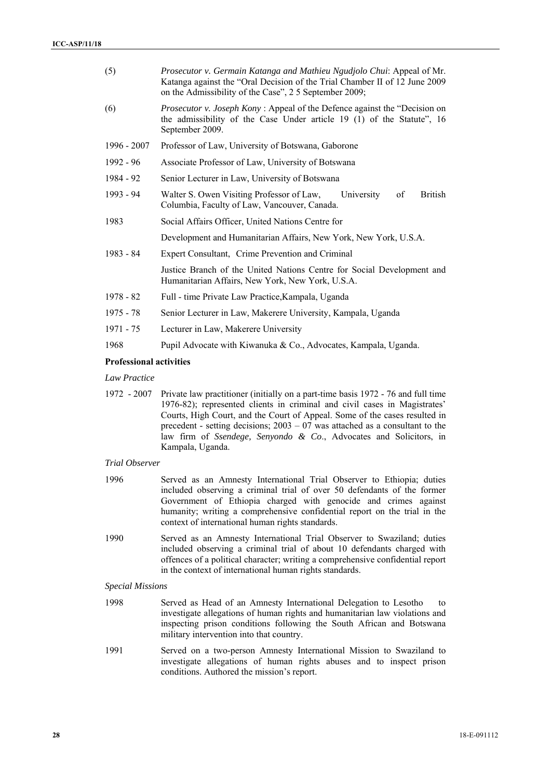| (5)                            | Prosecutor v. Germain Katanga and Mathieu Ngudjolo Chui: Appeal of Mr.<br>Katanga against the "Oral Decision of the Trial Chamber II of 12 June 2009<br>on the Admissibility of the Case", 2 5 September 2009; |  |
|--------------------------------|----------------------------------------------------------------------------------------------------------------------------------------------------------------------------------------------------------------|--|
| (6)                            | <i>Prosecutor v. Joseph Kony</i> : Appeal of the Defence against the "Decision on<br>the admissibility of the Case Under article 19 (1) of the Statute", 16<br>September 2009.                                 |  |
| $1996 - 2007$                  | Professor of Law, University of Botswana, Gaborone                                                                                                                                                             |  |
| $1992 - 96$                    | Associate Professor of Law, University of Botswana                                                                                                                                                             |  |
| 1984 - 92                      | Senior Lecturer in Law, University of Botswana                                                                                                                                                                 |  |
| 1993 - 94                      | Walter S. Owen Visiting Professor of Law,<br>of<br>British<br>University<br>Columbia, Faculty of Law, Vancouver, Canada.                                                                                       |  |
| 1983                           | Social Affairs Officer, United Nations Centre for                                                                                                                                                              |  |
|                                | Development and Humanitarian Affairs, New York, New York, U.S.A.                                                                                                                                               |  |
| 1983 - 84                      | Expert Consultant, Crime Prevention and Criminal                                                                                                                                                               |  |
|                                | Justice Branch of the United Nations Centre for Social Development and<br>Humanitarian Affairs, New York, New York, U.S.A.                                                                                     |  |
| $1978 - 82$                    | Full - time Private Law Practice, Kampala, Uganda                                                                                                                                                              |  |
| $1975 - 78$                    | Senior Lecturer in Law, Makerere University, Kampala, Uganda                                                                                                                                                   |  |
| 1971 - 75                      | Lecturer in Law, Makerere University                                                                                                                                                                           |  |
| 1968                           | Pupil Advocate with Kiwanuka & Co., Advocates, Kampala, Uganda.                                                                                                                                                |  |
| <b>Professional activities</b> |                                                                                                                                                                                                                |  |

*Law Practice* 

1972 - 2007 Private law practitioner (initially on a part-time basis 1972 - 76 and full time 1976-82); represented clients in criminal and civil cases in Magistrates' Courts, High Court, and the Court of Appeal. Some of the cases resulted in precedent - setting decisions; 2003 – 07 was attached as a consultant to the law firm of *Ssendege, Senyondo & Co*., Advocates and Solicitors, in Kampala, Uganda.

# *Trial Observer*

- 1996 Served as an Amnesty International Trial Observer to Ethiopia; duties included observing a criminal trial of over 50 defendants of the former Government of Ethiopia charged with genocide and crimes against humanity; writing a comprehensive confidential report on the trial in the context of international human rights standards.
- 1990 Served as an Amnesty International Trial Observer to Swaziland; duties included observing a criminal trial of about 10 defendants charged with offences of a political character; writing a comprehensive confidential report in the context of international human rights standards.

#### *Special Missions*

- 1998 Served as Head of an Amnesty International Delegation to Lesotho to investigate allegations of human rights and humanitarian law violations and inspecting prison conditions following the South African and Botswana military intervention into that country.
- 1991 Served on a two-person Amnesty International Mission to Swaziland to investigate allegations of human rights abuses and to inspect prison conditions. Authored the mission's report.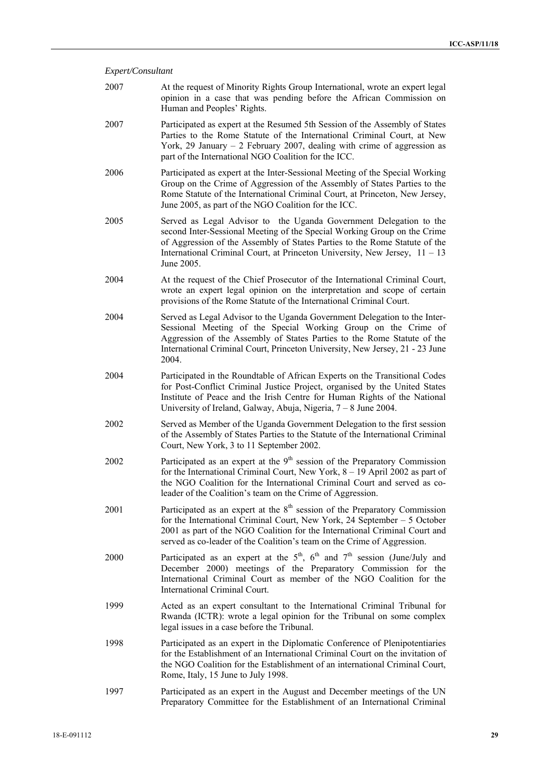# *Expert/Consultant*

| 2007 | At the request of Minority Rights Group International, wrote an expert legal<br>opinion in a case that was pending before the African Commission on<br>Human and Peoples' Rights.                                                                                                                                          |
|------|----------------------------------------------------------------------------------------------------------------------------------------------------------------------------------------------------------------------------------------------------------------------------------------------------------------------------|
| 2007 | Participated as expert at the Resumed 5th Session of the Assembly of States<br>Parties to the Rome Statute of the International Criminal Court, at New<br>York, 29 January $-$ 2 February 2007, dealing with crime of aggression as<br>part of the International NGO Coalition for the ICC.                                |
| 2006 | Participated as expert at the Inter-Sessional Meeting of the Special Working<br>Group on the Crime of Aggression of the Assembly of States Parties to the<br>Rome Statute of the International Criminal Court, at Princeton, New Jersey,<br>June 2005, as part of the NGO Coalition for the ICC.                           |
| 2005 | Served as Legal Advisor to the Uganda Government Delegation to the<br>second Inter-Sessional Meeting of the Special Working Group on the Crime<br>of Aggression of the Assembly of States Parties to the Rome Statute of the<br>International Criminal Court, at Princeton University, New Jersey, $11 - 13$<br>June 2005. |
| 2004 | At the request of the Chief Prosecutor of the International Criminal Court,<br>wrote an expert legal opinion on the interpretation and scope of certain<br>provisions of the Rome Statute of the International Criminal Court.                                                                                             |
| 2004 | Served as Legal Advisor to the Uganda Government Delegation to the Inter-<br>Sessional Meeting of the Special Working Group on the Crime of<br>Aggression of the Assembly of States Parties to the Rome Statute of the<br>International Criminal Court, Princeton University, New Jersey, 21 - 23 June<br>2004.            |
| 2004 | Participated in the Roundtable of African Experts on the Transitional Codes<br>for Post-Conflict Criminal Justice Project, organised by the United States<br>Institute of Peace and the Irish Centre for Human Rights of the National<br>University of Ireland, Galway, Abuja, Nigeria, 7 – 8 June 2004.                   |
| 2002 | Served as Member of the Uganda Government Delegation to the first session<br>of the Assembly of States Parties to the Statute of the International Criminal<br>Court, New York, 3 to 11 September 2002.                                                                                                                    |
| 2002 | Participated as an expert at the 9 <sup>th</sup> session of the Preparatory Commission<br>for the International Criminal Court, New York, 8 - 19 April 2002 as part of<br>the NGO Coalition for the International Criminal Court and served as co-<br>leader of the Coalition's team on the Crime of Aggression.           |
| 2001 | Participated as an expert at the $8th$ session of the Preparatory Commission<br>for the International Criminal Court, New York, 24 September - 5 October<br>2001 as part of the NGO Coalition for the International Criminal Court and<br>served as co-leader of the Coalition's team on the Crime of Aggression.          |
| 2000 | Participated as an expert at the $5th$ , $6th$ and $7th$ session (June/July and<br>December 2000) meetings of the Preparatory Commission for the<br>International Criminal Court as member of the NGO Coalition for the<br>International Criminal Court.                                                                   |
| 1999 | Acted as an expert consultant to the International Criminal Tribunal for<br>Rwanda (ICTR): wrote a legal opinion for the Tribunal on some complex<br>legal issues in a case before the Tribunal.                                                                                                                           |
| 1998 | Participated as an expert in the Diplomatic Conference of Plenipotentiaries<br>for the Establishment of an International Criminal Court on the invitation of<br>the NGO Coalition for the Establishment of an international Criminal Court,<br>Rome, Italy, 15 June to July 1998.                                          |
| 1997 | Participated as an expert in the August and December meetings of the UN<br>Preparatory Committee for the Establishment of an International Criminal                                                                                                                                                                        |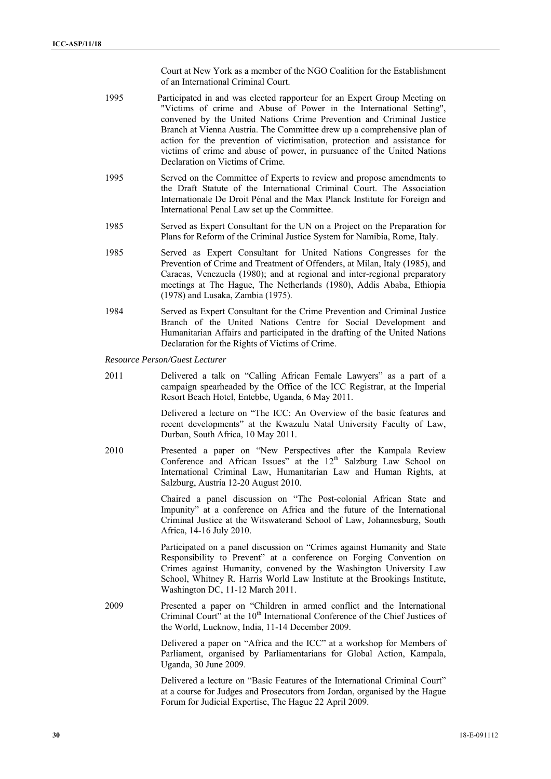Court at New York as a member of the NGO Coalition for the Establishment of an International Criminal Court.

- 1995 Participated in and was elected rapporteur for an Expert Group Meeting on "Victims of crime and Abuse of Power in the International Setting", convened by the United Nations Crime Prevention and Criminal Justice Branch at Vienna Austria. The Committee drew up a comprehensive plan of action for the prevention of victimisation, protection and assistance for victims of crime and abuse of power, in pursuance of the United Nations Declaration on Victims of Crime.
- 1995 Served on the Committee of Experts to review and propose amendments to the Draft Statute of the International Criminal Court. The Association Internationale De Droit Pénal and the Max Planck Institute for Foreign and International Penal Law set up the Committee.
- 1985 Served as Expert Consultant for the UN on a Project on the Preparation for Plans for Reform of the Criminal Justice System for Namibia, Rome, Italy.
- 1985 Served as Expert Consultant for United Nations Congresses for the Prevention of Crime and Treatment of Offenders, at Milan, Italy (1985), and Caracas, Venezuela (1980); and at regional and inter-regional preparatory meetings at The Hague, The Netherlands (1980), Addis Ababa, Ethiopia (1978) and Lusaka, Zambia (1975).
- 1984 Served as Expert Consultant for the Crime Prevention and Criminal Justice Branch of the United Nations Centre for Social Development and Humanitarian Affairs and participated in the drafting of the United Nations Declaration for the Rights of Victims of Crime.

*Resource Person/Guest Lecturer* 

2011 Delivered a talk on "Calling African Female Lawyers" as a part of a campaign spearheaded by the Office of the ICC Registrar, at the Imperial Resort Beach Hotel, Entebbe, Uganda, 6 May 2011.

> Delivered a lecture on "The ICC: An Overview of the basic features and recent developments" at the Kwazulu Natal University Faculty of Law, Durban, South Africa, 10 May 2011.

2010 Presented a paper on "New Perspectives after the Kampala Review Conference and African Issues" at the  $12<sup>th</sup>$  Salzburg Law School on International Criminal Law, Humanitarian Law and Human Rights, at Salzburg, Austria 12-20 August 2010.

> Chaired a panel discussion on "The Post-colonial African State and Impunity" at a conference on Africa and the future of the International Criminal Justice at the Witswaterand School of Law, Johannesburg, South Africa, 14-16 July 2010.

> Participated on a panel discussion on "Crimes against Humanity and State Responsibility to Prevent" at a conference on Forging Convention on Crimes against Humanity, convened by the Washington University Law School, Whitney R. Harris World Law Institute at the Brookings Institute, Washington DC, 11-12 March 2011.

2009 Presented a paper on "Children in armed conflict and the International Criminal Court" at the 10<sup>th</sup> International Conference of the Chief Justices of the World, Lucknow, India, 11-14 December 2009.

> Delivered a paper on "Africa and the ICC" at a workshop for Members of Parliament, organised by Parliamentarians for Global Action, Kampala, Uganda, 30 June 2009.

> Delivered a lecture on "Basic Features of the International Criminal Court" at a course for Judges and Prosecutors from Jordan, organised by the Hague Forum for Judicial Expertise, The Hague 22 April 2009.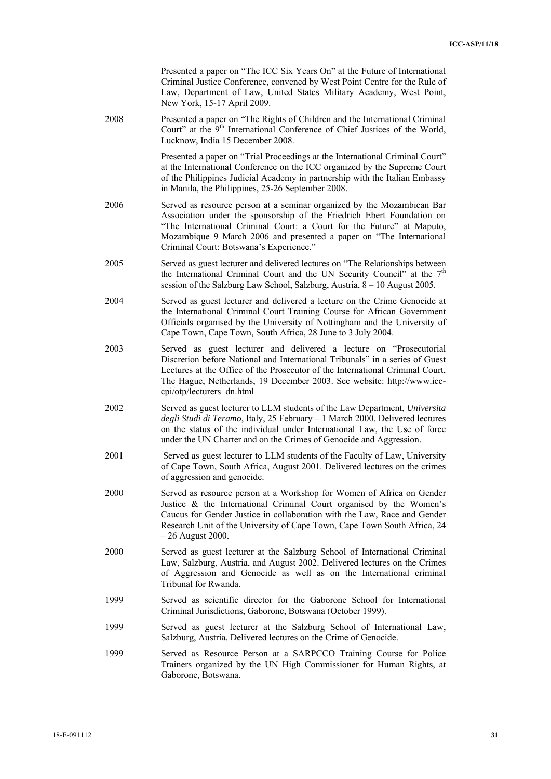Presented a paper on "The ICC Six Years On" at the Future of International Criminal Justice Conference, convened by West Point Centre for the Rule of Law, Department of Law, United States Military Academy, West Point, New York, 15-17 April 2009.

2008 Presented a paper on "The Rights of Children and the International Criminal Court" at the  $9<sup>th</sup>$  International Conference of Chief Justices of the World. Lucknow, India 15 December 2008.

> Presented a paper on "Trial Proceedings at the International Criminal Court" at the International Conference on the ICC organized by the Supreme Court of the Philippines Judicial Academy in partnership with the Italian Embassy in Manila, the Philippines, 25-26 September 2008.

- 2006 Served as resource person at a seminar organized by the Mozambican Bar Association under the sponsorship of the Friedrich Ebert Foundation on "The International Criminal Court: a Court for the Future" at Maputo, Mozambique 9 March 2006 and presented a paper on "The International Criminal Court: Botswana's Experience."
- 2005 Served as guest lecturer and delivered lectures on "The Relationships between the International Criminal Court and the UN Security Council" at the  $7<sup>th</sup>$ session of the Salzburg Law School, Salzburg, Austria, 8 – 10 August 2005.
- 2004 Served as guest lecturer and delivered a lecture on the Crime Genocide at the International Criminal Court Training Course for African Government Officials organised by the University of Nottingham and the University of Cape Town, Cape Town, South Africa, 28 June to 3 July 2004.
- 2003 Served as guest lecturer and delivered a lecture on "Prosecutorial Discretion before National and International Tribunals" in a series of Guest Lectures at the Office of the Prosecutor of the International Criminal Court, The Hague, Netherlands, 19 December 2003. See website: http://www.icccpi/otp/lecturers\_dn.html
- 2002 Served as guest lecturer to LLM students of the Law Department, *Universita degli Studi di Teramo*, Italy, 25 February – 1 March 2000. Delivered lectures on the status of the individual under International Law, the Use of force under the UN Charter and on the Crimes of Genocide and Aggression.
- 2001 Served as guest lecturer to LLM students of the Faculty of Law, University of Cape Town, South Africa, August 2001. Delivered lectures on the crimes of aggression and genocide.
- 2000 Served as resource person at a Workshop for Women of Africa on Gender Justice & the International Criminal Court organised by the Women's Caucus for Gender Justice in collaboration with the Law, Race and Gender Research Unit of the University of Cape Town, Cape Town South Africa, 24 – 26 August 2000.
- 2000 Served as guest lecturer at the Salzburg School of International Criminal Law, Salzburg, Austria, and August 2002. Delivered lectures on the Crimes of Aggression and Genocide as well as on the International criminal Tribunal for Rwanda.
- 1999 Served as scientific director for the Gaborone School for International Criminal Jurisdictions, Gaborone, Botswana (October 1999).
- 1999 Served as guest lecturer at the Salzburg School of International Law, Salzburg, Austria. Delivered lectures on the Crime of Genocide.
- 1999 Served as Resource Person at a SARPCCO Training Course for Police Trainers organized by the UN High Commissioner for Human Rights, at Gaborone, Botswana.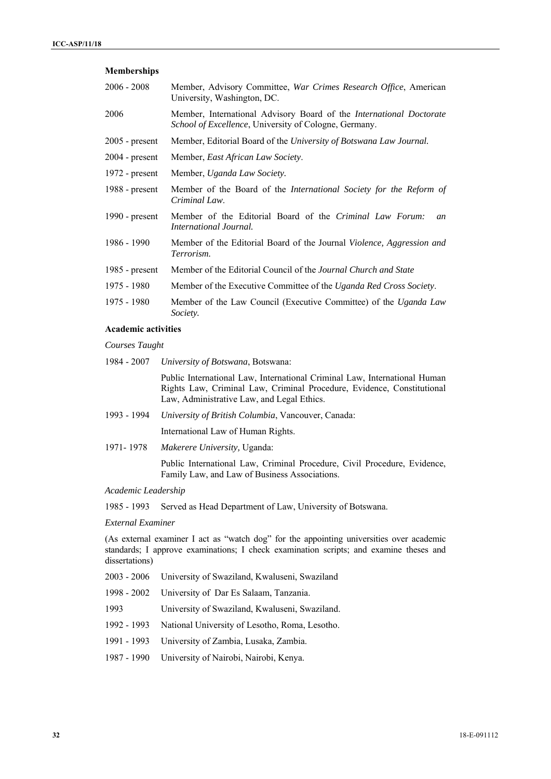### **Memberships**

| 2006 - 2008      | Member, Advisory Committee, War Crimes Research Office, American<br>University, Washington, DC.                                     |
|------------------|-------------------------------------------------------------------------------------------------------------------------------------|
| 2006             | Member, International Advisory Board of the <i>International Doctorate</i><br>School of Excellence, University of Cologne, Germany. |
| $2005$ - present | Member, Editorial Board of the University of Botswana Law Journal.                                                                  |
| $2004$ - present | Member, East African Law Society.                                                                                                   |
| $1972$ - present | Member, Uganda Law Society.                                                                                                         |
| 1988 - $present$ | Member of the Board of the International Society for the Reform of<br>Criminal Law.                                                 |
| 1990 - $present$ | Member of the Editorial Board of the Criminal Law Forum:<br>an<br>International Journal.                                            |
| 1986 - 1990      | Member of the Editorial Board of the Journal Violence, Aggression and<br>Terrorism.                                                 |
| $1985$ - present | Member of the Editorial Council of the Journal Church and State                                                                     |
| 1975 - 1980      | Member of the Executive Committee of the Uganda Red Cross Society.                                                                  |
| 1975 - 1980      | Member of the Law Council (Executive Committee) of the Uganda Law<br>Society.                                                       |

### **Academic activities**

*Courses Taught* 

1984 - 2007 *University of Botswana*, Botswana:

Public International Law, International Criminal Law, International Human Rights Law, Criminal Law, Criminal Procedure, Evidence, Constitutional Law, Administrative Law, and Legal Ethics.

1993 - 1994 *University of British Columbia*, Vancouver, Canada:

International Law of Human Rights.

1971- 1978 *Makerere University,* Uganda:

Public International Law, Criminal Procedure, Civil Procedure, Evidence, Family Law, and Law of Business Associations.

*Academic Leadership* 

1985 - 1993 Served as Head Department of Law, University of Botswana.

*External Examiner* 

(As external examiner I act as "watch dog" for the appointing universities over academic standards; I approve examinations; I check examination scripts; and examine theses and dissertations)

- 2003 2006 University of Swaziland, Kwaluseni, Swaziland
- 1998 2002 University of Dar Es Salaam, Tanzania.
- 1993 University of Swaziland, Kwaluseni, Swaziland.
- 1992 1993 National University of Lesotho, Roma, Lesotho.
- 1991 1993 University of Zambia, Lusaka, Zambia.
- 1987 1990 University of Nairobi, Nairobi, Kenya.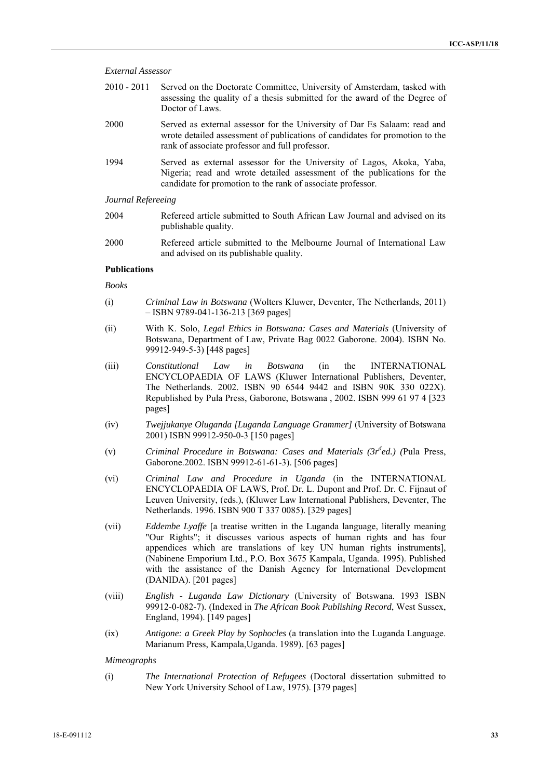| 2010 - 2011 Served on the Doctorate Committee, University of Amsterdam, tasked with |
|-------------------------------------------------------------------------------------|
| assessing the quality of a thesis submitted for the award of the Degree of          |
| Doctor of Laws.                                                                     |

- 2000 Served as external assessor for the University of Dar Es Salaam: read and wrote detailed assessment of publications of candidates for promotion to the rank of associate professor and full professor.
- 1994 Served as external assessor for the University of Lagos, Akoka, Yaba, Nigeria; read and wrote detailed assessment of the publications for the candidate for promotion to the rank of associate professor.

### *Journal Refereeing*

- 2004 Refereed article submitted to South African Law Journal and advised on its publishable quality.
- 2000 Refereed article submitted to the Melbourne Journal of International Law and advised on its publishable quality.

### **Publications**

*Books* 

- (i) *Criminal Law in Botswana* (Wolters Kluwer, Deventer, The Netherlands, 2011) – ISBN 9789-041-136-213 [369 pages]
- (ii) With K. Solo, *Legal Ethics in Botswana: Cases and Materials* (University of Botswana, Department of Law, Private Bag 0022 Gaborone. 2004). ISBN No. 99912-949-5-3) [448 pages]
- (iii) *Constitutional Law in Botswana* (in the INTERNATIONAL ENCYCLOPAEDIA OF LAWS (Kluwer International Publishers, Deventer, The Netherlands. 2002. ISBN 90 6544 9442 and ISBN 90K 330 022X). Republished by Pula Press, Gaborone, Botswana , 2002. ISBN 999 61 97 4 [323 pages]
- (iv) *Twejjukanye Oluganda [Luganda Language Grammer]* (University of Botswana 2001) ISBN 99912-950-0-3 [150 pages]
- (v) *Criminal Procedure in Botswana: Cases and Materials (3r<sup>d</sup>ed.) (Pula Press,* Gaborone.2002. ISBN 99912-61-61-3). [506 pages]
- (vi) *Criminal Law and Procedure in Uganda* (in the INTERNATIONAL ENCYCLOPAEDIA OF LAWS, Prof. Dr. L. Dupont and Prof. Dr. C. Fijnaut of Leuven University, (eds.), (Kluwer Law International Publishers, Deventer, The Netherlands. 1996. ISBN 900 T 337 0085). [329 pages]
- (vii) *Eddembe Lyaffe* [a treatise written in the Luganda language, literally meaning "Our Rights"; it discusses various aspects of human rights and has four appendices which are translations of key UN human rights instruments], (Nabinene Emporium Ltd., P.O. Box 3675 Kampala, Uganda. 1995). Published with the assistance of the Danish Agency for International Development (DANIDA). [201 pages]
- (viii) *English Luganda Law Dictionary* (University of Botswana. 1993 ISBN 99912-0-082-7). (Indexed in *The African Book Publishing Record*, West Sussex, England, 1994). [149 pages]
- (ix) *Antigone: a Greek Play by Sophocles* (a translation into the Luganda Language. Marianum Press, Kampala,Uganda. 1989). [63 pages]

*Mimeographs* 

(i) *The International Protection of Refugees* (Doctoral dissertation submitted to New York University School of Law, 1975). [379 pages]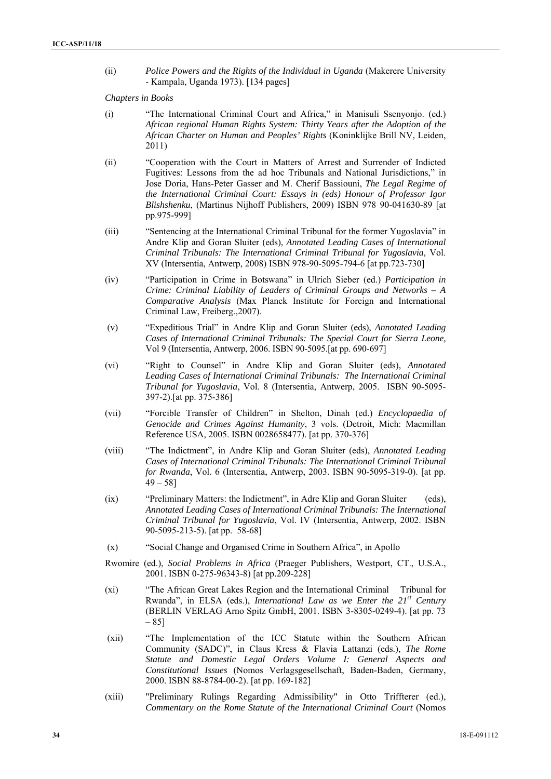(ii) *Police Powers and the Rights of the Individual in Uganda* (Makerere University - Kampala, Uganda 1973). [134 pages]

*Chapters in Books* 

- (i) "The International Criminal Court and Africa," in Manisuli Ssenyonjo. (ed.) *African regional Human Rights System: Thirty Years after the Adoption of the African Charter on Human and Peoples' Rights* (Koninklijke Brill NV, Leiden, 2011)
- (ii) "Cooperation with the Court in Matters of Arrest and Surrender of Indicted Fugitives: Lessons from the ad hoc Tribunals and National Jurisdictions," in Jose Doria, Hans-Peter Gasser and M. Cherif Bassiouni, *The Legal Regime of the International Criminal Court: Essays in (eds) Honour of Professor Igor Blishshenku*, (Martinus Nijhoff Publishers, 2009) ISBN 978 90-041630-89 [at pp.975-999]
- (iii) "Sentencing at the International Criminal Tribunal for the former Yugoslavia" in Andre Klip and Goran Sluiter (eds), *Annotated Leading Cases of International Criminal Tribunals: The International Criminal Tribunal for Yugoslavia,* Vol. XV (Intersentia, Antwerp, 2008) ISBN 978-90-5095-794-6 [at pp.723-730]
- (iv) "Participation in Crime in Botswana" in Ulrich Sieber (ed.) *Participation in Crime: Criminal Liability of Leaders of Criminal Groups and Networks – A Comparative Analysis* (Max Planck Institute for Foreign and International Criminal Law, Freiberg.,2007).
- (v) "Expeditious Trial" in Andre Klip and Goran Sluiter (eds), *Annotated Leading Cases of International Criminal Tribunals: The Special Court for Sierra Leone,*  Vol 9 (Intersentia, Antwerp, 2006. ISBN 90-5095.[at pp. 690-697]
- (vi) "Right to Counsel" in Andre Klip and Goran Sluiter (eds), *Annotated Leading Cases of International Criminal Tribunals: The International Criminal Tribunal for Yugoslavia*, Vol. 8 (Intersentia, Antwerp, 2005. ISBN 90-5095- 397-2).[at pp. 375-386]
- (vii) "Forcible Transfer of Children" in Shelton, Dinah (ed.) *Encyclopaedia of Genocide and Crimes Against Humanity*, 3 vols. (Detroit, Mich: Macmillan Reference USA, 2005. ISBN 0028658477). [at pp. 370-376]
- (viii) "The Indictment", in Andre Klip and Goran Sluiter (eds), *Annotated Leading Cases of International Criminal Tribunals: The International Criminal Tribunal for Rwanda*, Vol. 6 (Intersentia, Antwerp, 2003. ISBN 90-5095-319-0). [at pp.  $49 - 58$ ]
- (ix) "Preliminary Matters: the Indictment", in Adre Klip and Goran Sluiter (eds), *Annotated Leading Cases of International Criminal Tribunals: The International Criminal Tribunal for Yugoslavia*, Vol. IV (Intersentia, Antwerp, 2002. ISBN 90-5095-213-5). [at pp. 58-68]
- (x) "Social Change and Organised Crime in Southern Africa", in Apollo
- Rwomire (ed.), *Social Problems in Africa* (Praeger Publishers, Westport, CT., U.S.A., 2001. ISBN 0-275-96343-8) [at pp.209-228]
- (xi) "The African Great Lakes Region and the International Criminal Tribunal for Rwanda", in ELSA (eds.), *International Law as we Enter the 21st Century* (BERLIN VERLAG Arno Spitz GmbH, 2001. ISBN 3-8305-0249-4). [at pp. 73 – 85]
- (xii) "The Implementation of the ICC Statute within the Southern African Community (SADC)", in Claus Kress & Flavia Lattanzi (eds.), *The Rome Statute and Domestic Legal Orders Volume I: General Aspects and Constitutional Issues* (Nomos Verlagsgesellschaft, Baden-Baden, Germany, 2000. ISBN 88-8784-00-2). [at pp. 169-182]
- (xiii) "Preliminary Rulings Regarding Admissibility" in Otto Triffterer (ed.), *Commentary on the Rome Statute of the International Criminal Court* (Nomos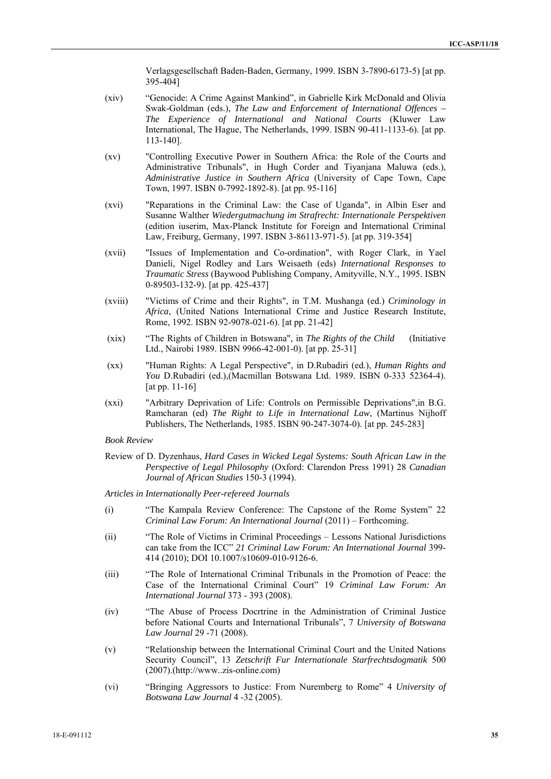Verlagsgesellschaft Baden-Baden, Germany, 1999. ISBN 3-7890-6173-5) [at pp. 395-404]

- (xiv) "Genocide: A Crime Against Mankind", in Gabrielle Kirk McDonald and Olivia Swak-Goldman (eds.), *The Law and Enforcement of International Offences – The Experience of International and National Courts* (Kluwer Law International, The Hague, The Netherlands, 1999. ISBN 90-411-1133-6). [at pp. 113-140].
- (xv) "Controlling Executive Power in Southern Africa: the Role of the Courts and Administrative Tribunals", in Hugh Corder and Tiyanjana Maluwa (eds.), *Administrative Justice in Southern Africa* (University of Cape Town, Cape Town, 1997. ISBN 0-7992-1892-8). [at pp. 95-116]
- (xvi) "Reparations in the Criminal Law: the Case of Uganda", in Albin Eser and Susanne Walther *Wiedergutmachung im Strafrecht: Internationale Perspektiven* (edition iuserim, Max-Planck Institute for Foreign and International Criminal Law, Freiburg, Germany, 1997. ISBN 3-86113-971-5). [at pp. 319-354]
- (xvii) "Issues of Implementation and Co-ordination", with Roger Clark, in Yael Danieli, Nigel Rodley and Lars Weisaeth (eds) *International Responses to Traumatic Stress* (Baywood Publishing Company, Amityville, N.Y., 1995. ISBN 0-89503-132-9). [at pp. 425-437]
- (xviii) "Victims of Crime and their Rights", in T.M. Mushanga (ed.) *Criminology in Africa*, (United Nations International Crime and Justice Research Institute, Rome, 1992. ISBN 92-9078-021-6). [at pp. 21-42]
- (xix) "The Rights of Children in Botswana", in *The Rights of the Child* (Initiative Ltd., Nairobi 1989. ISBN 9966-42-001-0). [at pp. 25-31]
- (xx) "Human Rights: A Legal Perspective", in D.Rubadiri (ed.), *Human Rights and You* D.Rubadiri (ed.),(Macmillan Botswana Ltd. 1989. ISBN 0-333 52364-4). [at pp. 11-16]
- (xxi) "Arbitrary Deprivation of Life: Controls on Permissible Deprivations",in B.G. Ramcharan (ed) *The Right to Life in International Law*, (Martinus Nijhoff Publishers, The Netherlands, 1985. ISBN 90-247-3074-0). [at pp. 245-283]

*Book Review* 

Review of D. Dyzenhaus, *Hard Cases in Wicked Legal Systems: South African Law in the Perspective of Legal Philosophy* (Oxford: Clarendon Press 1991) 28 *Canadian Journal of African Studies* 150-3 (1994).

*Articles in Internationally Peer-refereed Journals* 

- (i) "The Kampala Review Conference: The Capstone of the Rome System" 22 *Criminal Law Forum: An International Journal* (2011) – Forthcoming.
- (ii) "The Role of Victims in Criminal Proceedings Lessons National Jurisdictions can take from the ICC" *21 Criminal Law Forum: An International Journal* 399- 414 (2010); DOI 10.1007/s10609-010-9126-6.
- (iii) "The Role of International Criminal Tribunals in the Promotion of Peace: the Case of the International Criminal Court" 19 *Criminal Law Forum: An International Journal* 373 - 393 (2008).
- (iv) "The Abuse of Process Docrtrine in the Administration of Criminal Justice before National Courts and International Tribunals", 7 *University of Botswana Law Journal* 29 -71 (2008).
- (v) "Relationship between the International Criminal Court and the United Nations Security Council", 13 *Zetschrift Fur Internationale Starfrechtsdogmatik* 500 (2007).(http://www..zis-online.com)
- (vi) "Bringing Aggressors to Justice: From Nuremberg to Rome" 4 *University of Botswana Law Journal* 4 -32 (2005).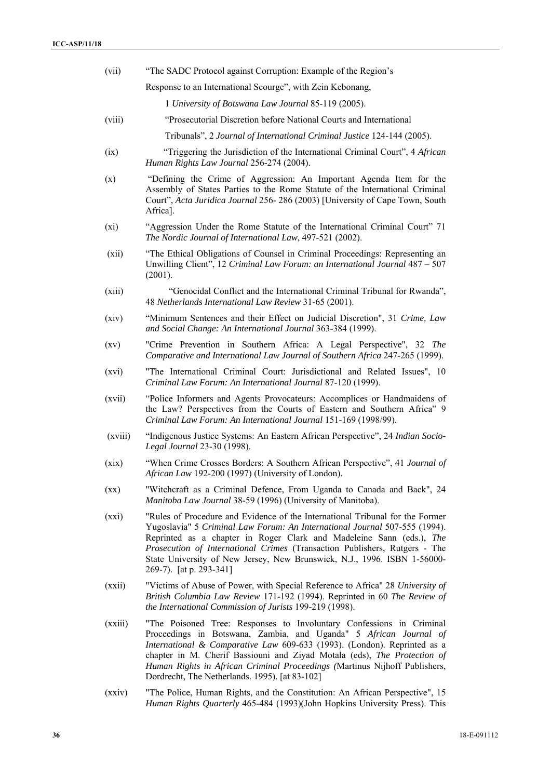| (vii)              | "The SADC Protocol against Corruption: Example of the Region's                                                                                                                                                                                                                                                                                                                                                                    |
|--------------------|-----------------------------------------------------------------------------------------------------------------------------------------------------------------------------------------------------------------------------------------------------------------------------------------------------------------------------------------------------------------------------------------------------------------------------------|
|                    | Response to an International Scourge", with Zein Kebonang,                                                                                                                                                                                                                                                                                                                                                                        |
|                    | 1 University of Botswana Law Journal 85-119 (2005).                                                                                                                                                                                                                                                                                                                                                                               |
| (viii)             | "Prosecutorial Discretion before National Courts and International                                                                                                                                                                                                                                                                                                                                                                |
|                    | Tribunals", 2 Journal of International Criminal Justice 124-144 (2005).                                                                                                                                                                                                                                                                                                                                                           |
| (ix)               | "Triggering the Jurisdiction of the International Criminal Court", 4 African<br>Human Rights Law Journal 256-274 (2004).                                                                                                                                                                                                                                                                                                          |
| (x)                | "Defining the Crime of Aggression: An Important Agenda Item for the<br>Assembly of States Parties to the Rome Statute of the International Criminal<br>Court", Acta Juridica Journal 256-286 (2003) [University of Cape Town, South<br>Africa].                                                                                                                                                                                   |
| (xi)               | "Aggression Under the Rome Statute of the International Criminal Court" 71<br>The Nordic Journal of International Law, 497-521 (2002).                                                                                                                                                                                                                                                                                            |
| (xii)              | "The Ethical Obligations of Counsel in Criminal Proceedings: Representing an<br>Unwilling Client", 12 Criminal Law Forum: an International Journal 487 - 507<br>(2001).                                                                                                                                                                                                                                                           |
| (xiii)             | "Genocidal Conflict and the International Criminal Tribunal for Rwanda",<br>48 Netherlands International Law Review 31-65 (2001).                                                                                                                                                                                                                                                                                                 |
| (xiv)              | "Minimum Sentences and their Effect on Judicial Discretion", 31 Crime, Law<br>and Social Change: An International Journal 363-384 (1999).                                                                                                                                                                                                                                                                                         |
| $\left( xy\right)$ | "Crime Prevention in Southern Africa: A Legal Perspective", 32 The<br>Comparative and International Law Journal of Southern Africa 247-265 (1999).                                                                                                                                                                                                                                                                                |
| (xvi)              | "The International Criminal Court: Jurisdictional and Related Issues", 10<br>Criminal Law Forum: An International Journal 87-120 (1999).                                                                                                                                                                                                                                                                                          |
| (xvii)             | "Police Informers and Agents Provocateurs: Accomplices or Handmaidens of<br>the Law? Perspectives from the Courts of Eastern and Southern Africa" 9<br>Criminal Law Forum: An International Journal 151-169 (1998/99).                                                                                                                                                                                                            |
| (xviii)            | "Indigenous Justice Systems: An Eastern African Perspective", 24 Indian Socio-<br>Legal Journal 23-30 (1998).                                                                                                                                                                                                                                                                                                                     |
| (xix)              | "When Crime Crosses Borders: A Southern African Perspective", 41 Journal of<br>African Law 192-200 (1997) (University of London).                                                                                                                                                                                                                                                                                                 |
| (xx)               | "Witchcraft as a Criminal Defence, From Uganda to Canada and Back", 24<br>Manitoba Law Journal 38-59 (1996) (University of Manitoba).                                                                                                                                                                                                                                                                                             |
| (xxi)              | "Rules of Procedure and Evidence of the International Tribunal for the Former<br>Yugoslavia" 5 Criminal Law Forum: An International Journal 507-555 (1994).<br>Reprinted as a chapter in Roger Clark and Madeleine Sann (eds.), The<br>Prosecution of International Crimes (Transaction Publishers, Rutgers - The<br>State University of New Jersey, New Brunswick, N.J., 1996. ISBN 1-56000-<br>269-7). [at p. 293-341]          |
| (xxii)             | "Victims of Abuse of Power, with Special Reference to Africa" 28 University of<br>British Columbia Law Review 171-192 (1994). Reprinted in 60 The Review of<br>the International Commission of Jurists 199-219 (1998).                                                                                                                                                                                                            |
| (xxiii)            | "The Poisoned Tree: Responses to Involuntary Confessions in Criminal<br>Proceedings in Botswana, Zambia, and Uganda" 5 African Journal of<br>International & Comparative Law 609-633 (1993). (London). Reprinted as a<br>chapter in M. Cherif Bassiouni and Ziyad Motala (eds), The Protection of<br>Human Rights in African Criminal Proceedings (Martinus Nijhoff Publishers,<br>Dordrecht, The Netherlands. 1995). [at 83-102] |
| (xxiv)             | "The Police, Human Rights, and the Constitution: An African Perspective", 15                                                                                                                                                                                                                                                                                                                                                      |

*Human Rights Quarterly* 465-484 (1993)(John Hopkins University Press). This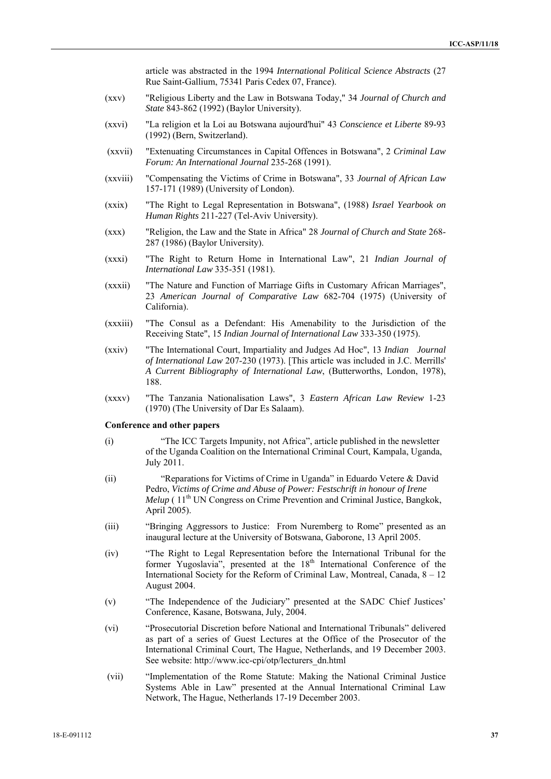article was abstracted in the 1994 *International Political Science Abstracts* (27 Rue Saint-Gallium, 75341 Paris Cedex 07, France).

- (xxv) "Religious Liberty and the Law in Botswana Today," 34 *Journal of Church and State* 843-862 (1992) (Baylor University).
- (xxvi) "La religion et la Loi au Botswana aujourd'hui" 43 *Conscience et Liberte* 89-93 (1992) (Bern, Switzerland).
- (xxvii) "Extenuating Circumstances in Capital Offences in Botswana", 2 *Criminal Law Forum: An International Journal* 235-268 (1991).
- (xxviii) "Compensating the Victims of Crime in Botswana", 33 *Journal of African Law* 157-171 (1989) (University of London).
- (xxix) "The Right to Legal Representation in Botswana", (1988) *Israel Yearbook on Human Rights* 211-227 (Tel-Aviv University).
- (xxx) "Religion, the Law and the State in Africa" 28 *Journal of Church and State* 268- 287 (1986) (Baylor University).
- (xxxi) "The Right to Return Home in International Law", 21 *Indian Journal of International Law* 335-351 (1981).
- (xxxii) "The Nature and Function of Marriage Gifts in Customary African Marriages", 23 *American Journal of Comparative Law* 682-704 (1975) (University of California).
- (xxxiii) "The Consul as a Defendant: His Amenability to the Jurisdiction of the Receiving State", 15 *Indian Journal of International Law* 333-350 (1975).
- (xxiv) "The International Court, Impartiality and Judges Ad Hoc", 13 *Indian Journal of International Law* 207-230 (1973). [This article was included in J.C. Merrills' *A Current Bibliography of International Law*, (Butterworths, London, 1978), 188.
- (xxxv) "The Tanzania Nationalisation Laws", 3 *Eastern African Law Review* 1-23 (1970) (The University of Dar Es Salaam).

#### **Conference and other papers**

- (i) "The ICC Targets Impunity, not Africa", article published in the newsletter of the Uganda Coalition on the International Criminal Court, Kampala, Uganda, July 2011.
- (ii) "Reparations for Victims of Crime in Uganda" in Eduardo Vetere & David Pedro, *Victims of Crime and Abuse of Power: Festschrift in honour of Irene Melup* (11<sup>th</sup> UN Congress on Crime Prevention and Criminal Justice, Bangkok, April 2005).
- (iii) "Bringing Aggressors to Justice: From Nuremberg to Rome" presented as an inaugural lecture at the University of Botswana, Gaborone, 13 April 2005.
- (iv) "The Right to Legal Representation before the International Tribunal for the former Yugoslavia", presented at the 18<sup>th</sup> International Conference of the International Society for the Reform of Criminal Law, Montreal, Canada, 8 – 12 August 2004.
- (v) "The Independence of the Judiciary" presented at the SADC Chief Justices' Conference, Kasane, Botswana, July, 2004.
- (vi) "Prosecutorial Discretion before National and International Tribunals" delivered as part of a series of Guest Lectures at the Office of the Prosecutor of the International Criminal Court, The Hague, Netherlands, and 19 December 2003. See website: http://www.icc-cpi/otp/lecturers\_dn.html
- (vii) "Implementation of the Rome Statute: Making the National Criminal Justice Systems Able in Law" presented at the Annual International Criminal Law Network, The Hague, Netherlands 17-19 December 2003.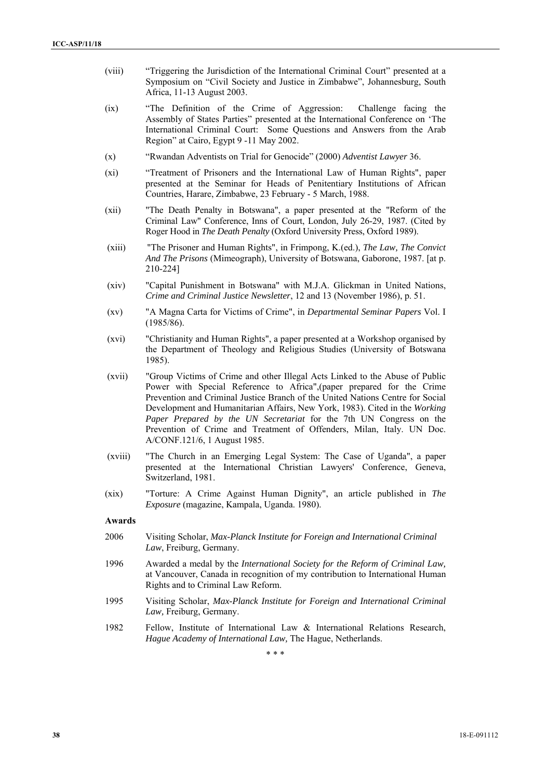- (viii) "Triggering the Jurisdiction of the International Criminal Court" presented at a Symposium on "Civil Society and Justice in Zimbabwe", Johannesburg, South Africa, 11-13 August 2003.
- (ix) "The Definition of the Crime of Aggression: Challenge facing the Assembly of States Parties" presented at the International Conference on 'The International Criminal Court: Some Ouestions and Answers from the Arab Region" at Cairo, Egypt 9 -11 May 2002.
- (x) "Rwandan Adventists on Trial for Genocide" (2000) *Adventist Lawyer* 36.
- (xi) "Treatment of Prisoners and the International Law of Human Rights", paper presented at the Seminar for Heads of Penitentiary Institutions of African Countries, Harare, Zimbabwe, 23 February - 5 March, 1988.
- (xii) "The Death Penalty in Botswana", a paper presented at the "Reform of the Criminal Law" Conference, Inns of Court, London, July 26-29, 1987. (Cited by Roger Hood in *The Death Penalty* (Oxford University Press, Oxford 1989).
- (xiii) "The Prisoner and Human Rights", in Frimpong, K.(ed.), *The Law, The Convict And The Prisons* (Mimeograph), University of Botswana, Gaborone, 1987. [at p. 210-224]
- (xiv) "Capital Punishment in Botswana" with M.J.A. Glickman in United Nations, *Crime and Criminal Justice Newsletter*, 12 and 13 (November 1986), p. 51.
- (xv) "A Magna Carta for Victims of Crime", in *Departmental Seminar Papers* Vol. I (1985/86).
- (xvi) "Christianity and Human Rights", a paper presented at a Workshop organised by the Department of Theology and Religious Studies (University of Botswana 1985).
- (xvii) "Group Victims of Crime and other Illegal Acts Linked to the Abuse of Public Power with Special Reference to Africa",(paper prepared for the Crime Prevention and Criminal Justice Branch of the United Nations Centre for Social Development and Humanitarian Affairs, New York, 1983). Cited in the *Working Paper Prepared by the UN Secretariat* for the 7th UN Congress on the Prevention of Crime and Treatment of Offenders, Milan, Italy. UN Doc. A/CONF.121/6, 1 August 1985.
- (xviii) "The Church in an Emerging Legal System: The Case of Uganda", a paper presented at the International Christian Lawyers' Conference, Geneva, Switzerland, 1981.
- (xix) "Torture: A Crime Against Human Dignity", an article published in *The Exposure* (magazine, Kampala, Uganda. 1980).

#### **Awards**

- 2006 Visiting Scholar, *Max-Planck Institute for Foreign and International Criminal Law*, Freiburg, Germany.
- 1996 Awarded a medal by the *International Society for the Reform of Criminal Law,*  at Vancouver, Canada in recognition of my contribution to International Human Rights and to Criminal Law Reform.
- 1995 Visiting Scholar, *Max-Planck Institute for Foreign and International Criminal Law,* Freiburg, Germany.
- 1982 Fellow, Institute of International Law & International Relations Research, *Hague Academy of International Law,* The Hague, Netherlands.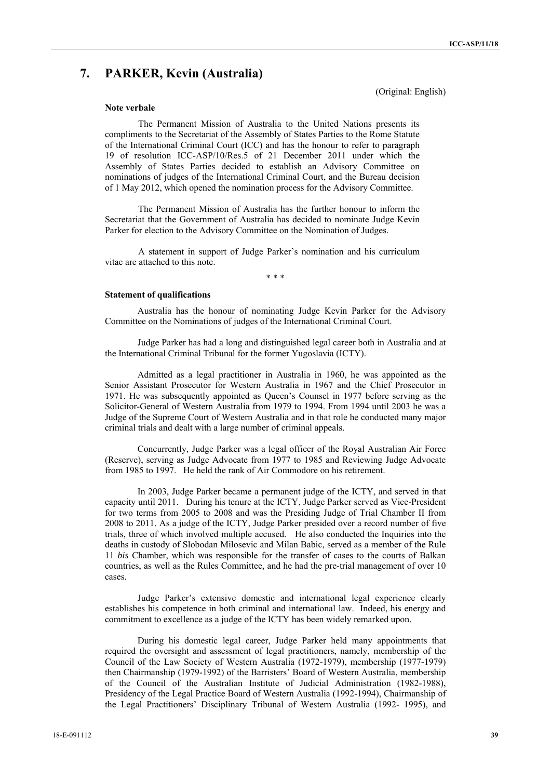# **7. PARKER, Kevin (Australia)**

(Original: English)

#### **Note verbale**

The Permanent Mission of Australia to the United Nations presents its compliments to the Secretariat of the Assembly of States Parties to the Rome Statute of the International Criminal Court (ICC) and has the honour to refer to paragraph 19 of resolution ICC-ASP/10/Res.5 of 21 December 2011 under which the Assembly of States Parties decided to establish an Advisory Committee on nominations of judges of the International Criminal Court, and the Bureau decision of 1 May 2012, which opened the nomination process for the Advisory Committee.

The Permanent Mission of Australia has the further honour to inform the Secretariat that the Government of Australia has decided to nominate Judge Kevin Parker for election to the Advisory Committee on the Nomination of Judges.

A statement in support of Judge Parker's nomination and his curriculum vitae are attached to this note.

\* \* \*

#### **Statement of qualifications**

Australia has the honour of nominating Judge Kevin Parker for the Advisory Committee on the Nominations of judges of the International Criminal Court.

Judge Parker has had a long and distinguished legal career both in Australia and at the International Criminal Tribunal for the former Yugoslavia (ICTY).

Admitted as a legal practitioner in Australia in 1960, he was appointed as the Senior Assistant Prosecutor for Western Australia in 1967 and the Chief Prosecutor in 1971. He was subsequently appointed as Queen's Counsel in 1977 before serving as the Solicitor-General of Western Australia from 1979 to 1994. From 1994 until 2003 he was a Judge of the Supreme Court of Western Australia and in that role he conducted many major criminal trials and dealt with a large number of criminal appeals.

Concurrently, Judge Parker was a legal officer of the Royal Australian Air Force (Reserve), serving as Judge Advocate from 1977 to 1985 and Reviewing Judge Advocate from 1985 to 1997. He held the rank of Air Commodore on his retirement.

In 2003, Judge Parker became a permanent judge of the ICTY, and served in that capacity until 2011. During his tenure at the ICTY, Judge Parker served as Vice-President for two terms from 2005 to 2008 and was the Presiding Judge of Trial Chamber II from 2008 to 2011. As a judge of the ICTY, Judge Parker presided over a record number of five trials, three of which involved multiple accused. He also conducted the Inquiries into the deaths in custody of Slobodan Milosevic and Milan Babic, served as a member of the Rule 11 *bis* Chamber, which was responsible for the transfer of cases to the courts of Balkan countries, as well as the Rules Committee, and he had the pre-trial management of over 10 cases.

Judge Parker's extensive domestic and international legal experience clearly establishes his competence in both criminal and international law. Indeed, his energy and commitment to excellence as a judge of the ICTY has been widely remarked upon.

During his domestic legal career, Judge Parker held many appointments that required the oversight and assessment of legal practitioners, namely, membership of the Council of the Law Society of Western Australia (1972-1979), membership (1977-1979) then Chairmanship (1979-1992) of the Barristers' Board of Western Australia, membership of the Council of the Australian Institute of Judicial Administration (1982-1988), Presidency of the Legal Practice Board of Western Australia (1992-1994), Chairmanship of the Legal Practitioners' Disciplinary Tribunal of Western Australia (1992- 1995), and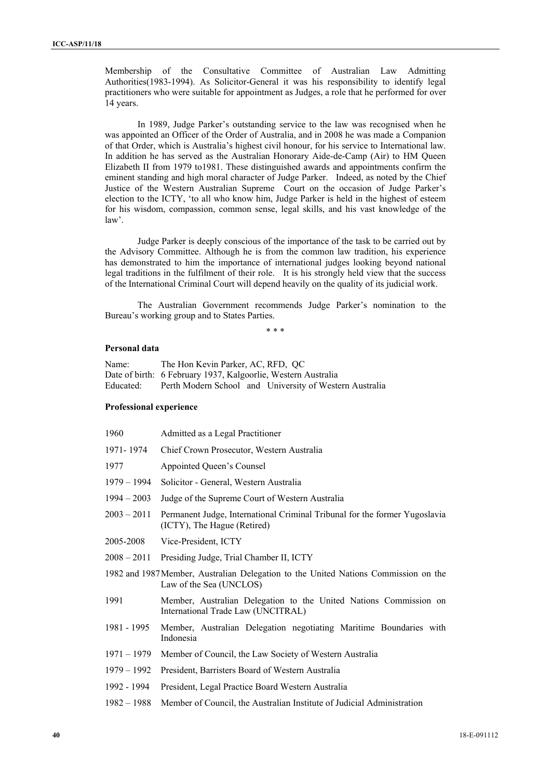Membership of the Consultative Committee of Australian Law Admitting Authorities(1983-1994). As Solicitor-General it was his responsibility to identify legal practitioners who were suitable for appointment as Judges, a role that he performed for over 14 years.

In 1989, Judge Parker's outstanding service to the law was recognised when he was appointed an Officer of the Order of Australia, and in 2008 he was made a Companion of that Order, which is Australia's highest civil honour, for his service to International law. In addition he has served as the Australian Honorary Aide-de-Camp (Air) to HM Queen Elizabeth II from 1979 to1981. These distinguished awards and appointments confirm the eminent standing and high moral character of Judge Parker. Indeed, as noted by the Chief Justice of the Western Australian Supreme Court on the occasion of Judge Parker's election to the ICTY, 'to all who know him, Judge Parker is held in the highest of esteem for his wisdom, compassion, common sense, legal skills, and his vast knowledge of the law'.

Judge Parker is deeply conscious of the importance of the task to be carried out by the Advisory Committee. Although he is from the common law tradition, his experience has demonstrated to him the importance of international judges looking beyond national legal traditions in the fulfilment of their role. It is his strongly held view that the success of the International Criminal Court will depend heavily on the quality of its judicial work.

The Australian Government recommends Judge Parker's nomination to the Bureau's working group and to States Parties.

\* \* \*

#### **Personal data**

| Name:     | The Hon Kevin Parker, AC, RFD, QC                             |
|-----------|---------------------------------------------------------------|
|           | Date of birth: 6 February 1937, Kalgoorlie, Western Australia |
| Educated: | Perth Modern School and University of Western Australia       |

#### **Professional experience**

| 1960          | Admitted as a Legal Practitioner                                                                               |
|---------------|----------------------------------------------------------------------------------------------------------------|
| 1971-1974     | Chief Crown Prosecutor, Western Australia                                                                      |
| 1977          | Appointed Queen's Counsel                                                                                      |
| 1979 – 1994   | Solicitor - General, Western Australia                                                                         |
| $1994 - 2003$ | Judge of the Supreme Court of Western Australia                                                                |
| 2003 – 2011   | Permanent Judge, International Criminal Tribunal for the former Yugoslavia<br>(ICTY), The Hague (Retired)      |
| 2005-2008     | Vice-President, ICTY                                                                                           |
| 2008 – 2011   | Presiding Judge, Trial Chamber II, ICTY                                                                        |
|               | 1982 and 1987 Member, Australian Delegation to the United Nations Commission on the<br>Law of the Sea (UNCLOS) |
| 1991          | Member, Australian Delegation to the United Nations Commission on<br>International Trade Law (UNCITRAL)        |
| 1981 - 1995   | Member, Australian Delegation negotiating Maritime Boundaries with<br>Indonesia                                |
| $1971 - 1979$ | Member of Council, the Law Society of Western Australia                                                        |
| $1979 - 1992$ | President, Barristers Board of Western Australia                                                               |
| 1992 - 1994   | President, Legal Practice Board Western Australia                                                              |
| $1982 - 1988$ | Member of Council, the Australian Institute of Judicial Administration                                         |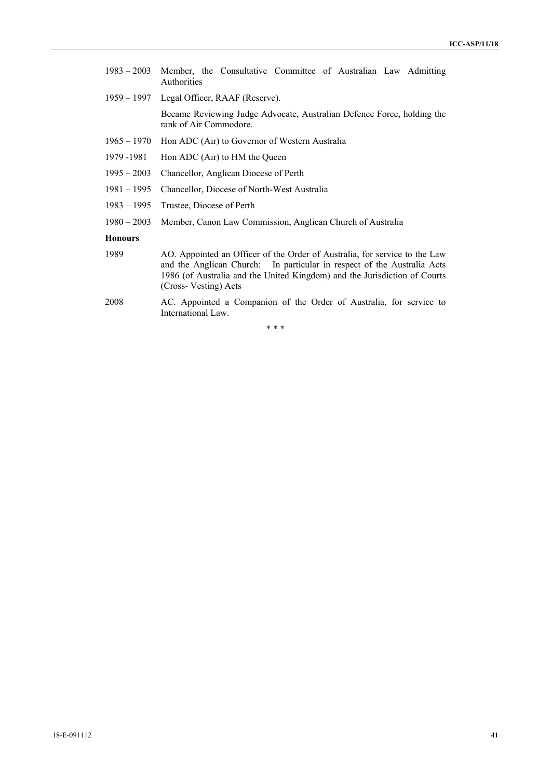| $1983 - 2003$  | Member, the Consultative Committee of Australian Law Admitting<br>Authorities                                                                                                                                                                              |  |  |
|----------------|------------------------------------------------------------------------------------------------------------------------------------------------------------------------------------------------------------------------------------------------------------|--|--|
| 1959 – 1997    | Legal Officer, RAAF (Reserve).                                                                                                                                                                                                                             |  |  |
|                | Became Reviewing Judge Advocate, Australian Defence Force, holding the<br>rank of Air Commodore.                                                                                                                                                           |  |  |
| $1965 - 1970$  | Hon ADC (Air) to Governor of Western Australia                                                                                                                                                                                                             |  |  |
| 1979 - 1981    | Hon ADC (Air) to HM the Queen                                                                                                                                                                                                                              |  |  |
| $1995 - 2003$  | Chancellor, Anglican Diocese of Perth                                                                                                                                                                                                                      |  |  |
| $1981 - 1995$  | Chancellor, Diocese of North-West Australia                                                                                                                                                                                                                |  |  |
| $1983 - 1995$  | Trustee, Diocese of Perth                                                                                                                                                                                                                                  |  |  |
| $1980 - 2003$  | Member, Canon Law Commission, Anglican Church of Australia                                                                                                                                                                                                 |  |  |
| <b>Honours</b> |                                                                                                                                                                                                                                                            |  |  |
| 1989           | AO. Appointed an Officer of the Order of Australia, for service to the Law<br>and the Anglican Church: In particular in respect of the Australia Acts<br>1986 (of Australia and the United Kingdom) and the Jurisdiction of Courts<br>(Cross-Vesting) Acts |  |  |

2008 AC. Appointed a Companion of the Order of Australia, for service to International Law.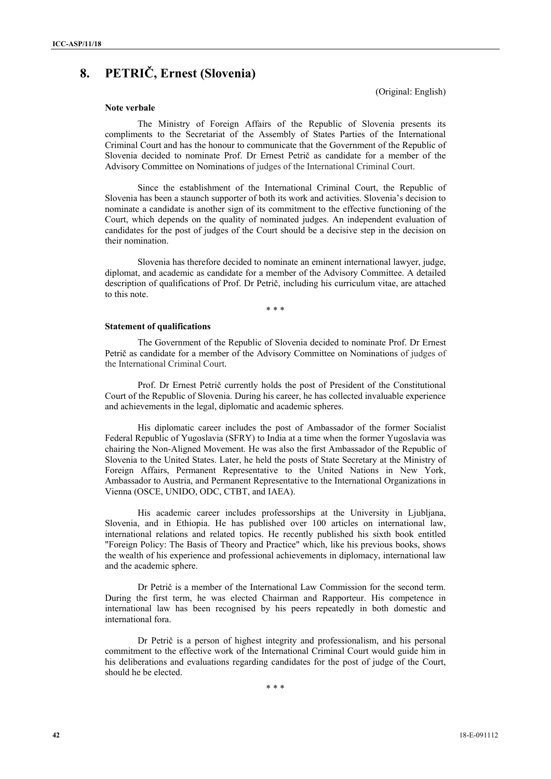# **8. PETRIČ, Ernest (Slovenia)**

(Original: English)

## **Note verbale**

The Ministry of Foreign Affairs of the Republic of Slovenia presents its compliments to the Secretariat of the Assembly of States Parties of the International Criminal Court and has the honour to communicate that the Government of the Republic of Slovenia decided to nominate Prof. Dr Ernest Petrič as candidate for a member of the Advisory Committee on Nominations of judges of the International Criminal Court.

Since the establishment of the International Criminal Court, the Republic of Slovenia has been a staunch supporter of both its work and activities. Slovenia's decision to nominate a candidate is another sign of its commitment to the effective functioning of the Court, which depends on the quality of nominated judges. An independent evaluation of candidates for the post of judges of the Court should be a decisive step in the decision on their nomination.

Slovenia has therefore decided to nominate an eminent international lawyer, judge, diplomat, and academic as candidate for a member of the Advisory Committee. A detailed description of qualifications of Prof. Dr Petrič, including his curriculum vitae, are attached to this note.

\* \* \*

#### **Statement of qualifications**

The Government of the Republic of Slovenia decided to nominate Prof. Dr Ernest Petrič as candidate for a member of the Advisory Committee on Nominations of judges of the International Criminal Court.

Prof. Dr Ernest Petrič currently holds the post of President of the Constitutional Court of the Republic of Slovenia. During his career, he has collected invaluable experience and achievements in the legal, diplomatic and academic spheres.

His diplomatic career includes the post of Ambassador of the former Socialist Federal Republic of Yugoslavia (SFRY) to India at a time when the former Yugoslavia was chairing the Non-Aligned Movement. He was also the first Ambassador of the Republic of Slovenia to the United States. Later, he held the posts of State Secretary at the Ministry of Foreign Affairs, Permanent Representative to the United Nations in New York, Ambassador to Austria, and Permanent Representative to the International Organizations in Vienna (OSCE, UNIDO, ODC, CTBT, and IAEA).

His academic career includes professorships at the University in Ljubljana, Slovenia, and in Ethiopia. He has published over 100 articles on international law, international relations and related topics. He recently published his sixth book entitled "Foreign Policy: The Basis of Theory and Practice" which, like his previous books, shows the wealth of his experience and professional achievements in diplomacy, international law and the academic sphere.

Dr Petrič is a member of the International Law Commission for the second term. During the first term, he was elected Chairman and Rapporteur. His competence in international law has been recognised by his peers repeatedly in both domestic and international fora.

Dr Petrič is a person of highest integrity and professionalism, and his personal commitment to the effective work of the International Criminal Court would guide him in his deliberations and evaluations regarding candidates for the post of judge of the Court, should he be elected.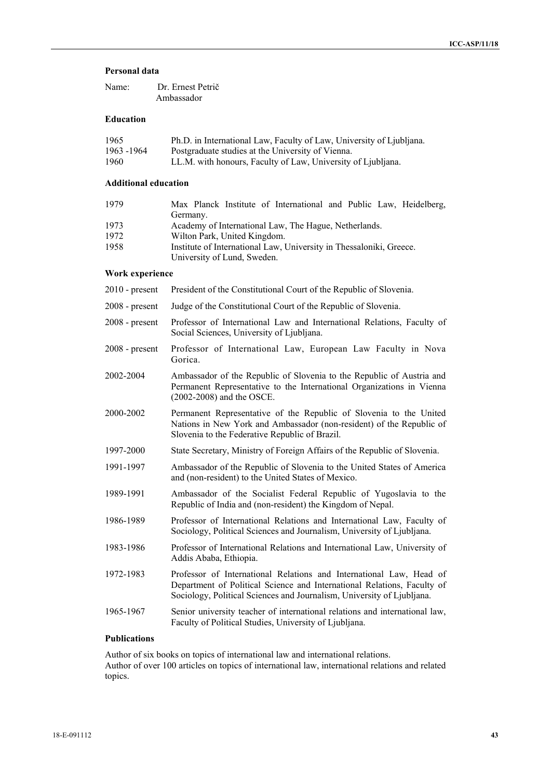#### **Personal data**

| Name: | Dr. Ernest Petrič |
|-------|-------------------|
|       | Ambassador        |

## **Education**

| 1965        | Ph.D. in International Law, Faculty of Law, University of Ljubljana. |
|-------------|----------------------------------------------------------------------|
| 1963 - 1964 | Postgraduate studies at the University of Vienna.                    |
| 1960        | LL.M. with honours, Faculty of Law, University of Ljubljana.         |

## **Additional education**

| 1979 | Max Planck Institute of International and Public Law, Heidelberg,   |  |  |
|------|---------------------------------------------------------------------|--|--|
|      | Germany.                                                            |  |  |
| 1973 | Academy of International Law, The Hague, Netherlands.               |  |  |
| 1972 | Wilton Park, United Kingdom.                                        |  |  |
| 1958 | Institute of International Law, University in Thessaloniki, Greece. |  |  |
|      | University of Lund, Sweden.                                         |  |  |

#### **Work experience**

- 2010 present President of the Constitutional Court of the Republic of Slovenia.
- 2008 present Judge of the Constitutional Court of the Republic of Slovenia.
- 2008 present Professor of International Law and International Relations, Faculty of Social Sciences, University of Ljubljana.
- 2008 present Professor of International Law, European Law Faculty in Nova Gorica.
- 2002-2004 Ambassador of the Republic of Slovenia to the Republic of Austria and Permanent Representative to the International Organizations in Vienna (2002-2008) and the OSCE.
- 2000-2002 Permanent Representative of the Republic of Slovenia to the United Nations in New York and Ambassador (non-resident) of the Republic of Slovenia to the Federative Republic of Brazil.
- 1997-2000 State Secretary, Ministry of Foreign Affairs of the Republic of Slovenia.
- 1991-1997 Ambassador of the Republic of Slovenia to the United States of America and (non-resident) to the United States of Mexico.
- 1989-1991 Ambassador of the Socialist Federal Republic of Yugoslavia to the Republic of India and (non-resident) the Kingdom of Nepal.
- 1986-1989 Professor of International Relations and International Law, Faculty of Sociology, Political Sciences and Journalism, University of Ljubljana.
- 1983-1986 Professor of International Relations and International Law, University of Addis Ababa, Ethiopia.
- 1972-1983 Professor of International Relations and International Law, Head of Department of Political Science and International Relations, Faculty of Sociology, Political Sciences and Journalism, University of Ljubljana.
- 1965-1967 Senior university teacher of international relations and international law, Faculty of Political Studies, University of Ljubljana.

## **Publications**

Author of six books on topics of international law and international relations. Author of over 100 articles on topics of international law, international relations and related topics.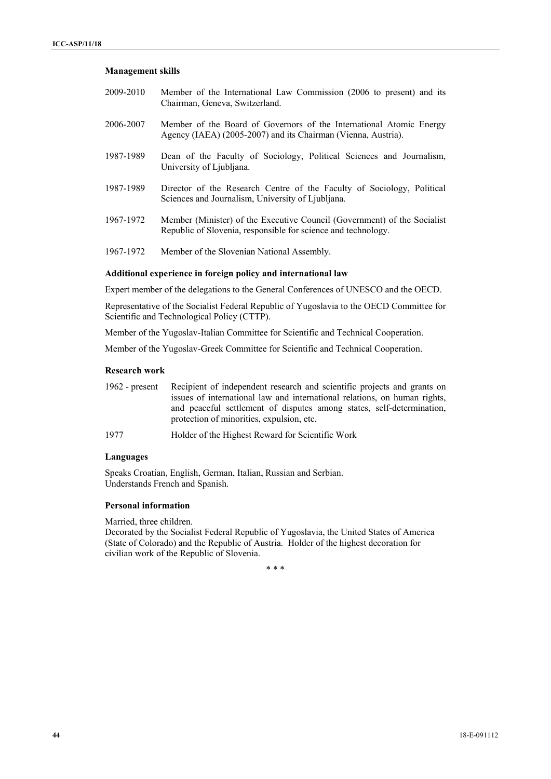#### **Management skills**

- 2009-2010 Member of the International Law Commission (2006 to present) and its Chairman, Geneva, Switzerland.
- 2006-2007 Member of the Board of Governors of the International Atomic Energy Agency (IAEA) (2005-2007) and its Chairman (Vienna, Austria).
- 1987-1989 Dean of the Faculty of Sociology, Political Sciences and Journalism, University of Ljubljana.
- 1987-1989 Director of the Research Centre of the Faculty of Sociology, Political Sciences and Journalism, University of Ljubljana.
- 1967-1972 Member (Minister) of the Executive Council (Government) of the Socialist Republic of Slovenia, responsible for science and technology.
- 1967-1972 Member of the Slovenian National Assembly.

## **Additional experience in foreign policy and international law**

Expert member of the delegations to the General Conferences of UNESCO and the OECD.

Representative of the Socialist Federal Republic of Yugoslavia to the OECD Committee for Scientific and Technological Policy (CTTP).

Member of the Yugoslav-Italian Committee for Scientific and Technical Cooperation.

Member of the Yugoslav-Greek Committee for Scientific and Technical Cooperation.

#### **Research work**

1962 - present Recipient of independent research and scientific projects and grants on issues of international law and international relations, on human rights, and peaceful settlement of disputes among states, self-determination, protection of minorities, expulsion, etc.

1977 Holder of the Highest Reward for Scientific Work

#### **Languages**

Speaks Croatian, English, German, Italian, Russian and Serbian. Understands French and Spanish.

## **Personal information**

Married, three children.

Decorated by the Socialist Federal Republic of Yugoslavia, the United States of America (State of Colorado) and the Republic of Austria. Holder of the highest decoration for civilian work of the Republic of Slovenia.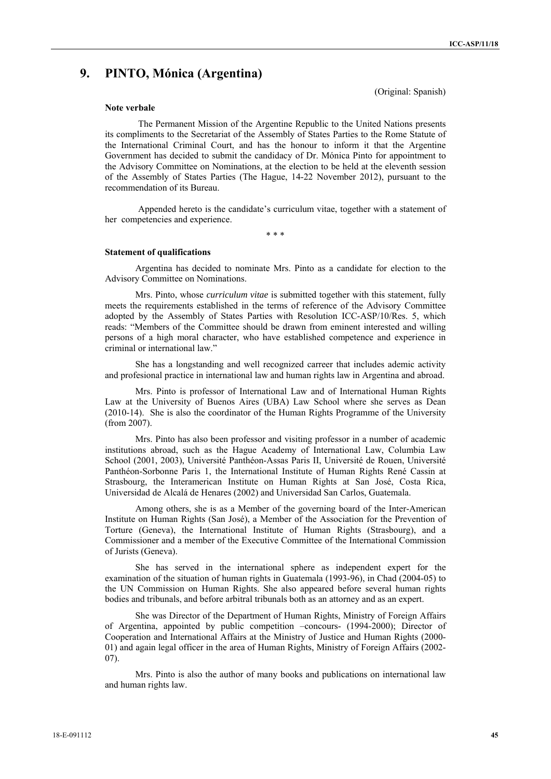# **9. PINTO, Mónica (Argentina)**

(Original: Spanish)

#### **Note verbale**

The Permanent Mission of the Argentine Republic to the United Nations presents its compliments to the Secretariat of the Assembly of States Parties to the Rome Statute of the International Criminal Court, and has the honour to inform it that the Argentine Government has decided to submit the candidacy of Dr. Mónica Pinto for appointment to the Advisory Committee on Nominations, at the election to be held at the eleventh session of the Assembly of States Parties (The Hague, 14-22 November 2012), pursuant to the recommendation of its Bureau.

Appended hereto is the candidate's curriculum vitae, together with a statement of her competencies and experience.

\* \* \*

#### **Statement of qualifications**

Argentina has decided to nominate Mrs. Pinto as a candidate for election to the Advisory Committee on Nominations.

Mrs. Pinto, whose *curriculum vitae* is submitted together with this statement, fully meets the requirements established in the terms of reference of the Advisory Committee adopted by the Assembly of States Parties with Resolution ICC-ASP/10/Res. 5, which reads: "Members of the Committee should be drawn from eminent interested and willing persons of a high moral character, who have established competence and experience in criminal or international law."

She has a longstanding and well recognized carreer that includes ademic activity and profesional practice in international law and human rights law in Argentina and abroad.

Mrs. Pinto is professor of International Law and of International Human Rights Law at the University of Buenos Aires (UBA) Law School where she serves as Dean (2010-14). She is also the coordinator of the Human Rights Programme of the University (from 2007).

Mrs. Pinto has also been professor and visiting professor in a number of academic institutions abroad, such as the Hague Academy of International Law, Columbia Law School (2001, 2003), Université Panthéon-Assas Paris II, Université de Rouen, Université Panthéon-Sorbonne Paris 1, the International Institute of Human Rights René Cassin at Strasbourg, the Interamerican Institute on Human Rights at San José, Costa Rica, Universidad de Alcalá de Henares (2002) and Universidad San Carlos, Guatemala.

Among others, she is as a Member of the governing board of the Inter-American Institute on Human Rights (San José), a Member of the Association for the Prevention of Torture (Geneva), the International Institute of Human Rights (Strasbourg), and a Commissioner and a member of the Executive Committee of the International Commission of Jurists (Geneva).

She has served in the international sphere as independent expert for the examination of the situation of human rights in Guatemala (1993-96), in Chad (2004-05) to the UN Commission on Human Rights. She also appeared before several human rights bodies and tribunals, and before arbitral tribunals both as an attorney and as an expert.

She was Director of the Department of Human Rights, Ministry of Foreign Affairs of Argentina, appointed by public competition –concours- (1994-2000); Director of Cooperation and International Affairs at the Ministry of Justice and Human Rights (2000- 01) and again legal officer in the area of Human Rights, Ministry of Foreign Affairs (2002- 07).

Mrs. Pinto is also the author of many books and publications on international law and human rights law.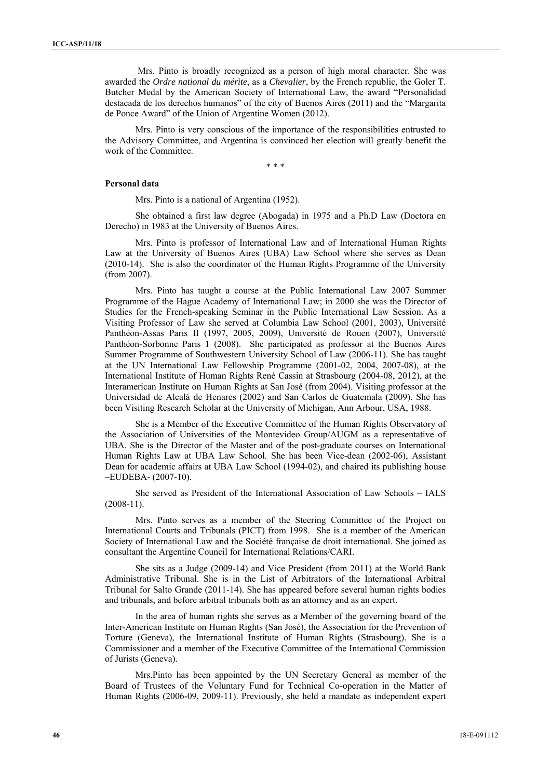Mrs. Pinto is broadly recognized as a person of high moral character. She was awarded the *Ordre national du mérite*, as a *Chevalier*, by the French republic, the Goler T. Butcher Medal by the American Society of International Law, the award "Personalidad destacada de los derechos humanos" of the city of Buenos Aires (2011) and the "Margarita de Ponce Award" of the Union of Argentine Women (2012).

Mrs. Pinto is very conscious of the importance of the responsibilities entrusted to the Advisory Committee, and Argentina is convinced her election will greatly benefit the work of the Committee.

\* \* \*

#### **Personal data**

Mrs. Pinto is a national of Argentina (1952).

She obtained a first law degree (Abogada) in 1975 and a Ph.D Law (Doctora en Derecho) in 1983 at the University of Buenos Aires.

Mrs. Pinto is professor of International Law and of International Human Rights Law at the University of Buenos Aires (UBA) Law School where she serves as Dean (2010-14). She is also the coordinator of the Human Rights Programme of the University (from 2007).

Mrs. Pinto has taught a course at the Public International Law 2007 Summer Programme of the Hague Academy of International Law; in 2000 she was the Director of Studies for the French-speaking Seminar in the Public International Law Session. As a Visiting Professor of Law she served at Columbia Law School (2001, 2003), Université Panthéon-Assas Paris II (1997, 2005, 2009), Université de Rouen (2007), Université Panthéon-Sorbonne Paris 1 (2008). She participated as professor at the Buenos Aires Summer Programme of Southwestern University School of Law (2006-11). She has taught at the UN International Law Fellowship Programme (2001-02, 2004, 2007-08), at the International Institute of Human Rights René Cassin at Strasbourg (2004-08, 2012), at the Interamerican Institute on Human Rights at San José (from 2004). Visiting professor at the Universidad de Alcalá de Henares (2002) and San Carlos de Guatemala (2009). She has been Visiting Research Scholar at the University of Michigan, Ann Arbour, USA, 1988.

She is a Member of the Executive Committee of the Human Rights Observatory of the Association of Universities of the Montevideo Group/AUGM as a representative of UBA. She is the Director of the Master and of the post-graduate courses on International Human Rights Law at UBA Law School. She has been Vice-dean (2002-06), Assistant Dean for academic affairs at UBA Law School (1994-02), and chaired its publishing house –EUDEBA- (2007-10).

She served as President of the International Association of Law Schools – IALS  $(2008-11)$ .

Mrs. Pinto serves as a member of the Steering Committee of the Project on International Courts and Tribunals (PICT) from 1998. She is a member of the American Society of International Law and the Société française de droit international. She joined as consultant the Argentine Council for International Relations/CARI.

She sits as a Judge (2009-14) and Vice President (from 2011) at the World Bank Administrative Tribunal. She is in the List of Arbitrators of the International Arbitral Tribunal for Salto Grande (2011-14). She has appeared before several human rights bodies and tribunals, and before arbitral tribunals both as an attorney and as an expert.

In the area of human rights she serves as a Member of the governing board of the Inter-American Institute on Human Rights (San José), the Association for the Prevention of Torture (Geneva), the International Institute of Human Rights (Strasbourg). She is a Commissioner and a member of the Executive Committee of the International Commission of Jurists (Geneva).

Mrs.Pinto has been appointed by the UN Secretary General as member of the Board of Trustees of the Voluntary Fund for Technical Co-operation in the Matter of Human Rights (2006-09, 2009-11). Previously, she held a mandate as independent expert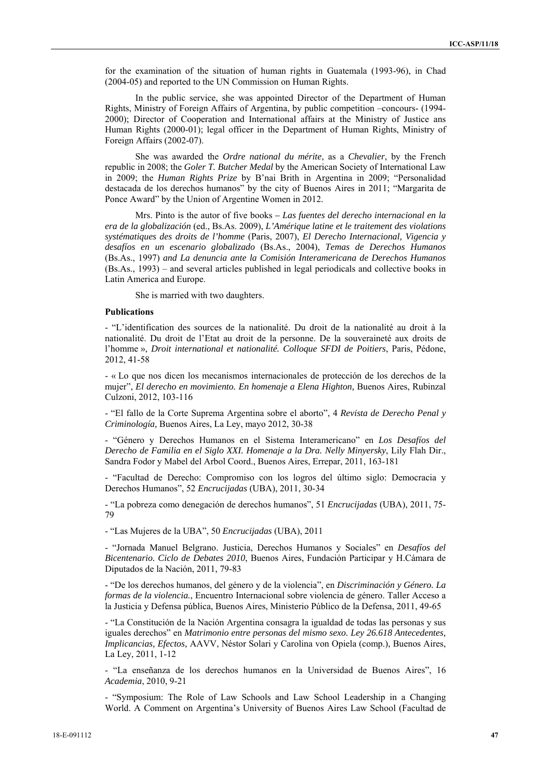for the examination of the situation of human rights in Guatemala (1993-96), in Chad (2004-05) and reported to the UN Commission on Human Rights.

In the public service, she was appointed Director of the Department of Human Rights, Ministry of Foreign Affairs of Argentina, by public competition –concours- (1994- 2000); Director of Cooperation and International affairs at the Ministry of Justice ans Human Rights (2000-01); legal officer in the Department of Human Rights, Ministry of Foreign Affairs (2002-07).

She was awarded the *Ordre national du mérite*, as a *Chevalier*, by the French republic in 2008; the *Goler T. Butcher Medal* by the American Society of International Law in 2009; the *Human Rights Prize* by B'nai Brith in Argentina in 2009; "Personalidad destacada de los derechos humanos" by the city of Buenos Aires in 2011; "Margarita de Ponce Award" by the Union of Argentine Women in 2012.

Mrs. Pinto is the autor of five books *– Las fuentes del derecho internacional en la era de la globalización* (ed., Bs.As. 2009), *L'Amérique latine et le traitement des violations systématiques des droits de l'homme* (Paris, 2007), *El Derecho Internacional, Vigencia y desafíos en un escenario globalizado* (Bs.As., 2004), *Temas de Derechos Humanos*  (Bs.As., 1997) *and La denuncia ante la Comisión Interamericana de Derechos Humanos*  (Bs.As., 1993) – and several articles published in legal periodicals and collective books in Latin America and Europe.

She is married with two daughters.

## **Publications**

- "L'identification des sources de la nationalité. Du droit de la nationalité au droit à la nationalité. Du droit de l'Etat au droit de la personne. De la souveraineté aux droits de l'homme », *Droit international et nationalité. Colloque SFDI de Poitiers*, Paris, Pédone, 2012, 41-58

- « Lo que nos dicen los mecanismos internacionales de protección de los derechos de la mujer", *El derecho en movimiento. En homenaje a Elena Highton,* Buenos Aires, Rubinzal Culzoni, 2012, 103-116

- "El fallo de la Corte Suprema Argentina sobre el aborto", 4 *Revista de Derecho Penal y Criminología,* Buenos Aires, La Ley, mayo 2012, 30-38

- "Género y Derechos Humanos en el Sistema Interamericano" en *Los Desafíos del Derecho de Familia en el Siglo XXI. Homenaje a la Dra. Nelly Minyersky*, Lily Flah Dir., Sandra Fodor y Mabel del Arbol Coord., Buenos Aires, Errepar, 2011, 163-181

- "Facultad de Derecho: Compromiso con los logros del último siglo: Democracia y Derechos Humanos", 52 *Encrucijadas* (UBA), 2011, 30-34

- "La pobreza como denegación de derechos humanos", 51 *Encrucijadas* (UBA), 2011, 75- 79

- "Las Mujeres de la UBA", 50 *Encrucijadas* (UBA), 2011

- "Jornada Manuel Belgrano. Justicia, Derechos Humanos y Sociales" en *Desafíos del Bicentenario. Ciclo de Debates 2010*, Buenos Aires, Fundación Participar y H.Cámara de Diputados de la Nación, 2011, 79-83

- "De los derechos humanos, del género y de la violencia", en *Discriminación y Género. La formas de la violencia.*, Encuentro Internacional sobre violencia de género. Taller Acceso a la Justicia y Defensa pública, Buenos Aires, Ministerio Público de la Defensa, 2011, 49-65

- "La Constitución de la Nación Argentina consagra la igualdad de todas las personas y sus iguales derechos" en *Matrimonio entre personas del mismo sexo. Ley 26.618 Antecedentes, Implicancias, Efectos,* AAVV, Néstor Solari y Carolina von Opiela (comp.), Buenos Aires, La Ley, 2011, 1-12

- "La enseñanza de los derechos humanos en la Universidad de Buenos Aires", 16 *Academia*, 2010, 9-21

- "Symposium: The Role of Law Schools and Law School Leadership in a Changing World. A Comment on Argentina's University of Buenos Aires Law School (Facultad de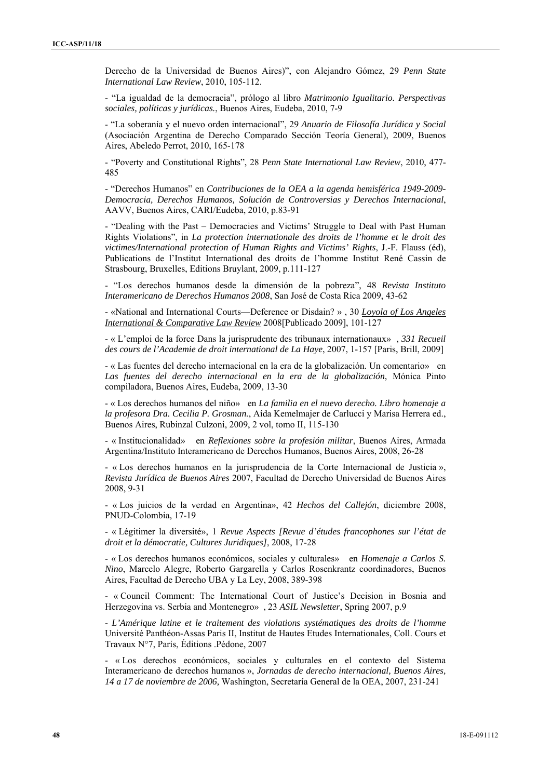Derecho de la Universidad de Buenos Aires)", con Alejandro Gómez, 29 *Penn State International Law Review*, 2010, 105-112.

- "La igualdad de la democracia", prólogo al libro *Matrimonio Igualitario. Perspectivas sociales, políticas y jurídicas.*, Buenos Aires, Eudeba, 2010, 7-9

- "La soberanía y el nuevo orden internacional", 29 *Anuario de Filosofía Jurídica y Social*  (Asociación Argentina de Derecho Comparado Sección Teoría General), 2009, Buenos Aires, Abeledo Perrot, 2010, 165-178

- "Poverty and Constitutional Rights", 28 *Penn State International Law Review*, 2010, 477- 485

- "Derechos Humanos" en *Contribuciones de la OEA a la agenda hemisférica 1949-2009- Democracia, Derechos Humanos, Solución de Controversias y Derechos Internacional*, AAVV, Buenos Aires, CARI/Eudeba, 2010, p.83-91

- "Dealing with the Past – Democracies and Victims' Struggle to Deal with Past Human Rights Violations", in *La protection internationale des droits de l'homme et le droit des victimes/International protection of Human Rights and Victims' Rights*, J.-F. Flauss (éd), Publications de l'Institut International des droits de l'homme Institut René Cassin de Strasbourg, Bruxelles, Editions Bruylant, 2009, p.111-127

- "Los derechos humanos desde la dimensión de la pobreza", 48 *Revista Instituto Interamericano de Derechos Humanos 2008*, San José de Costa Rica 2009, 43-62

- «National and International Courts—Deference or Disdain? » , 30 *Loyola of Los Angeles International & Comparative Law Review* 2008[Publicado 2009], 101-127

- « L'emploi de la force Dans la jurisprudente des tribunaux internationaux» , *331 Recueil des cours de l'Academie de droit international de La Haye*, 2007, 1-157 [Paris, Brill, 2009]

- « Las fuentes del derecho internacional en la era de la globalización. Un comentario» en *Las fuentes del derecho internacional en la era de la globalización*, Mónica Pinto compiladora, Buenos Aires, Eudeba, 2009, 13-30

- « Los derechos humanos del niño» en *La familia en el nuevo derecho. Libro homenaje a la profesora Dra. Cecilia P. Grosman.*, Aída Kemelmajer de Carlucci y Marisa Herrera ed., Buenos Aires, Rubinzal Culzoni, 2009, 2 vol, tomo II, 115-130

- « Institucionalidad» en *Reflexiones sobre la profesión militar*, Buenos Aires, Armada Argentina/Instituto Interamericano de Derechos Humanos, Buenos Aires, 2008, 26-28

- « Los derechos humanos en la jurisprudencia de la Corte Internacional de Justicia », *Revista Jurídica de Buenos Aires* 2007, Facultad de Derecho Universidad de Buenos Aires 2008, 9-31

- « Los juicios de la verdad en Argentina», 42 *Hechos del Callejón*, diciembre 2008, PNUD-Colombia, 17-19

- « Légitimer la diversité», 1 *Revue Aspects [Revue d'études francophones sur l'état de droit et la démocratie, Cultures Juridiques]*, 2008, 17-28

- « Los derechos humanos económicos, sociales y culturales» en *Homenaje a Carlos S. Nino*, Marcelo Alegre, Roberto Gargarella y Carlos Rosenkrantz coordinadores, Buenos Aires, Facultad de Derecho UBA y La Ley, 2008, 389-398

- « Council Comment: The International Court of Justice's Decision in Bosnia and Herzegovina vs. Serbia and Montenegro» , 23 *ASIL Newsletter*, Spring 2007, p.9

- *L'Amérique latine et le traitement des violations systématiques des droits de l'homme* Université Panthéon-Assas Paris II, Institut de Hautes Etudes Internationales, Coll. Cours et Travaux N°7, París, Éditions .Pédone, 2007

- « Los derechos económicos, sociales y culturales en el contexto del Sistema Interamericano de derechos humanos », *Jornadas de derecho internacional, Buenos Aires, 14 a 17 de noviembre de 2006,* Washington, Secretaría General de la OEA, 2007, 231-241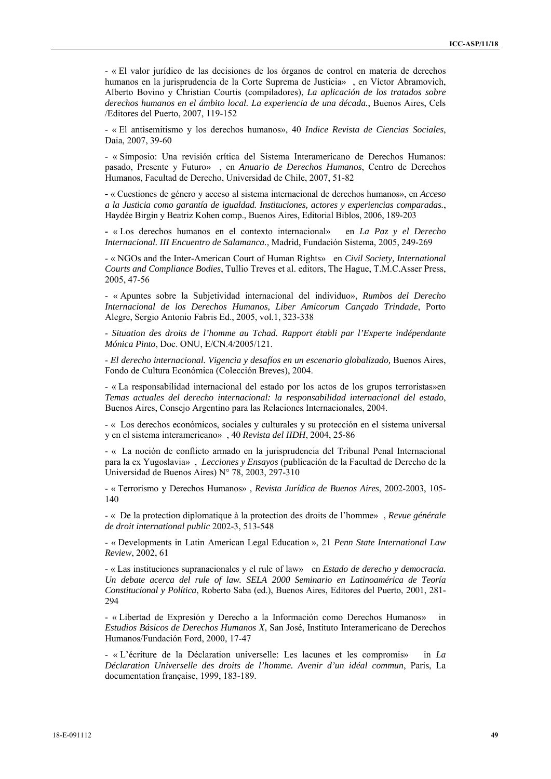- « El valor jurídico de las decisiones de los órganos de control en materia de derechos humanos en la jurisprudencia de la Corte Suprema de Justicia» , en Víctor Abramovich, Alberto Bovino y Christian Courtis (compiladores), *La aplicación de los tratados sobre derechos humanos en el ámbito local. La experiencia de una década.*, Buenos Aires, Cels /Editores del Puerto, 2007, 119-152

- « El antisemitismo y los derechos humanos», 40 *Indice Revista de Ciencias Sociales*, Daia, 2007, 39-60

- « Simposio: Una revisión crítica del Sistema Interamericano de Derechos Humanos: pasado, Presente y Futuro» , en *Anuario de Derechos Humanos*, Centro de Derechos Humanos, Facultad de Derecho, Universidad de Chile, 2007, 51-82

**-** « Cuestiones de género y acceso al sistema internacional de derechos humanos», en *Acceso a la Justicia como garantía de igualdad. Instituciones, actores y experiencias comparadas.*, Haydée Birgin y Beatriz Kohen comp., Buenos Aires, Editorial Biblos, 2006, 189-203

**-** « Los derechos humanos en el contexto internacional» en *La Paz y el Derecho Internacional. III Encuentro de Salamanca.*, Madrid, Fundación Sistema, 2005, 249-269

- « NGOs and the Inter-American Court of Human Rights» en *Civil Society, International Courts and Compliance Bodies*, Tullio Treves et al. editors, The Hague, T.M.C.Asser Press, 2005, 47-56

- « Apuntes sobre la Subjetividad internacional del individuo», *Rumbos del Derecho Internacional de los Derechos Humanos, Liber Amicorum Cançado Trindade*, Porto Alegre, Sergio Antonio Fabris Ed., 2005, vol.1, 323-338

- *Situation des droits de l'homme au Tchad. Rapport établi par l'Experte indépendante Mónica Pinto*, Doc. ONU, E/CN.4/2005/121.

- *El derecho internacional. Vigencia y desafíos en un escenario globalizado,* Buenos Aires, Fondo de Cultura Económica (Colección Breves), 2004.

- « La responsabilidad internacional del estado por los actos de los grupos terroristas»en *Temas actuales del derecho internacional: la responsabilidad internacional del estado*, Buenos Aires, Consejo Argentino para las Relaciones Internacionales, 2004.

- « Los derechos económicos, sociales y culturales y su protección en el sistema universal y en el sistema interamericano» , 40 *Revista del IIDH*, 2004, 25-86

- « La noción de conflicto armado en la jurisprudencia del Tribunal Penal Internacional para la ex Yugoslavia» , *Lecciones y Ensayos* (publicación de la Facultad de Derecho de la Universidad de Buenos Aires) N° 78, 2003, 297-310

- « Terrorismo y Derechos Humanos» , *Revista Jurídica de Buenos Aires*, 2002-2003, 105- 140

- « De la protection diplomatique à la protection des droits de l'homme» , *Revue générale de droit international public* 2002-3, 513-548

- « Developments in Latin American Legal Education », 21 *Penn State International Law Review*, 2002, 61

- « Las instituciones supranacionales y el rule of law» en *Estado de derecho y democracia. Un debate acerca del rule of law. SELA 2000 Seminario en Latinoamérica de Teoría Constitucional y Política*, Roberto Saba (ed.), Buenos Aires, Editores del Puerto, 2001, 281- 294

- « Libertad de Expresión y Derecho a la Información como Derechos Humanos»in *Estudios Básicos de Derechos Humanos X*, San José, Instituto Interamericano de Derechos Humanos/Fundación Ford, 2000, 17-47

- « L'écriture de la Déclaration universelle: Les lacunes et les compromis» in *La Déclaration Universelle des droits de l'homme. Avenir d'un idéal commun*, Paris, La documentation française, 1999, 183-189.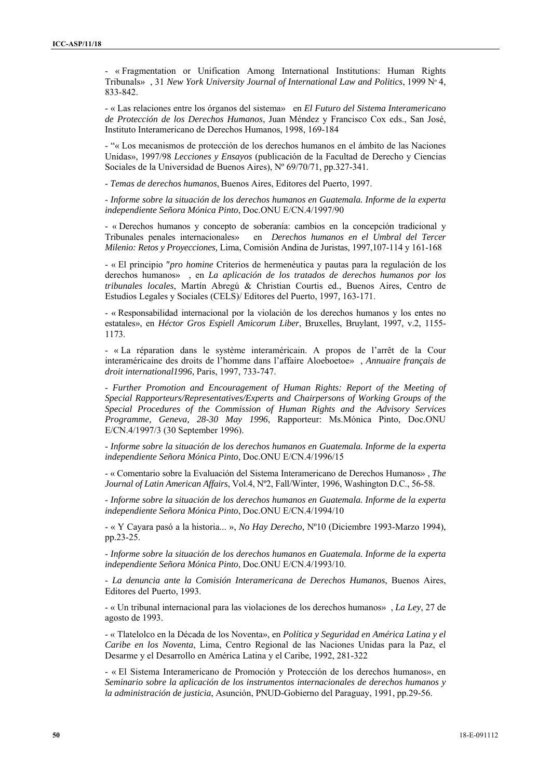- « Fragmentation or Unification Among International Institutions: Human Rights Tribunals» , 31 *New York University Journal of International Law and Politics*, 1999 Nº 4, 833-842.

- « Las relaciones entre los órganos del sistema» en *El Futuro del Sistema Interamericano de Protección de los Derechos Humanos*, Juan Méndez y Francisco Cox eds., San José, Instituto Interamericano de Derechos Humanos, 1998, 169-184

- "« Los mecanismos de protección de los derechos humanos en el ámbito de las Naciones Unidas», 1997/98 *Lecciones y Ensayos* (publicación de la Facultad de Derecho y Ciencias Sociales de la Universidad de Buenos Aires), Nº 69/70/71, pp.327-341.

- *Temas de derechos humanos*, Buenos Aires, Editores del Puerto, 1997.

- *Informe sobre la situación de los derechos humanos en Guatemala. Informe de la experta independiente Señora Mónica Pinto*, Doc.ONU E/CN.4/1997/90

- « Derechos humanos y concepto de soberanía: cambios en la concepción tradicional y Tribunales penales internacionales» en *Derechos humanos en el Umbral del Tercer Milenio: Retos y Proyecciones,* Lima, Comisión Andina de Juristas, 1997,107-114 y 161-168

- « El principio *pro homine* Criterios de hermenéutica y pautas para la regulación de los derechos humanos» , en *La aplicación de los tratados de derechos humanos por los tribunales locales*, Martín Abregú & Christian Courtis ed., Buenos Aires, Centro de Estudios Legales y Sociales (CELS)/ Editores del Puerto, 1997, 163-171.

- « Responsabilidad internacional por la violación de los derechos humanos y los entes no estatales», en *Héctor Gros Espiell Amicorum Liber*, Bruxelles, Bruylant, 1997, v.2, 1155- 1173.

- « La réparation dans le système interaméricain. A propos de l'arrêt de la Cour interaméricaine des droits de l'homme dans l'affaire Aloeboetoe» , *Annuaire français de droit international1996*, Paris, 1997, 733-747.

- *Further Promotion and Encouragement of Human Rights: Report of the Meeting of Special Rapporteurs/Representatives/Experts and Chairpersons of Working Groups of the Special Procedures of the Commission of Human Rights and the Advisory Services Programme, Geneva, 28-30 May 1996*, Rapporteur: Ms.Mónica Pinto, Doc.ONU E/CN.4/1997/3 (30 September 1996).

- *Informe sobre la situación de los derechos humanos en Guatemala. Informe de la experta independiente Señora Mónica Pinto*, Doc.ONU E/CN.4/1996/15

- « Comentario sobre la Evaluación del Sistema Interamericano de Derechos Humanos» , *The Journal of Latin American Affairs*, Vol.4, Nº2, Fall/Winter, 1996, Washington D.C., 56-58.

- *Informe sobre la situación de los derechos humanos en Guatemala. Informe de la experta independiente Señora Mónica Pinto*, Doc.ONU E/CN.4/1994/10

- « Y Cayara pasó a la historia... », *No Hay Derecho,* Nº10 (Diciembre 1993-Marzo 1994), pp.23-25.

- *Informe sobre la situación de los derechos humanos en Guatemala. Informe de la experta independiente Señora Mónica Pinto*, Doc.ONU E/CN.4/1993/10.

- *La denuncia ante la Comisión Interamericana de Derechos Humanos*, Buenos Aires, Editores del Puerto, 1993.

- « Un tribunal internacional para las violaciones de los derechos humanos» , *La Ley*, 27 de agosto de 1993.

- « Tlatelolco en la Década de los Noventa», en *Política y Seguridad en América Latina y el Caribe en los Noventa*, Lima, Centro Regional de las Naciones Unidas para la Paz, el Desarme y el Desarrollo en América Latina y el Caribe, 1992, 281-322

- « El Sistema Interamericano de Promoción y Protección de los derechos humanos», en *Seminario sobre la aplicación de los instrumentos internacionales de derechos humanos y la administración de justicia*, Asunción, PNUD-Gobierno del Paraguay, 1991, pp.29-56.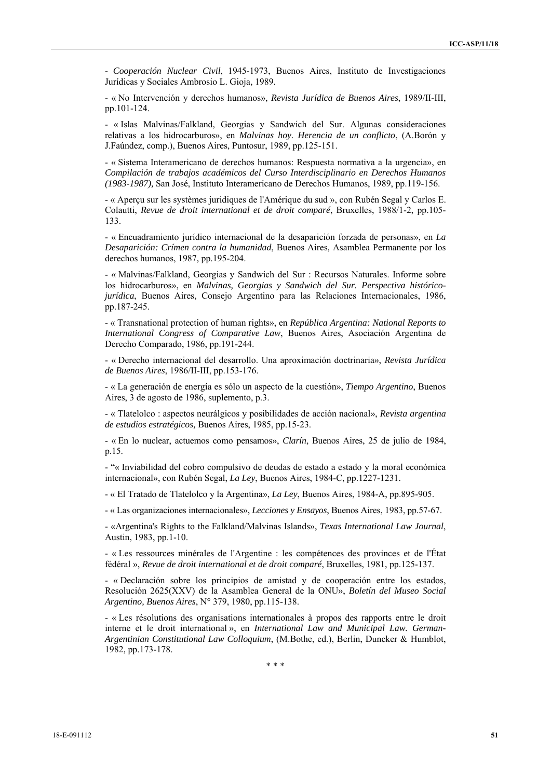- *Cooperación Nuclear Civil*, 1945-1973, Buenos Aires, Instituto de Investigaciones Jurídicas y Sociales Ambrosio L. Gioja, 1989.

- « No Intervención y derechos humanos», *Revista Jurídica de Buenos Aires*, 1989/II-III, pp.101-124.

- « Islas Malvinas/Falkland, Georgias y Sandwich del Sur. Algunas consideraciones relativas a los hidrocarburos», en *Malvinas hoy. Herencia de un conflicto*, (A.Borón y J.Faúndez, comp.), Buenos Aires, Puntosur, 1989, pp.125-151.

- « Sistema Interamericano de derechos humanos: Respuesta normativa a la urgencia», en *Compilación de trabajos académicos del Curso Interdisciplinario en Derechos Humanos (1983-1987),* San José, Instituto Interamericano de Derechos Humanos, 1989, pp.119-156.

- « Aperçu sur les systèmes juridiques de l'Amérique du sud », con Rubén Segal y Carlos E. Colautti, *Revue de droit international et de droit comparé*, Bruxelles, 1988/1-2, pp.105- 133.

- « Encuadramiento jurídico internacional de la desaparición forzada de personas», en *La Desaparición: Crímen contra la humanidad*, Buenos Aires, Asamblea Permanente por los derechos humanos, 1987, pp.195-204.

- « Malvinas/Falkland, Georgias y Sandwich del Sur : Recursos Naturales. Informe sobre los hidrocarburos», en *Malvinas, Georgias y Sandwich del Sur. Perspectiva históricojurídica*, Buenos Aires, Consejo Argentino para las Relaciones Internacionales, 1986, pp.187-245.

- « Transnational protection of human rights», en *República Argentina: National Reports to International Congress of Comparative Law*, Buenos Aires, Asociación Argentina de Derecho Comparado, 1986, pp.191-244.

- « Derecho internacional del desarrollo. Una aproximación doctrinaria», *Revista Jurídica de Buenos Aires*, 1986/II-III, pp.153-176.

- « La generación de energía es sólo un aspecto de la cuestión», *Tiempo Argentino*, Buenos Aires, 3 de agosto de 1986, suplemento, p.3.

- « Tlatelolco : aspectos neurálgicos y posibilidades de acción nacional», *Revista argentina de estudios estratégicos,* Buenos Aires, 1985, pp.15-23.

- « En lo nuclear, actuemos como pensamos», *Clarín*, Buenos Aires, 25 de julio de 1984, p.15.

- "« Inviabilidad del cobro compulsivo de deudas de estado a estado y la moral económica internacional», con Rubén Segal, *La Ley*, Buenos Aires, 1984-C, pp.1227-1231.

- « El Tratado de Tlatelolco y la Argentina», *La Ley*, Buenos Aires, 1984-A, pp.895-905.

- « Las organizaciones internacionales», *Lecciones y Ensayos*, Buenos Aires, 1983, pp.57-67.

- «Argentina's Rights to the Falkland/Malvinas Islands», *Texas International Law Journal*, Austin, 1983, pp.1-10.

- « Les ressources minérales de l'Argentine : les compétences des provinces et de l'État fédéral », *Revue de droit international et de droit comparé*, Bruxelles, 1981, pp.125-137.

- « Declaración sobre los principios de amistad y de cooperación entre los estados, Resolución 2625(XXV) de la Asamblea General de la ONU», *Boletín del Museo Social Argentino, Buenos Aires*, N° 379, 1980, pp.115-138.

- « Les résolutions des organisations internationales à propos des rapports entre le droit interne et le droit international », en *International Law and Municipal Law. German-Argentinian Constitutional Law Colloquium*, (M.Bothe, ed.), Berlin, Duncker & Humblot, 1982, pp.173-178.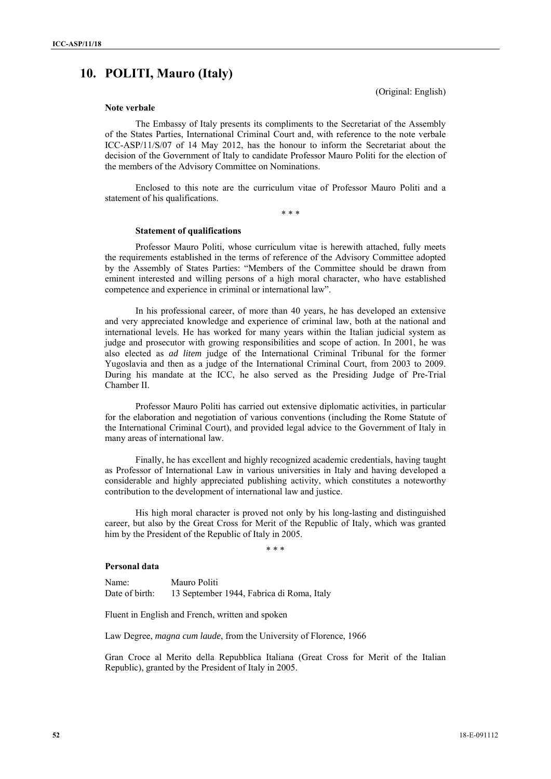# **10. POLITI, Mauro (Italy)**

(Original: English)

## **Note verbale**

The Embassy of Italy presents its compliments to the Secretariat of the Assembly of the States Parties, International Criminal Court and, with reference to the note verbale ICC-ASP/11/S/07 of 14 May 2012, has the honour to inform the Secretariat about the decision of the Government of Italy to candidate Professor Mauro Politi for the election of the members of the Advisory Committee on Nominations.

Enclosed to this note are the curriculum vitae of Professor Mauro Politi and a statement of his qualifications.

\* \* \*

#### **Statement of qualifications**

Professor Mauro Politi, whose curriculum vitae is herewith attached, fully meets the requirements established in the terms of reference of the Advisory Committee adopted by the Assembly of States Parties: "Members of the Committee should be drawn from eminent interested and willing persons of a high moral character, who have established competence and experience in criminal or international law".

In his professional career, of more than 40 years, he has developed an extensive and very appreciated knowledge and experience of criminal law, both at the national and international levels. He has worked for many years within the Italian judicial system as judge and prosecutor with growing responsibilities and scope of action. In 2001, he was also elected as *ad litem* judge of the International Criminal Tribunal for the former Yugoslavia and then as a judge of the International Criminal Court, from 2003 to 2009. During his mandate at the ICC, he also served as the Presiding Judge of Pre-Trial Chamber II.

Professor Mauro Politi has carried out extensive diplomatic activities, in particular for the elaboration and negotiation of various conventions (including the Rome Statute of the International Criminal Court), and provided legal advice to the Government of Italy in many areas of international law.

Finally, he has excellent and highly recognized academic credentials, having taught as Professor of International Law in various universities in Italy and having developed a considerable and highly appreciated publishing activity, which constitutes a noteworthy contribution to the development of international law and justice.

His high moral character is proved not only by his long-lasting and distinguished career, but also by the Great Cross for Merit of the Republic of Italy, which was granted him by the President of the Republic of Italy in 2005.

\* \* \*

#### **Personal data**

Name: Mauro Politi Date of birth: 13 September 1944, Fabrica di Roma, Italy

Fluent in English and French, written and spoken

Law Degree, *magna cum laude*, from the University of Florence, 1966

Gran Croce al Merito della Repubblica Italiana (Great Cross for Merit of the Italian Republic), granted by the President of Italy in 2005.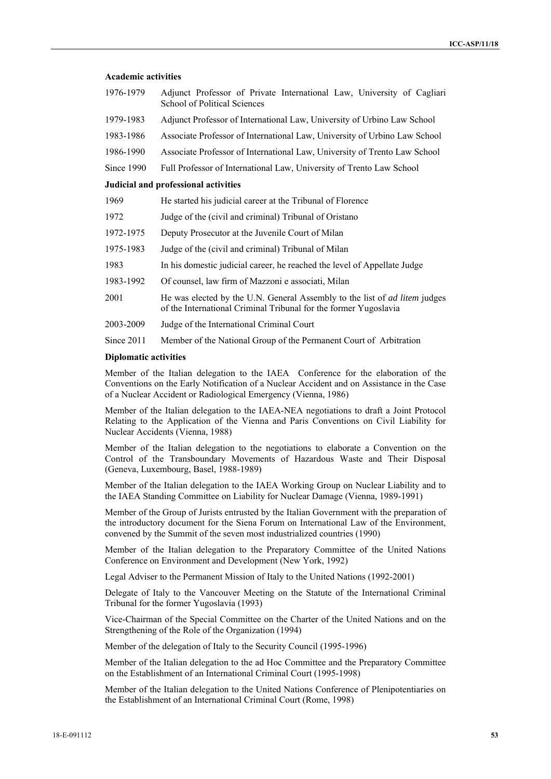## **Academic activities**

| 1976-1979  | Adjunct Professor of Private International Law, University of Cagliari<br>School of Political Sciences |
|------------|--------------------------------------------------------------------------------------------------------|
| 1979-1983  | Adjunct Professor of International Law, University of Urbino Law School                                |
| 1983-1986  | Associate Professor of International Law, University of Urbino Law School                              |
| 1986-1990  | Associate Professor of International Law, University of Trento Law School                              |
| Since 1990 | Full Professor of International Law, University of Trento Law School                                   |
|            | Judicial and professional activities                                                                   |
| 1969       | He started his judicial career at the Tribunal of Florence                                             |

| 1972 |  | Judge of the (civil and criminal) Tribunal of Oristano |
|------|--|--------------------------------------------------------|
|      |  |                                                        |

- 1972-1975 Deputy Prosecutor at the Juvenile Court of Milan
- 1975-1983 Judge of the (civil and criminal) Tribunal of Milan
- 1983 In his domestic judicial career, he reached the level of Appellate Judge
- 1983-1992 Of counsel, law firm of Mazzoni e associati, Milan
- 2001 He was elected by the U.N. General Assembly to the list of *ad litem* judges of the International Criminal Tribunal for the former Yugoslavia
- 2003-2009 Judge of the International Criminal Court
- Since 2011 Member of the National Group of the Permanent Court of Arbitration

#### **Diplomatic activities**

Member of the Italian delegation to the IAEA Conference for the elaboration of the Conventions on the Early Notification of a Nuclear Accident and on Assistance in the Case of a Nuclear Accident or Radiological Emergency (Vienna, 1986)

Member of the Italian delegation to the IAEA-NEA negotiations to draft a Joint Protocol Relating to the Application of the Vienna and Paris Conventions on Civil Liability for Nuclear Accidents (Vienna, 1988)

Member of the Italian delegation to the negotiations to elaborate a Convention on the Control of the Transboundary Movements of Hazardous Waste and Their Disposal (Geneva, Luxembourg, Basel, 1988-1989)

Member of the Italian delegation to the IAEA Working Group on Nuclear Liability and to the IAEA Standing Committee on Liability for Nuclear Damage (Vienna, 1989-1991)

Member of the Group of Jurists entrusted by the Italian Government with the preparation of the introductory document for the Siena Forum on International Law of the Environment, convened by the Summit of the seven most industrialized countries (1990)

Member of the Italian delegation to the Preparatory Committee of the United Nations Conference on Environment and Development (New York, 1992)

Legal Adviser to the Permanent Mission of Italy to the United Nations (1992-2001)

Delegate of Italy to the Vancouver Meeting on the Statute of the International Criminal Tribunal for the former Yugoslavia (1993)

Vice-Chairman of the Special Committee on the Charter of the United Nations and on the Strengthening of the Role of the Organization (1994)

Member of the delegation of Italy to the Security Council (1995-1996)

Member of the Italian delegation to the ad Hoc Committee and the Preparatory Committee on the Establishment of an International Criminal Court (1995-1998)

Member of the Italian delegation to the United Nations Conference of Plenipotentiaries on the Establishment of an International Criminal Court (Rome, 1998)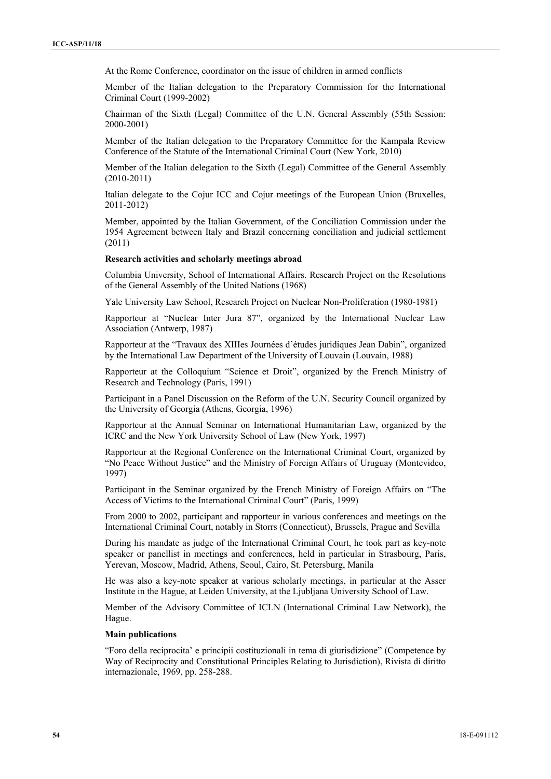At the Rome Conference, coordinator on the issue of children in armed conflicts

Member of the Italian delegation to the Preparatory Commission for the International Criminal Court (1999-2002)

Chairman of the Sixth (Legal) Committee of the U.N. General Assembly (55th Session: 2000-2001)

Member of the Italian delegation to the Preparatory Committee for the Kampala Review Conference of the Statute of the International Criminal Court (New York, 2010)

Member of the Italian delegation to the Sixth (Legal) Committee of the General Assembly (2010-2011)

Italian delegate to the Cojur ICC and Cojur meetings of the European Union (Bruxelles, 2011-2012)

Member, appointed by the Italian Government, of the Conciliation Commission under the 1954 Agreement between Italy and Brazil concerning conciliation and judicial settlement (2011)

#### **Research activities and scholarly meetings abroad**

Columbia University, School of International Affairs. Research Project on the Resolutions of the General Assembly of the United Nations (1968)

Yale University Law School, Research Project on Nuclear Non-Proliferation (1980-1981)

Rapporteur at "Nuclear Inter Jura 87", organized by the International Nuclear Law Association (Antwerp, 1987)

Rapporteur at the "Travaux des XIIIes Journées d'études juridiques Jean Dabin", organized by the International Law Department of the University of Louvain (Louvain, 1988)

Rapporteur at the Colloquium "Science et Droit", organized by the French Ministry of Research and Technology (Paris, 1991)

Participant in a Panel Discussion on the Reform of the U.N. Security Council organized by the University of Georgia (Athens, Georgia, 1996)

Rapporteur at the Annual Seminar on International Humanitarian Law, organized by the ICRC and the New York University School of Law (New York, 1997)

Rapporteur at the Regional Conference on the International Criminal Court, organized by "No Peace Without Justice" and the Ministry of Foreign Affairs of Uruguay (Montevideo, 1997)

Participant in the Seminar organized by the French Ministry of Foreign Affairs on "The Access of Victims to the International Criminal Court" (Paris, 1999)

From 2000 to 2002, participant and rapporteur in various conferences and meetings on the International Criminal Court, notably in Storrs (Connecticut), Brussels, Prague and Sevilla

During his mandate as judge of the International Criminal Court, he took part as key-note speaker or panellist in meetings and conferences, held in particular in Strasbourg, Paris, Yerevan, Moscow, Madrid, Athens, Seoul, Cairo, St. Petersburg, Manila

He was also a key-note speaker at various scholarly meetings, in particular at the Asser Institute in the Hague, at Leiden University, at the Ljubljana University School of Law.

Member of the Advisory Committee of ICLN (International Criminal Law Network), the Hague.

#### **Main publications**

"Foro della reciprocita' e principii costituzionali in tema di giurisdizione" (Competence by Way of Reciprocity and Constitutional Principles Relating to Jurisdiction), Rivista di diritto internazionale, 1969, pp. 258-288.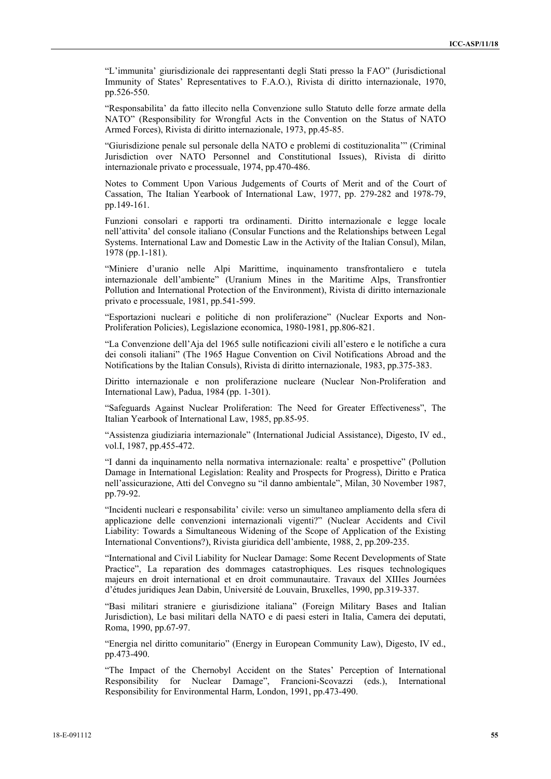"L'immunita' giurisdizionale dei rappresentanti degli Stati presso la FAO" (Jurisdictional Immunity of States' Representatives to F.A.O.), Rivista di diritto internazionale, 1970, pp.526-550.

"Responsabilita' da fatto illecito nella Convenzione sullo Statuto delle forze armate della NATO" (Responsibility for Wrongful Acts in the Convention on the Status of NATO Armed Forces), Rivista di diritto internazionale, 1973, pp.45-85.

"Giurisdizione penale sul personale della NATO e problemi di costituzionalita'" (Criminal Jurisdiction over NATO Personnel and Constitutional Issues), Rivista di diritto internazionale privato e processuale, 1974, pp.470-486.

Notes to Comment Upon Various Judgements of Courts of Merit and of the Court of Cassation, The Italian Yearbook of International Law, 1977, pp. 279-282 and 1978-79, pp.149-161.

Funzioni consolari e rapporti tra ordinamenti. Diritto internazionale e legge locale nell'attivita' del console italiano (Consular Functions and the Relationships between Legal Systems. International Law and Domestic Law in the Activity of the Italian Consul), Milan, 1978 (pp.1-181).

"Miniere d'uranio nelle Alpi Marittime, inquinamento transfrontaliero e tutela internazionale dell'ambiente" (Uranium Mines in the Maritime Alps, Transfrontier Pollution and International Protection of the Environment), Rivista di diritto internazionale privato e processuale, 1981, pp.541-599.

"Esportazioni nucleari e politiche di non proliferazione" (Nuclear Exports and Non-Proliferation Policies), Legislazione economica, 1980-1981, pp.806-821.

"La Convenzione dell'Aja del 1965 sulle notificazioni civili all'estero e le notifiche a cura dei consoli italiani" (The 1965 Hague Convention on Civil Notifications Abroad and the Notifications by the Italian Consuls), Rivista di diritto internazionale, 1983, pp.375-383.

Diritto internazionale e non proliferazione nucleare (Nuclear Non-Proliferation and International Law), Padua, 1984 (pp. 1-301).

"Safeguards Against Nuclear Proliferation: The Need for Greater Effectiveness", The Italian Yearbook of International Law, 1985, pp.85-95.

"Assistenza giudiziaria internazionale" (International Judicial Assistance), Digesto, IV ed., vol.I, 1987, pp.455-472.

"I danni da inquinamento nella normativa internazionale: realta' e prospettive" (Pollution Damage in International Legislation: Reality and Prospects for Progress), Diritto e Pratica nell'assicurazione, Atti del Convegno su "il danno ambientale", Milan, 30 November 1987, pp.79-92.

"Incidenti nucleari e responsabilita' civile: verso un simultaneo ampliamento della sfera di applicazione delle convenzioni internazionali vigenti?" (Nuclear Accidents and Civil Liability: Towards a Simultaneous Widening of the Scope of Application of the Existing International Conventions?), Rivista giuridica dell'ambiente, 1988, 2, pp.209-235.

"International and Civil Liability for Nuclear Damage: Some Recent Developments of State Practice", La reparation des dommages catastrophiques. Les risques technologiques majeurs en droit international et en droit communautaire. Travaux del XIIIes Journées d'études juridiques Jean Dabin, Université de Louvain, Bruxelles, 1990, pp.319-337.

"Basi militari straniere e giurisdizione italiana" (Foreign Military Bases and Italian Jurisdiction), Le basi militari della NATO e di paesi esteri in Italia, Camera dei deputati, Roma, 1990, pp.67-97.

"Energia nel diritto comunitario" (Energy in European Community Law), Digesto, IV ed., pp.473-490.

"The Impact of the Chernobyl Accident on the States' Perception of International Responsibility for Nuclear Damage", Francioni-Scovazzi (eds.), International Responsibility for Environmental Harm, London, 1991, pp.473-490.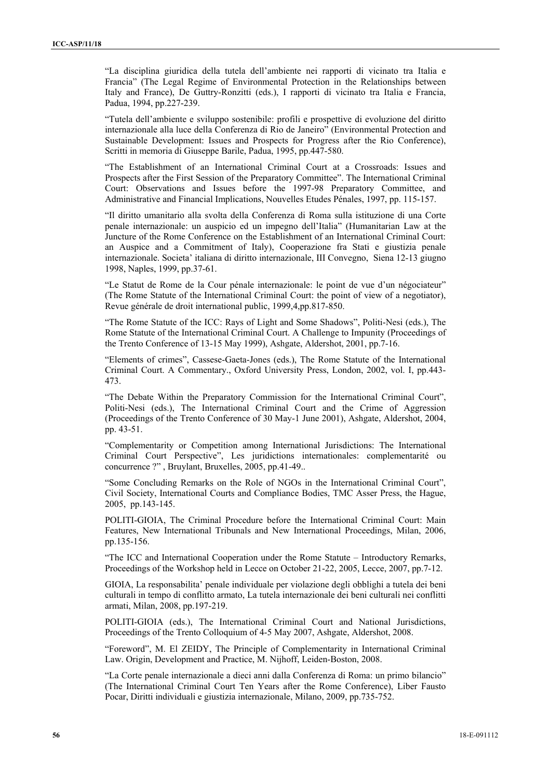"La disciplina giuridica della tutela dell'ambiente nei rapporti di vicinato tra Italia e Francia" (The Legal Regime of Environmental Protection in the Relationships between Italy and France), De Guttry-Ronzitti (eds.), I rapporti di vicinato tra Italia e Francia, Padua, 1994, pp.227-239.

"Tutela dell'ambiente e sviluppo sostenibile: profili e prospettive di evoluzione del diritto internazionale alla luce della Conferenza di Rio de Janeiro" (Environmental Protection and Sustainable Development: Issues and Prospects for Progress after the Rio Conference), Scritti in memoria di Giuseppe Barile, Padua, 1995, pp.447-580.

"The Establishment of an International Criminal Court at a Crossroads: Issues and Prospects after the First Session of the Preparatory Committee". The International Criminal Court: Observations and Issues before the 1997-98 Preparatory Committee, and Administrative and Financial Implications, Nouvelles Etudes Pénales, 1997, pp. 115-157.

"Il diritto umanitario alla svolta della Conferenza di Roma sulla istituzione di una Corte penale internazionale: un auspicio ed un impegno dell'Italia" (Humanitarian Law at the Juncture of the Rome Conference on the Establishment of an International Criminal Court: an Auspice and a Commitment of Italy), Cooperazione fra Stati e giustizia penale internazionale. Societa' italiana di diritto internazionale, III Convegno, Siena 12-13 giugno 1998, Naples, 1999, pp.37-61.

"Le Statut de Rome de la Cour pénale internazionale: le point de vue d'un négociateur" (The Rome Statute of the International Criminal Court: the point of view of a negotiator), Revue générale de droit international public, 1999,4,pp.817-850.

"The Rome Statute of the ICC: Rays of Light and Some Shadows", Politi-Nesi (eds.), The Rome Statute of the International Criminal Court. A Challenge to Impunity (Proceedings of the Trento Conference of 13-15 May 1999), Ashgate, Aldershot, 2001, pp.7-16.

"Elements of crimes", Cassese-Gaeta-Jones (eds.), The Rome Statute of the International Criminal Court. A Commentary., Oxford University Press, London, 2002, vol. I, pp.443- 473.

"The Debate Within the Preparatory Commission for the International Criminal Court", Politi-Nesi (eds.), The International Criminal Court and the Crime of Aggression (Proceedings of the Trento Conference of 30 May-1 June 2001), Ashgate, Aldershot, 2004, pp. 43-51.

"Complementarity or Competition among International Jurisdictions: The International Criminal Court Perspective", Les juridictions internationales: complementarité ou concurrence ?" , Bruylant, Bruxelles, 2005, pp.41-49..

"Some Concluding Remarks on the Role of NGOs in the International Criminal Court", Civil Society, International Courts and Compliance Bodies, TMC Asser Press, the Hague, 2005, pp.143-145.

POLITI-GIOIA, The Criminal Procedure before the International Criminal Court: Main Features, New International Tribunals and New International Proceedings, Milan, 2006, pp.135-156.

"The ICC and International Cooperation under the Rome Statute – Introductory Remarks, Proceedings of the Workshop held in Lecce on October 21-22, 2005, Lecce, 2007, pp.7-12.

GIOIA, La responsabilita' penale individuale per violazione degli obblighi a tutela dei beni culturali in tempo di conflitto armato, La tutela internazionale dei beni culturali nei conflitti armati, Milan, 2008, pp.197-219.

POLITI-GIOIA (eds.), The International Criminal Court and National Jurisdictions, Proceedings of the Trento Colloquium of 4-5 May 2007, Ashgate, Aldershot, 2008.

"Foreword", M. El ZEIDY, The Principle of Complementarity in International Criminal Law. Origin, Development and Practice, M. Nijhoff, Leiden-Boston, 2008.

"La Corte penale internazionale a dieci anni dalla Conferenza di Roma: un primo bilancio" (The International Criminal Court Ten Years after the Rome Conference), Liber Fausto Pocar, Diritti individuali e giustizia internazionale, Milano, 2009, pp.735-752.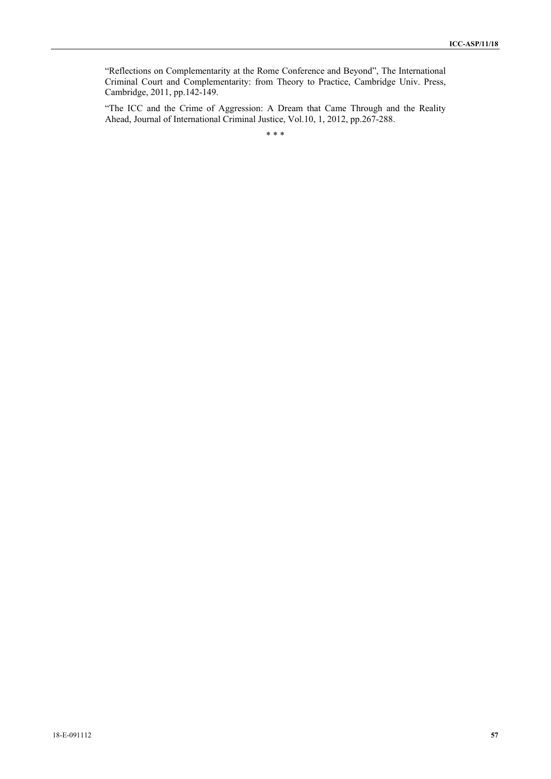"Reflections on Complementarity at the Rome Conference and Beyond", The International Criminal Court and Complementarity: from Theory to Practice, Cambridge Univ. Press, Cambridge, 2011, pp.142-149.

"The ICC and the Crime of Aggression: A Dream that Came Through and the Reality Ahead, Journal of International Criminal Justice, Vol.10, 1, 2012, pp.267-288.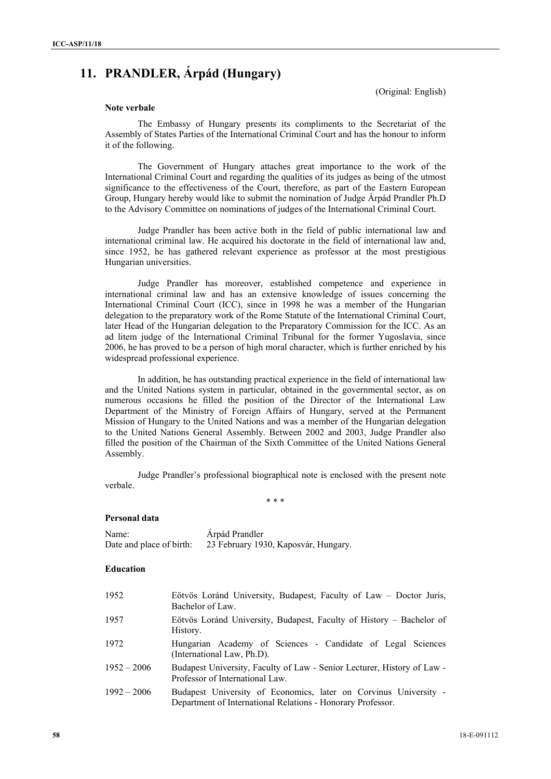# **11. PRANDLER, Árpád (Hungary)**

(Original: English)

## **Note verbale**

The Embassy of Hungary presents its compliments to the Secretariat of the Assembly of States Parties of the International Criminal Court and has the honour to inform it of the following.

The Government of Hungary attaches great importance to the work of the International Criminal Court and regarding the qualities of its judges as being of the utmost significance to the effectiveness of the Court, therefore, as part of the Eastern European Group, Hungary hereby would like to submit the nomination of Judge Árpád Prandler Ph.D to the Advisory Committee on nominations of judges of the International Criminal Court.

Judge Prandler has been active both in the field of public international law and international criminal law. He acquired his doctorate in the field of international law and, since 1952, he has gathered relevant experience as professor at the most prestigious Hungarian universities.

Judge Prandler has moreover, established competence and experience in international criminal law and has an extensive knowledge of issues concerning the International Criminal Court (ICC), since in 1998 he was a member of the Hungarian delegation to the preparatory work of the Rome Statute of the International Criminal Court, later Head of the Hungarian delegation to the Preparatory Commission for the ICC. As an ad litem judge of the International Criminal Tribunal for the former Yugoslavia, since 2006, he has proved to be a person of high moral character, which is further enriched by his widespread professional experience.

In addition, he has outstanding practical experience in the field of international law and the United Nations system in particular, obtained in the governmental sector, as on numerous occasions he filled the position of the Director of the International Law Department of the Ministry of Foreign Affairs of Hungary, served at the Permanent Mission of Hungary to the United Nations and was a member of the Hungarian delegation to the United Nations General Assembly. Between 2002 and 2003, Judge Prandler also filled the position of the Chairman of the Sixth Committee of the United Nations General Assembly.

Judge Prandler's professional biographical note is enclosed with the present note verbale.

\* \* \*

#### **Personal data**

| Name:                    | Árpád Prandler                       |
|--------------------------|--------------------------------------|
| Date and place of birth: | 23 February 1930, Kaposvár, Hungary. |

#### **Education**

| 1952          | Eötvös Loránd University, Budapest, Faculty of Law – Doctor Juris,<br>Bachelor of Law.                                          |
|---------------|---------------------------------------------------------------------------------------------------------------------------------|
| 1957          | Eötvös Loránd University, Budapest, Faculty of History – Bachelor of<br>History.                                                |
| 1972          | Hungarian Academy of Sciences - Candidate of Legal Sciences<br>(International Law, Ph.D).                                       |
| $1952 - 2006$ | Budapest University, Faculty of Law - Senior Lecturer, History of Law -<br>Professor of International Law.                      |
| $1992 - 2006$ | Budapest University of Economics, later on Corvinus University -<br>Department of International Relations - Honorary Professor. |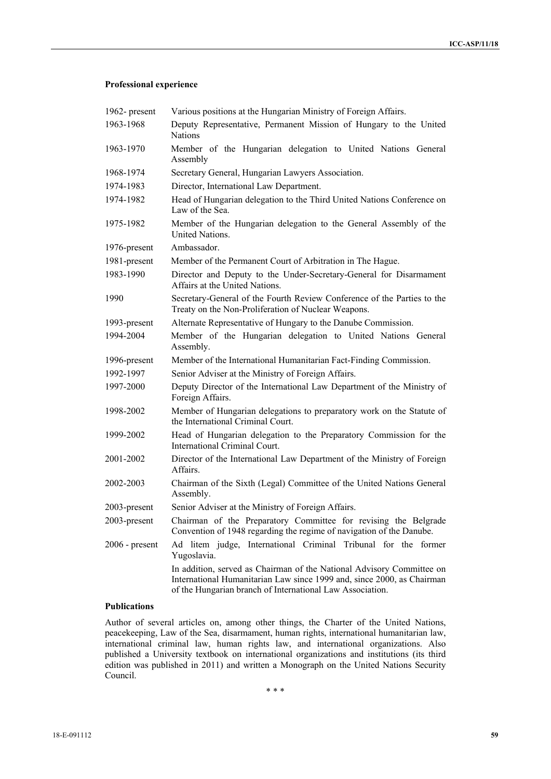## **Professional experience**

| 1962-present     | Various positions at the Hungarian Ministry of Foreign Affairs.                                                                                                                                              |  |  |
|------------------|--------------------------------------------------------------------------------------------------------------------------------------------------------------------------------------------------------------|--|--|
| 1963-1968        | Deputy Representative, Permanent Mission of Hungary to the United<br><b>Nations</b>                                                                                                                          |  |  |
| 1963-1970        | Member of the Hungarian delegation to United Nations General<br>Assembly                                                                                                                                     |  |  |
| 1968-1974        | Secretary General, Hungarian Lawyers Association.                                                                                                                                                            |  |  |
| 1974-1983        | Director, International Law Department.                                                                                                                                                                      |  |  |
| 1974-1982        | Head of Hungarian delegation to the Third United Nations Conference on<br>Law of the Sea.                                                                                                                    |  |  |
| 1975-1982        | Member of the Hungarian delegation to the General Assembly of the<br><b>United Nations.</b>                                                                                                                  |  |  |
| 1976-present     | Ambassador.                                                                                                                                                                                                  |  |  |
| 1981-present     | Member of the Permanent Court of Arbitration in The Hague.                                                                                                                                                   |  |  |
| 1983-1990        | Director and Deputy to the Under-Secretary-General for Disarmament<br>Affairs at the United Nations.                                                                                                         |  |  |
| 1990             | Secretary-General of the Fourth Review Conference of the Parties to the<br>Treaty on the Non-Proliferation of Nuclear Weapons.                                                                               |  |  |
| 1993-present     | Alternate Representative of Hungary to the Danube Commission.                                                                                                                                                |  |  |
| 1994-2004        | Member of the Hungarian delegation to United Nations General<br>Assembly.                                                                                                                                    |  |  |
| 1996-present     | Member of the International Humanitarian Fact-Finding Commission.                                                                                                                                            |  |  |
| 1992-1997        | Senior Adviser at the Ministry of Foreign Affairs.                                                                                                                                                           |  |  |
| 1997-2000        | Deputy Director of the International Law Department of the Ministry of<br>Foreign Affairs.                                                                                                                   |  |  |
| 1998-2002        | Member of Hungarian delegations to preparatory work on the Statute of<br>the International Criminal Court.                                                                                                   |  |  |
| 1999-2002        | Head of Hungarian delegation to the Preparatory Commission for the<br>International Criminal Court.                                                                                                          |  |  |
| 2001-2002        | Director of the International Law Department of the Ministry of Foreign<br><b>Affairs</b>                                                                                                                    |  |  |
| 2002-2003        | Chairman of the Sixth (Legal) Committee of the United Nations General<br>Assembly.                                                                                                                           |  |  |
| 2003-present     | Senior Adviser at the Ministry of Foreign Affairs.                                                                                                                                                           |  |  |
| 2003-present     | Chairman of the Preparatory Committee for revising the Belgrade<br>Convention of 1948 regarding the regime of navigation of the Danube.                                                                      |  |  |
| $2006$ - present | Ad litem judge, International Criminal Tribunal for the former<br>Yugoslavia.                                                                                                                                |  |  |
|                  | In addition, served as Chairman of the National Advisory Committee on<br>International Humanitarian Law since 1999 and, since 2000, as Chairman<br>of the Hungarian branch of International Law Association. |  |  |

## **Publications**

Author of several articles on, among other things, the Charter of the United Nations, peacekeeping, Law of the Sea, disarmament, human rights, international humanitarian law, international criminal law, human rights law, and international organizations. Also published a University textbook on international organizations and institutions (its third edition was published in 2011) and written a Monograph on the United Nations Security Council.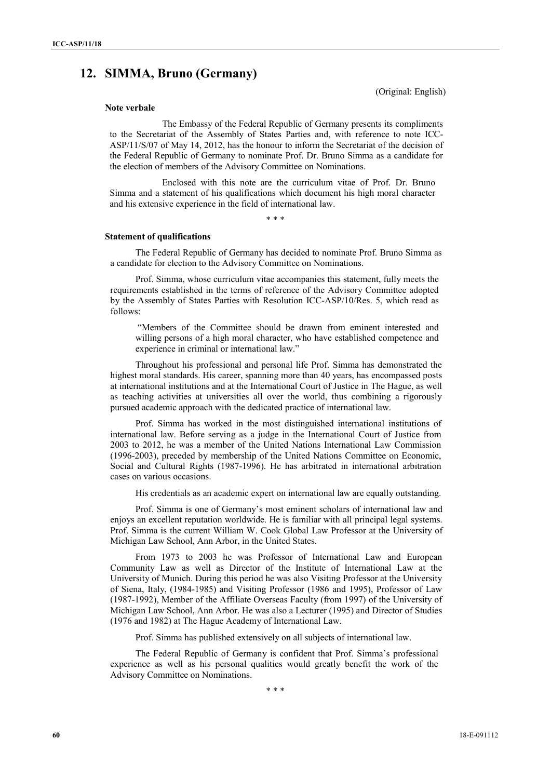# **12. SIMMA, Bruno (Germany)**

(Original: English)

#### **Note verbale**

The Embassy of the Federal Republic of Germany presents its compliments to the Secretariat of the Assembly of States Parties and, with reference to note ICC-ASP/11/S/07 of May 14, 2012, has the honour to inform the Secretariat of the decision of the Federal Republic of Germany to nominate Prof. Dr. Bruno Simma as a candidate for the election of members of the Advisory Committee on Nominations.

Enclosed with this note are the curriculum vitae of Prof. Dr. Bruno Simma and a statement of his qualifications which document his high moral character and his extensive experience in the field of international law.

\* \* \*

#### **Statement of qualifications**

The Federal Republic of Germany has decided to nominate Prof. Bruno Simma as a candidate for election to the Advisory Committee on Nominations.

Prof. Simma, whose curriculum vitae accompanies this statement, fully meets the requirements established in the terms of reference of the Advisory Committee adopted by the Assembly of States Parties with Resolution ICC-ASP/10/Res. 5, which read as follows:

 "Members of the Committee should be drawn from eminent interested and willing persons of a high moral character, who have established competence and experience in criminal or international law."

Throughout his professional and personal life Prof. Simma has demonstrated the highest moral standards. His career, spanning more than 40 years, has encompassed posts at international institutions and at the International Court of Justice in The Hague, as well as teaching activities at universities all over the world, thus combining a rigorously pursued academic approach with the dedicated practice of international law.

Prof. Simma has worked in the most distinguished international institutions of international law. Before serving as a judge in the International Court of Justice from 2003 to 2012, he was a member of the United Nations International Law Commission (1996-2003), preceded by membership of the United Nations Committee on Economic, Social and Cultural Rights (1987-1996). He has arbitrated in international arbitration cases on various occasions.

His credentials as an academic expert on international law are equally outstanding.

Prof. Simma is one of Germany's most eminent scholars of international law and enjoys an excellent reputation worldwide. He is familiar with all principal legal systems. Prof. Simma is the current William W. Cook Global Law Professor at the University of Michigan Law School, Ann Arbor, in the United States.

From 1973 to 2003 he was Professor of International Law and European Community Law as well as Director of the Institute of International Law at the University of Munich. During this period he was also Visiting Professor at the University of Siena, Italy, (1984-1985) and Visiting Professor (1986 and 1995), Professor of Law (1987-1992), Member of the Affiliate Overseas Faculty (from 1997) of the University of Michigan Law School, Ann Arbor. He was also a Lecturer (1995) and Director of Studies (1976 and 1982) at The Hague Academy of International Law.

Prof. Simma has published extensively on all subjects of international law.

The Federal Republic of Germany is confident that Prof. Simma's professional experience as well as his personal qualities would greatly benefit the work of the Advisory Committee on Nominations.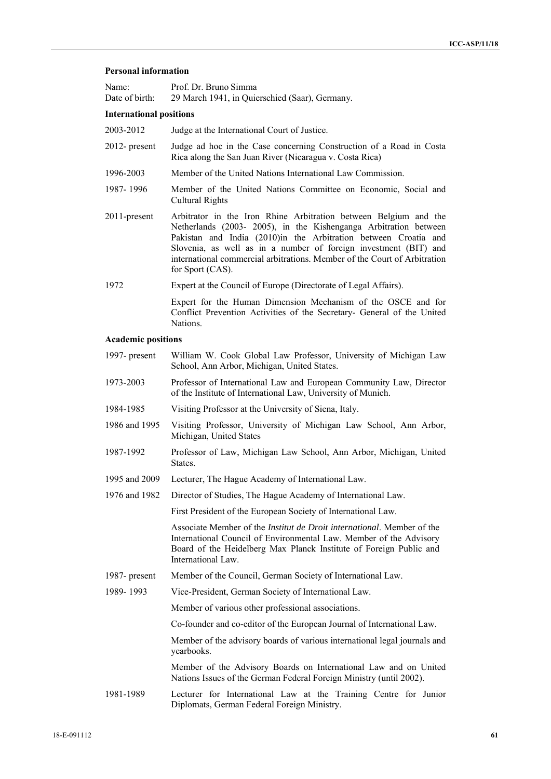#### **Personal information**

| Name:                          | Prof. Dr. Bruno Simma                          |  |
|--------------------------------|------------------------------------------------|--|
| Date of birth:                 | 29 March 1941, in Quierschied (Saar), Germany. |  |
| <b>International positions</b> |                                                |  |
| 2003-2012                      | Judge at the International Court of Justice.   |  |

- 2012- present Judge ad hoc in the Case concerning Construction of a Road in Costa Rica along the San Juan River (Nicaragua v. Costa Rica)
- 1996-2003 Member of the United Nations International Law Commission.
- 1987- 1996 Member of the United Nations Committee on Economic, Social and Cultural Rights
- 2011-present Arbitrator in the Iron Rhine Arbitration between Belgium and the Netherlands (2003- 2005), in the Kishenganga Arbitration between Pakistan and India (2010)in the Arbitration between Croatia and Slovenia, as well as in a number of foreign investment (BIT) and international commercial arbitrations. Member of the Court of Arbitration for Sport (CAS).
- 1972 Expert at the Council of Europe (Directorate of Legal Affairs). Expert for the Human Dimension Mechanism of the OSCE and for Conflict Prevention Activities of the Secretary- General of the United

#### **Academic positions**

Nations.

1997- present William W. Cook Global Law Professor, University of Michigan Law School, Ann Arbor, Michigan, United States. 1973-2003 Professor of International Law and European Community Law, Director of the Institute of International Law, University of Munich. 1984-1985 Visiting Professor at the University of Siena, Italy. 1986 and 1995 Visiting Professor, University of Michigan Law School, Ann Arbor, Michigan, United States 1987-1992 Professor of Law, Michigan Law School, Ann Arbor, Michigan, United States. 1995 and 2009 Lecturer, The Hague Academy of International Law. 1976 and 1982 Director of Studies, The Hague Academy of International Law. First President of the European Society of International Law. Associate Member of the *Institut de Droit international*. Member of the International Council of Environmental Law. Member of the Advisory Board of the Heidelberg Max Planck Institute of Foreign Public and International Law. 1987- present Member of the Council, German Society of International Law. 1989- 1993 Vice-President, German Society of International Law. Member of various other professional associations. Co-founder and co-editor of the European Journal of International Law. Member of the advisory boards of various international legal journals and yearbooks. Member of the Advisory Boards on International Law and on United Nations Issues of the German Federal Foreign Ministry (until 2002). 1981-1989 Lecturer for International Law at the Training Centre for Junior Diplomats, German Federal Foreign Ministry.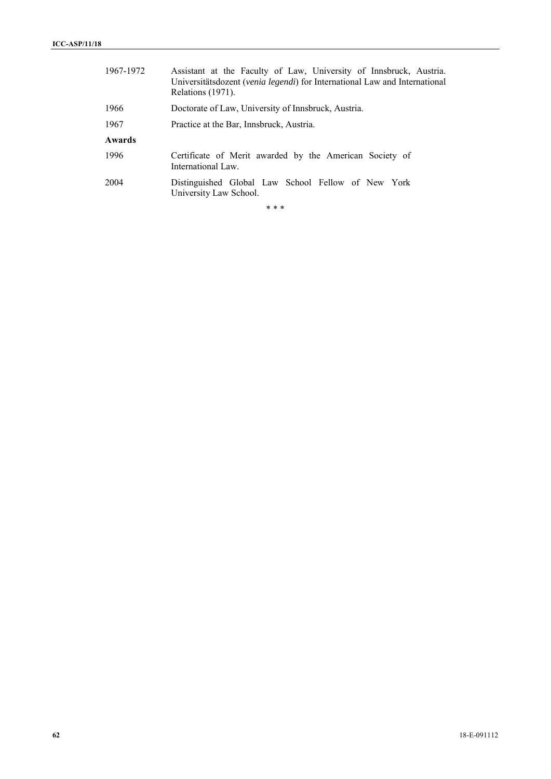| 1967-1972 | Assistant at the Faculty of Law, University of Innsbruck, Austria.<br>Universitätsdozent (venia legendi) for International Law and International<br>Relations (1971). |
|-----------|-----------------------------------------------------------------------------------------------------------------------------------------------------------------------|
| 1966      | Doctorate of Law, University of Innsbruck, Austria.                                                                                                                   |
| 1967      | Practice at the Bar, Innsbruck, Austria.                                                                                                                              |
| Awards    |                                                                                                                                                                       |
| 1996      | Certificate of Merit awarded by the American Society of<br>International Law.                                                                                         |
| 2004      | Distinguished Global Law School Fellow of New York<br>University Law School.                                                                                          |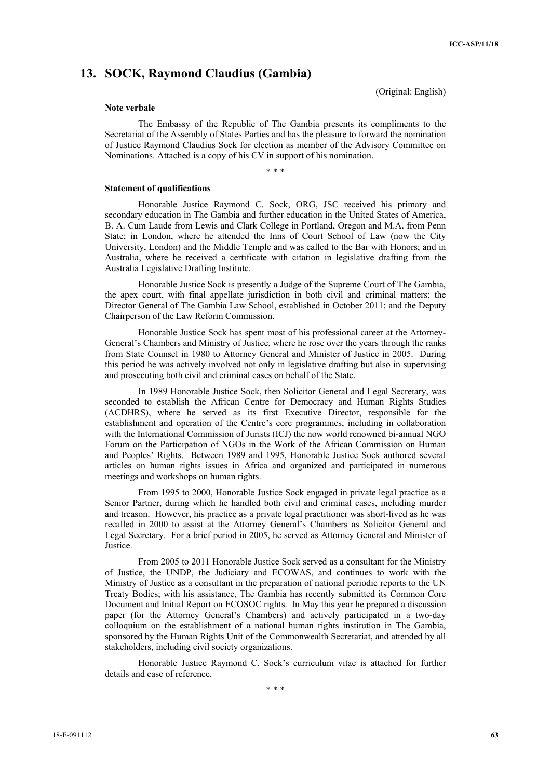# **13. SOCK, Raymond Claudius (Gambia)**

(Original: English)

#### **Note verbale**

The Embassy of the Republic of The Gambia presents its compliments to the Secretariat of the Assembly of States Parties and has the pleasure to forward the nomination of Justice Raymond Claudius Sock for election as member of the Advisory Committee on Nominations. Attached is a copy of his CV in support of his nomination.

\* \* \*

## **Statement of qualifications**

Honorable Justice Raymond C. Sock, ORG, JSC received his primary and secondary education in The Gambia and further education in the United States of America, B. A. Cum Laude from Lewis and Clark College in Portland, Oregon and M.A. from Penn State; in London, where he attended the Inns of Court School of Law (now the City University, London) and the Middle Temple and was called to the Bar with Honors; and in Australia, where he received a certificate with citation in legislative drafting from the Australia Legislative Drafting Institute.

Honorable Justice Sock is presently a Judge of the Supreme Court of The Gambia, the apex court, with final appellate jurisdiction in both civil and criminal matters; the Director General of The Gambia Law School, established in October 2011; and the Deputy Chairperson of the Law Reform Commission.

Honorable Justice Sock has spent most of his professional career at the Attorney-General's Chambers and Ministry of Justice, where he rose over the years through the ranks from State Counsel in 1980 to Attorney General and Minister of Justice in 2005. During this period he was actively involved not only in legislative drafting but also in supervising and prosecuting both civil and criminal cases on behalf of the State.

In 1989 Honorable Justice Sock, then Solicitor General and Legal Secretary, was seconded to establish the African Centre for Democracy and Human Rights Studies (ACDHRS), where he served as its first Executive Director, responsible for the establishment and operation of the Centre's core programmes, including in collaboration with the International Commission of Jurists (ICJ) the now world renowned bi-annual NGO Forum on the Participation of NGOs in the Work of the African Commission on Human and Peoples' Rights. Between 1989 and 1995, Honorable Justice Sock authored several articles on human rights issues in Africa and organized and participated in numerous meetings and workshops on human rights.

From 1995 to 2000, Honorable Justice Sock engaged in private legal practice as a Senior Partner, during which he handled both civil and criminal cases, including murder and treason. However, his practice as a private legal practitioner was short-lived as he was recalled in 2000 to assist at the Attorney General's Chambers as Solicitor General and Legal Secretary. For a brief period in 2005, he served as Attorney General and Minister of Justice.

From 2005 to 2011 Honorable Justice Sock served as a consultant for the Ministry of Justice, the UNDP, the Judiciary and ECOWAS, and continues to work with the Ministry of Justice as a consultant in the preparation of national periodic reports to the UN Treaty Bodies; with his assistance, The Gambia has recently submitted its Common Core Document and Initial Report on ECOSOC rights. In May this year he prepared a discussion paper (for the Attorney General's Chambers) and actively participated in a two-day colloquium on the establishment of a national human rights institution in The Gambia, sponsored by the Human Rights Unit of the Commonwealth Secretariat, and attended by all stakeholders, including civil society organizations.

Honorable Justice Raymond C. Sock's curriculum vitae is attached for further details and ease of reference.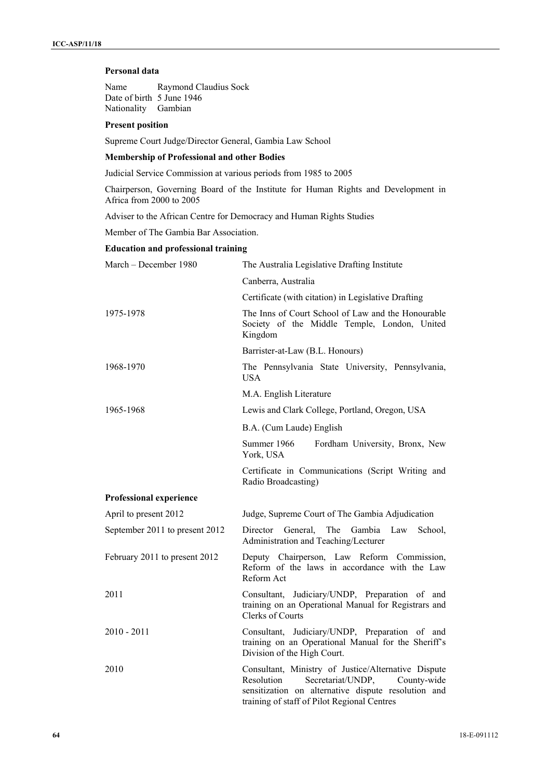## **Personal data**

Name Raymond Claudius Sock Date of birth 5 June 1946 Nationality Gambian

#### **Present position**

Supreme Court Judge/Director General, Gambia Law School

## **Membership of Professional and other Bodies**

Judicial Service Commission at various periods from 1985 to 2005

Chairperson, Governing Board of the Institute for Human Rights and Development in Africa from 2000 to 2005

Adviser to the African Centre for Democracy and Human Rights Studies

Member of The Gambia Bar Association.

#### **Education and professional training**

| March - December 1980          | The Australia Legislative Drafting Institute                                                                                                                                                                |
|--------------------------------|-------------------------------------------------------------------------------------------------------------------------------------------------------------------------------------------------------------|
|                                | Canberra, Australia                                                                                                                                                                                         |
|                                | Certificate (with citation) in Legislative Drafting                                                                                                                                                         |
| 1975-1978                      | The Inns of Court School of Law and the Honourable<br>Society of the Middle Temple, London, United<br>Kingdom                                                                                               |
|                                | Barrister-at-Law (B.L. Honours)                                                                                                                                                                             |
| 1968-1970                      | The Pennsylvania State University, Pennsylvania,<br><b>USA</b>                                                                                                                                              |
|                                | M.A. English Literature                                                                                                                                                                                     |
| 1965-1968                      | Lewis and Clark College, Portland, Oregon, USA                                                                                                                                                              |
|                                | B.A. (Cum Laude) English                                                                                                                                                                                    |
|                                | Summer 1966<br>Fordham University, Bronx, New<br>York, USA                                                                                                                                                  |
|                                | Certificate in Communications (Script Writing and<br>Radio Broadcasting)                                                                                                                                    |
| Professional experience        |                                                                                                                                                                                                             |
| April to present 2012          | Judge, Supreme Court of The Gambia Adjudication                                                                                                                                                             |
| September 2011 to present 2012 | Director<br>General,<br>The<br>Gambia Law<br>School,<br>Administration and Teaching/Lecturer                                                                                                                |
| February 2011 to present 2012  | Deputy Chairperson, Law Reform Commission,<br>Reform of the laws in accordance with the Law<br>Reform Act                                                                                                   |
| 2011                           | Consultant, Judiciary/UNDP, Preparation of and<br>training on an Operational Manual for Registrars and<br><b>Clerks of Courts</b>                                                                           |
| $2010 - 2011$                  | Consultant, Judiciary/UNDP, Preparation of and<br>training on an Operational Manual for the Sheriff's<br>Division of the High Court.                                                                        |
| 2010                           | Consultant, Ministry of Justice/Alternative Dispute<br>Resolution<br>Secretariat/UNDP,<br>County-wide<br>sensitization on alternative dispute resolution and<br>training of staff of Pilot Regional Centres |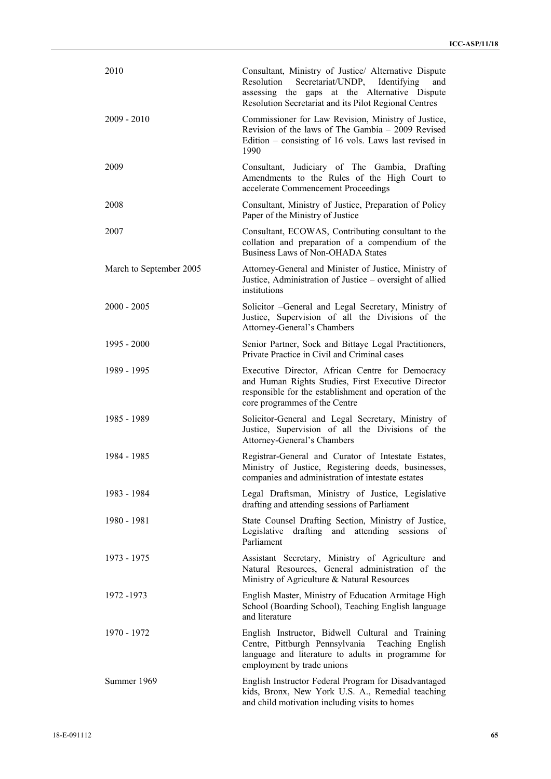| 2010                    | Consultant, Ministry of Justice/ Alternative Dispute<br>Secretariat/UNDP, Identifying<br>Resolution<br>and<br>assessing the gaps at the Alternative Dispute<br>Resolution Secretariat and its Pilot Regional Centres |
|-------------------------|----------------------------------------------------------------------------------------------------------------------------------------------------------------------------------------------------------------------|
| $2009 - 2010$           | Commissioner for Law Revision, Ministry of Justice,<br>Revision of the laws of The Gambia – 2009 Revised<br>Edition – consisting of 16 vols. Laws last revised in<br>1990                                            |
| 2009                    | Consultant, Judiciary of The Gambia, Drafting<br>Amendments to the Rules of the High Court to<br>accelerate Commencement Proceedings                                                                                 |
| 2008                    | Consultant, Ministry of Justice, Preparation of Policy<br>Paper of the Ministry of Justice                                                                                                                           |
| 2007                    | Consultant, ECOWAS, Contributing consultant to the<br>collation and preparation of a compendium of the<br>Business Laws of Non-OHADA States                                                                          |
| March to September 2005 | Attorney-General and Minister of Justice, Ministry of<br>Justice, Administration of Justice – oversight of allied<br>institutions                                                                                    |
| $2000 - 2005$           | Solicitor -General and Legal Secretary, Ministry of<br>Justice, Supervision of all the Divisions of the<br>Attorney-General's Chambers                                                                               |
| 1995 - 2000             | Senior Partner, Sock and Bittaye Legal Practitioners,<br>Private Practice in Civil and Criminal cases                                                                                                                |
| 1989 - 1995             | Executive Director, African Centre for Democracy<br>and Human Rights Studies, First Executive Director<br>responsible for the establishment and operation of the<br>core programmes of the Centre                    |
| 1985 - 1989             | Solicitor-General and Legal Secretary, Ministry of<br>Justice, Supervision of all the Divisions of the<br>Attorney-General's Chambers                                                                                |
| 1984 - 1985             | Registrar-General and Curator of Intestate Estates,<br>Ministry of Justice, Registering deeds, businesses,<br>companies and administration of intestate estates                                                      |
| 1983 - 1984             | Legal Draftsman, Ministry of Justice, Legislative<br>drafting and attending sessions of Parliament                                                                                                                   |
| 1980 - 1981             | State Counsel Drafting Section, Ministry of Justice,<br>drafting and attending sessions<br>Legislative<br>of<br>Parliament                                                                                           |
| 1973 - 1975             | Assistant Secretary, Ministry of Agriculture and<br>Natural Resources, General administration of the<br>Ministry of Agriculture & Natural Resources                                                                  |
| 1972 - 1973             | English Master, Ministry of Education Armitage High<br>School (Boarding School), Teaching English language<br>and literature                                                                                         |
| 1970 - 1972             | English Instructor, Bidwell Cultural and Training<br>Centre, Pittburgh Pennsylvania Teaching English<br>language and literature to adults in programme for<br>employment by trade unions                             |
| Summer 1969             | English Instructor Federal Program for Disadvantaged<br>kids, Bronx, New York U.S. A., Remedial teaching<br>and child motivation including visits to homes                                                           |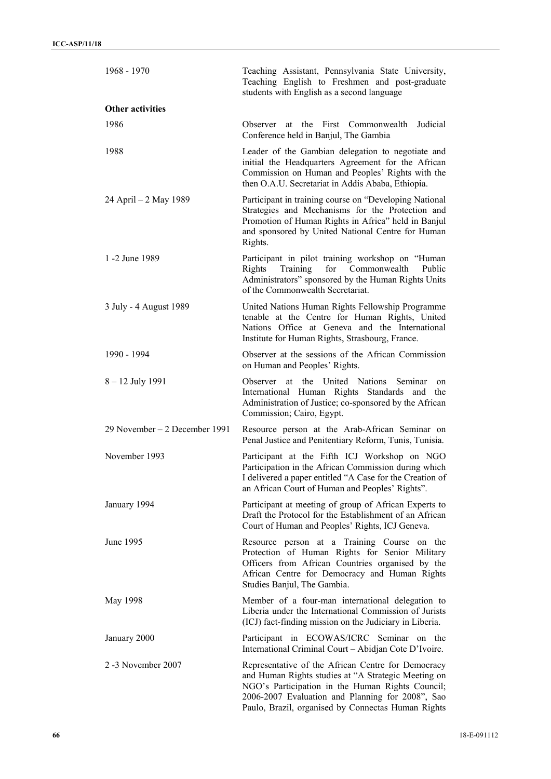| 1968 - 1970                   | Teaching Assistant, Pennsylvania State University,<br>Teaching English to Freshmen and post-graduate<br>students with English as a second language                                                                                                                      |
|-------------------------------|-------------------------------------------------------------------------------------------------------------------------------------------------------------------------------------------------------------------------------------------------------------------------|
| <b>Other activities</b>       |                                                                                                                                                                                                                                                                         |
| 1986                          | Observer at the First Commonwealth<br>Judicial<br>Conference held in Banjul, The Gambia                                                                                                                                                                                 |
| 1988                          | Leader of the Gambian delegation to negotiate and<br>initial the Headquarters Agreement for the African<br>Commission on Human and Peoples' Rights with the<br>then O.A.U. Secretariat in Addis Ababa, Ethiopia.                                                        |
| 24 April – 2 May 1989         | Participant in training course on "Developing National<br>Strategies and Mechanisms for the Protection and<br>Promotion of Human Rights in Africa" held in Banjul<br>and sponsored by United National Centre for Human<br>Rights.                                       |
| 1 -2 June 1989                | Participant in pilot training workshop on "Human<br>for Commonwealth<br>Rights<br>Training<br>Public<br>Administrators" sponsored by the Human Rights Units<br>of the Commonwealth Secretariat.                                                                         |
| 3 July - 4 August 1989        | United Nations Human Rights Fellowship Programme<br>tenable at the Centre for Human Rights, United<br>Nations Office at Geneva and the International<br>Institute for Human Rights, Strasbourg, France.                                                                 |
| 1990 - 1994                   | Observer at the sessions of the African Commission<br>on Human and Peoples' Rights.                                                                                                                                                                                     |
| $8 - 12$ July 1991            | Observer at the United Nations<br>Seminar<br>on<br>International Human Rights Standards and<br>the<br>Administration of Justice; co-sponsored by the African<br>Commission; Cairo, Egypt.                                                                               |
| 29 November – 2 December 1991 | Resource person at the Arab-African Seminar on<br>Penal Justice and Penitentiary Reform, Tunis, Tunisia.                                                                                                                                                                |
| November 1993                 | Participant at the Fifth ICJ Workshop on NGO<br>Participation in the African Commission during which<br>I delivered a paper entitled "A Case for the Creation of<br>an African Court of Human and Peoples' Rights".                                                     |
| January 1994                  | Participant at meeting of group of African Experts to<br>Draft the Protocol for the Establishment of an African<br>Court of Human and Peoples' Rights, ICJ Geneva.                                                                                                      |
| June 1995                     | Resource person at a Training Course on the<br>Protection of Human Rights for Senior Military<br>Officers from African Countries organised by the<br>African Centre for Democracy and Human Rights<br>Studies Banjul, The Gambia.                                       |
| May 1998                      | Member of a four-man international delegation to<br>Liberia under the International Commission of Jurists<br>(ICJ) fact-finding mission on the Judiciary in Liberia.                                                                                                    |
| January 2000                  | Participant in ECOWAS/ICRC Seminar on<br>the<br>International Criminal Court - Abidjan Cote D'Ivoire.                                                                                                                                                                   |
| 2 -3 November 2007            | Representative of the African Centre for Democracy<br>and Human Rights studies at "A Strategic Meeting on<br>NGO's Participation in the Human Rights Council;<br>2006-2007 Evaluation and Planning for 2008", Sao<br>Paulo, Brazil, organised by Connectas Human Rights |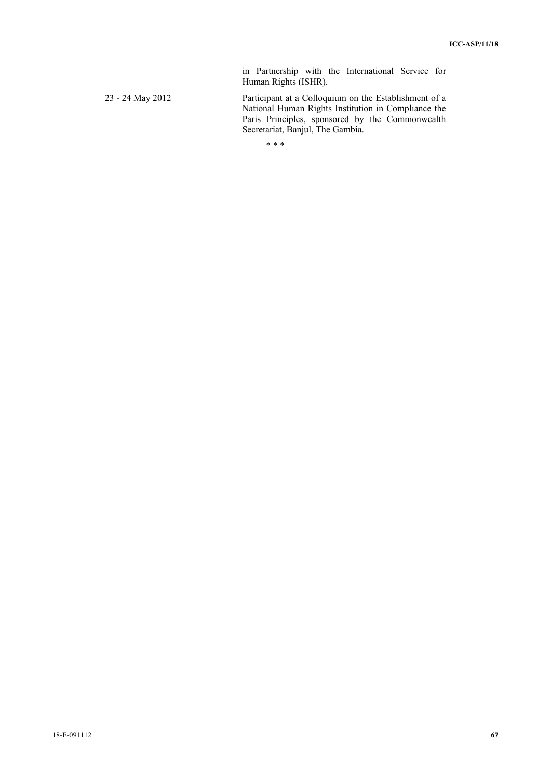Human Rights (ISHR). 23 - 24 May 2012 Participant at a Colloquium on the Establishment of a National Human Rights Institution in Compliance the Paris Principles, sponsored by the Commonwealth Secretariat, Banjul, The Gambia.

in Partnership with the International Service for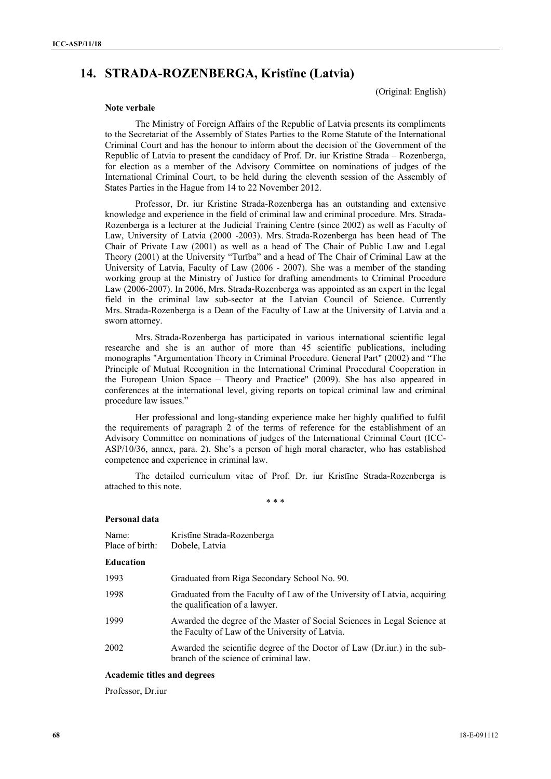# **14. STRADA-ROZENBERGA, Kristïne (Latvia)**

(Original: English)

#### **Note verbale**

The Ministry of Foreign Affairs of the Republic of Latvia presents its compliments to the Secretariat of the Assembly of States Parties to the Rome Statute of the International Criminal Court and has the honour to inform about the decision of the Government of the Republic of Latvia to present the candidacy of Prof. Dr. iur Kristīne Strada – Rozenberga, for election as a member of the Advisory Committee on nominations of judges of the International Criminal Court, to be held during the eleventh session of the Assembly of States Parties in the Hague from 14 to 22 November 2012.

Professor, Dr. iur Kristine Strada-Rozenberga has an outstanding and extensive knowledge and experience in the field of criminal law and criminal procedure. Mrs. Strada-Rozenberga is a lecturer at the Judicial Training Centre (since 2002) as well as Faculty of Law, University of Latvia (2000 -2003). Mrs. Strada-Rozenberga has been head of The Chair of Private Law (2001) as well as a head of The Chair of Public Law and Legal Theory (2001) at the University "Turība" and a head of The Chair of Criminal Law at the University of Latvia, Faculty of Law (2006 - 2007). She was a member of the standing working group at the Ministry of Justice for drafting amendments to Criminal Procedure Law (2006-2007). In 2006, Mrs. Strada-Rozenberga was appointed as an expert in the legal field in the criminal law sub-sector at the Latvian Council of Science. Currently Mrs. Strada-Rozenberga is a Dean of the Faculty of Law at the University of Latvia and a sworn attorney.

Mrs. Strada-Rozenberga has participated in various international scientific legal researche and she is an author of more than 45 scientific publications, including monographs "Argumentation Theory in Criminal Procedure. General Part" (2002) and "The Principle of Mutual Recognition in the International Criminal Procedural Cooperation in the European Union Space – Theory and Practice" (2009). She has also appeared in conferences at the international level, giving reports on topical criminal law and criminal procedure law issues."

Her professional and long-standing experience make her highly qualified to fulfil the requirements of paragraph 2 of the terms of reference for the establishment of an Advisory Committee on nominations of judges of the International Criminal Court (ICC-ASP/10/36, annex, para. 2). She's a person of high moral character, who has established competence and experience in criminal law.

The detailed curriculum vitae of Prof. Dr. iur Kristīne Strada-Rozenberga is attached to this note.

\* \* \*

#### **Personal data**

| Name:<br>Place of birth: | Kristīne Strada-Rozenberga<br>Dobele, Latvia                                                                               |
|--------------------------|----------------------------------------------------------------------------------------------------------------------------|
| <b>Education</b>         |                                                                                                                            |
| 1993                     | Graduated from Riga Secondary School No. 90.                                                                               |
| 1998                     | Graduated from the Faculty of Law of the University of Latvia, acquiring<br>the qualification of a lawyer.                 |
| 1999                     | Awarded the degree of the Master of Social Sciences in Legal Science at<br>the Faculty of Law of the University of Latvia. |
| 2002                     | Awarded the scientific degree of the Doctor of Law (Dr.iur.) in the sub-<br>branch of the science of criminal law.         |
|                          |                                                                                                                            |

## **Academic titles and degrees**

Professor, Dr.iur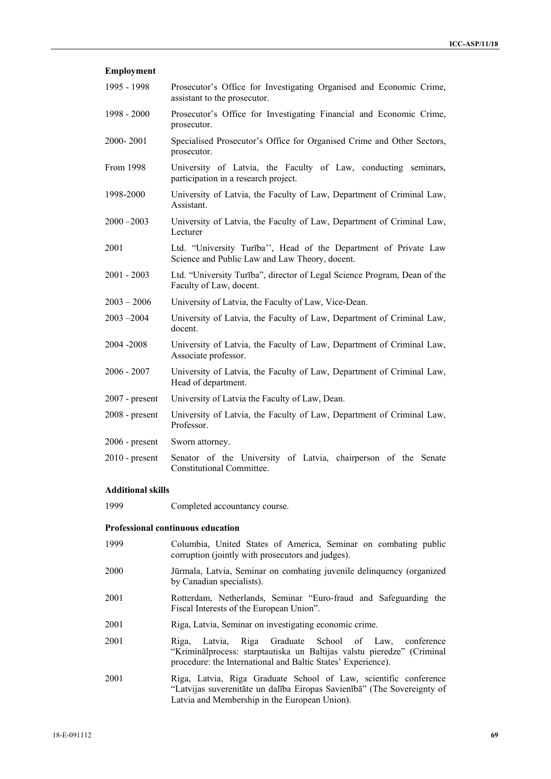| <b>Employment</b> |                                                                                                                   |
|-------------------|-------------------------------------------------------------------------------------------------------------------|
| 1995 - 1998       | Prosecutor's Office for Investigating Organised and Economic Crime,<br>assistant to the prosecutor.               |
| 1998 - 2000       | Prosecutor's Office for Investigating Financial and Economic Crime,<br>prosecutor.                                |
| 2000-2001         | Specialised Prosecutor's Office for Organised Crime and Other Sectors,<br>prosecutor.                             |
| From 1998         | University of Latvia, the Faculty of Law, conducting seminars,<br>participation in a research project.            |
| 1998-2000         | University of Latvia, the Faculty of Law, Department of Criminal Law,<br>Assistant.                               |
| $2000 - 2003$     | University of Latvia, the Faculty of Law, Department of Criminal Law,<br>Lecturer                                 |
| 2001              | Ltd. "University Turība", Head of the Department of Private Law<br>Science and Public Law and Law Theory, docent. |
| $2001 - 2003$     | Ltd. "University Turība", director of Legal Science Program, Dean of the<br>Faculty of Law, docent.               |
| $2003 - 2006$     | University of Latvia, the Faculty of Law, Vice-Dean.                                                              |
| $2003 - 2004$     | University of Latvia, the Faculty of Law, Department of Criminal Law,<br>docent.                                  |
| 2004 - 2008       | University of Latvia, the Faculty of Law, Department of Criminal Law,<br>Associate professor.                     |
| $2006 - 2007$     | University of Latvia, the Faculty of Law, Department of Criminal Law,<br>Head of department.                      |
| $2007$ - present  | University of Latvia the Faculty of Law, Dean.                                                                    |
| $2008$ - present  | University of Latvia, the Faculty of Law, Department of Criminal Law,<br>Professor.                               |
| $2006$ - present  | Sworn attorney.                                                                                                   |
| $2010$ - present  | Senator of the University of Latvia, chairperson of the Senate<br><b>Constitutional Committee.</b>                |

## **Additional skills**

| 1999 | Completed accountancy course. |  |
|------|-------------------------------|--|
|      |                               |  |

## **Professional continuous education**

- 1999 Columbia, United States of America, Seminar on combating public corruption (jointly with prosecutors and judges).
- 2000 Jūrmala, Latvia, Seminar on combating juvenile delinquency (organized by Canadian specialists).
- 2001 Rotterdam, Netherlands, Seminar "Euro-fraud and Safeguarding the Fiscal Interests of the European Union".
- 2001 Riga, Latvia, Seminar on investigating economic crime.
- 2001 Riga, Latvia, Riga Graduate School of Law, conference "Kriminālprocess: starptautiska un Baltijas valstu pieredze" (Criminal procedure: the International and Baltic States' Experience).
- 2001 Riga, Latvia, Riga Graduate School of Law, scientific conference "Latvijas suverenitāte un dalība Eiropas Savienībā" (The Sovereignty of Latvia and Membership in the European Union).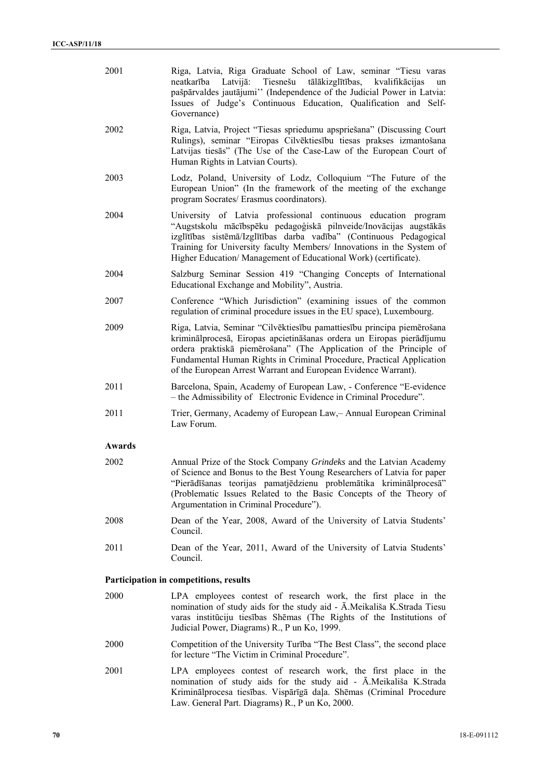| 2001                                   | Riga, Latvia, Riga Graduate School of Law, seminar "Tiesu varas<br>neatkarība Latvijā: Tiesnešu<br>tālākizglītības, kvalifikācijas<br>un<br>pašpārvaldes jautājumi" (Independence of the Judicial Power in Latvia:<br>Issues of Judge's Continuous Education, Qualification and Self-<br>Governance)                                                             |  |
|----------------------------------------|------------------------------------------------------------------------------------------------------------------------------------------------------------------------------------------------------------------------------------------------------------------------------------------------------------------------------------------------------------------|--|
| 2002                                   | Riga, Latvia, Project "Tiesas spriedumu apspriešana" (Discussing Court<br>Rulings), seminar "Eiropas Cilvēktiesību tiesas prakses izmantošana<br>Latvijas tiesās" (The Use of the Case-Law of the European Court of<br>Human Rights in Latvian Courts).                                                                                                          |  |
| 2003                                   | Lodz, Poland, University of Lodz, Colloquium "The Future of the<br>European Union" (In the framework of the meeting of the exchange<br>program Socrates/ Erasmus coordinators).                                                                                                                                                                                  |  |
| 2004                                   | University of Latvia professional continuous education program<br>"Augstskolu mācībspēku pedagoģiskā pilnveide/Inovācijas augstākās<br>izglītības sistēmā/Izglītības darba vadība" (Continuous Pedagogical<br>Training for University faculty Members/ Innovations in the System of<br>Higher Education/ Management of Educational Work) (certificate).          |  |
| 2004                                   | Salzburg Seminar Session 419 "Changing Concepts of International<br>Educational Exchange and Mobility", Austria.                                                                                                                                                                                                                                                 |  |
| 2007                                   | Conference "Which Jurisdiction" (examining issues of the common<br>regulation of criminal procedure issues in the EU space), Luxembourg.                                                                                                                                                                                                                         |  |
| 2009                                   | Riga, Latvia, Seminar "Cilvēktiesību pamattiesību principa piemērošana<br>kriminālprocesā, Eiropas apcietināšanas ordera un Eiropas pierādījumu<br>ordera praktiskā piemērošana" (The Application of the Principle of<br>Fundamental Human Rights in Criminal Procedure, Practical Application<br>of the European Arrest Warrant and European Evidence Warrant). |  |
| 2011                                   | Barcelona, Spain, Academy of European Law, - Conference "E-evidence"<br>- the Admissibility of Electronic Evidence in Criminal Procedure".                                                                                                                                                                                                                       |  |
| 2011                                   | Trier, Germany, Academy of European Law, - Annual European Criminal<br>Law Forum.                                                                                                                                                                                                                                                                                |  |
| Awards                                 |                                                                                                                                                                                                                                                                                                                                                                  |  |
| 2002                                   | Annual Prize of the Stock Company Grindeks and the Latvian Academy<br>of Science and Bonus to the Best Young Researchers of Latvia for paper<br>"Pierādīšanas teorijas pamatjēdzienu problemātika kriminālprocesā"<br>(Problematic Issues Related to the Basic Concepts of the Theory of<br>Argumentation in Criminal Procedure").                               |  |
| 2008                                   | Dean of the Year, 2008, Award of the University of Latvia Students'<br>Council.                                                                                                                                                                                                                                                                                  |  |
| 2011                                   | Dean of the Year, 2011, Award of the University of Latvia Students'<br>Council.                                                                                                                                                                                                                                                                                  |  |
| Participation in competitions, results |                                                                                                                                                                                                                                                                                                                                                                  |  |
| 2000                                   | LPA employees contest of research work, the first place in the<br>nomination of study aids for the study aid - A.Meikališa K.Strada Tiesu<br>varas institūciju tiesības Shēmas (The Rights of the Institutions of<br>Judicial Power, Diagrams) R., P un Ko, 1999.                                                                                                |  |
| 2000                                   | Competition of the University Turiba "The Best Class", the second place<br>for lecture "The Victim in Criminal Procedure".                                                                                                                                                                                                                                       |  |
| 2001                                   | LPA employees contest of research work, the first place in the<br>nomination of study aids for the study aid - Ā.Meikališa K.Strada<br>Kriminālprocesa tiesības. Vispārīgā daļa. Shēmas (Criminal Procedure<br>Law. General Part. Diagrams) R., P un Ko, 2000.                                                                                                   |  |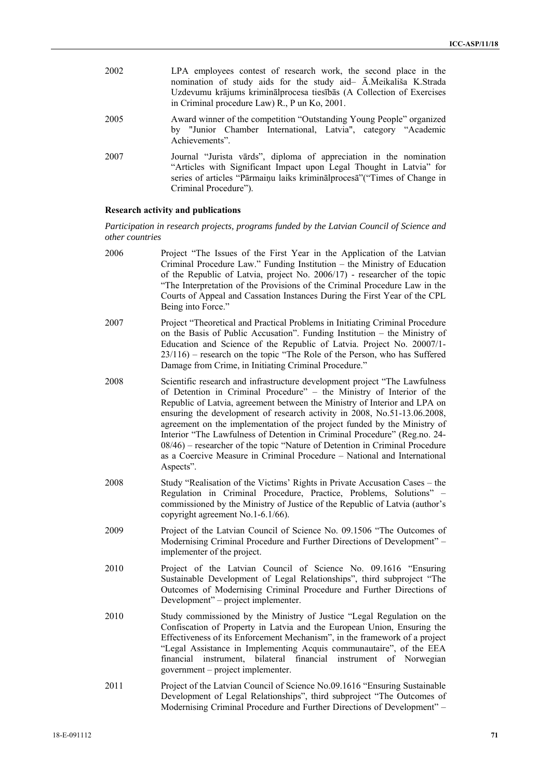| 2002 | LPA employees contest of research work, the second place in the<br>nomination of study aids for the study aid- A.Meikališa K.Strada<br>Uzdevumu krājums kriminālprocesa tiesībās (A Collection of Exercises<br>in Criminal procedure Law) R., P un Ko, 2001. |
|------|--------------------------------------------------------------------------------------------------------------------------------------------------------------------------------------------------------------------------------------------------------------|
| 2005 | Award winner of the competition "Outstanding Young People" organized<br>by "Junior Chamber International, Latvia", category "Academic<br>Achievements".                                                                                                      |
| 2007 | Journal "Jurista vards", diploma of appreciation in the nomination<br>"Articles with Significant Impact upon Legal Thought in Latvia" for<br>series of articles "Pārmaiņu laiks kriminālprocesā" ("Times of Change in<br>Criminal Procedure").               |

## **Research activity and publications**

*Participation in research projects, programs funded by the Latvian Council of Science and other countries* 

- 2006 Project "The Issues of the First Year in the Application of the Latvian Criminal Procedure Law." Funding Institution – the Ministry of Education of the Republic of Latvia, project No. 2006/17) - researcher of the topic "The Interpretation of the Provisions of the Criminal Procedure Law in the Courts of Appeal and Cassation Instances During the First Year of the CPL Being into Force."
- 2007 Project "Theoretical and Practical Problems in Initiating Criminal Procedure on the Basis of Public Accusation". Funding Institution – the Ministry of Education and Science of the Republic of Latvia. Project No. 20007/1- 23/116) – research on the topic "The Role of the Person, who has Suffered Damage from Crime, in Initiating Criminal Procedure."
- 2008 Scientific research and infrastructure development project "The Lawfulness of Detention in Criminal Procedure" – the Ministry of Interior of the Republic of Latvia, agreement between the Ministry of Interior and LPA on ensuring the development of research activity in 2008, No.51-13.06.2008, agreement on the implementation of the project funded by the Ministry of Interior "The Lawfulness of Detention in Criminal Procedure" (Reg.no. 24- 08/46) – researcher of the topic "Nature of Detention in Criminal Procedure as a Coercive Measure in Criminal Procedure – National and International Aspects".
- 2008 Study "Realisation of the Victims' Rights in Private Accusation Cases the Regulation in Criminal Procedure, Practice, Problems, Solutions" – commissioned by the Ministry of Justice of the Republic of Latvia (author's copyright agreement No.1-6.1/66).
- 2009 Project of the Latvian Council of Science No. 09.1506 "The Outcomes of Modernising Criminal Procedure and Further Directions of Development" – implementer of the project.
- 2010 Project of the Latvian Council of Science No. 09.1616 "Ensuring Sustainable Development of Legal Relationships", third subproject "The Outcomes of Modernising Criminal Procedure and Further Directions of Development" – project implementer.
- 2010 Study commissioned by the Ministry of Justice "Legal Regulation on the Confiscation of Property in Latvia and the European Union, Ensuring the Effectiveness of its Enforcement Mechanism", in the framework of a project "Legal Assistance in Implementing Acquis communautaire", of the EEA financial instrument, bilateral financial instrument of Norwegian government – project implementer.
- 2011 Project of the Latvian Council of Science No.09.1616 "Ensuring Sustainable Development of Legal Relationships", third subproject "The Outcomes of Modernising Criminal Procedure and Further Directions of Development" –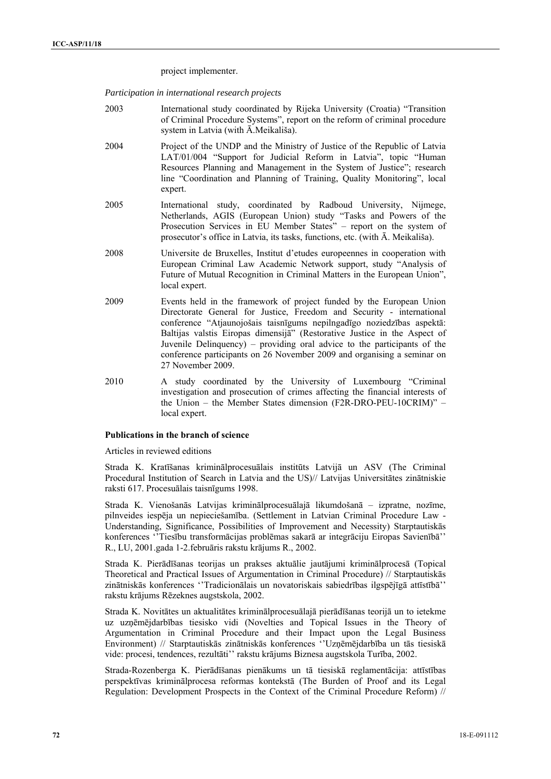project implementer.

*Participation in international research projects* 

- 2003 International study coordinated by Rijeka University (Croatia) "Transition of Criminal Procedure Systems", report on the reform of criminal procedure system in Latvia (with Ā.Meikališa).
- 2004 Project of the UNDP and the Ministry of Justice of the Republic of Latvia LAT/01/004 "Support for Judicial Reform in Latvia", topic "Human Resources Planning and Management in the System of Justice"; research line "Coordination and Planning of Training, Quality Monitoring", local expert.
- 2005 International study, coordinated by Radboud University, Nijmege, Netherlands, AGIS (European Union) study "Tasks and Powers of the Prosecution Services in EU Member States" – report on the system of prosecutor's office in Latvia, its tasks, functions, etc. (with Ā. Meikališa).
- 2008 Universite de Bruxelles, Institut d'etudes europeennes in cooperation with European Criminal Law Academic Network support, study "Analysis of Future of Mutual Recognition in Criminal Matters in the European Union", local expert.
- 2009 Events held in the framework of project funded by the European Union Directorate General for Justice, Freedom and Security - international conference "Atjaunojošais taisnīgums nepilngadīgo noziedzības aspektā: Baltijas valstis Eiropas dimensijā" (Restorative Justice in the Aspect of Juvenile Delinquency) – providing oral advice to the participants of the conference participants on 26 November 2009 and organising a seminar on 27 November 2009.
- 2010 A study coordinated by the University of Luxembourg "Criminal investigation and prosecution of crimes affecting the financial interests of the Union – the Member States dimension (F2R-DRO-PEU-10CRIM)" – local expert.

#### **Publications in the branch of science**

Articles in reviewed editions

Strada K. Kratīšanas kriminālprocesuālais institūts Latvijā un ASV (The Criminal Procedural Institution of Search in Latvia and the US)// Latvijas Universitātes zinātniskie raksti 617. Procesuālais taisnīgums 1998.

Strada K. Vienošanās Latvijas kriminālprocesuālajā likumdošanā – izpratne, nozīme, pilnveides iespēja un nepieciešamība. (Settlement in Latvian Criminal Procedure Law - Understanding, Significance, Possibilities of Improvement and Necessity) Starptautiskās konferences ''Tiesību transformācijas problēmas sakarā ar integrāciju Eiropas Savienībā'' R., LU, 2001.gada 1-2.februāris rakstu krājums R., 2002.

Strada K. Pierādīšanas teorijas un prakses aktuālie jautājumi kriminālprocesā (Topical Theoretical and Practical Issues of Argumentation in Criminal Procedure) // Starptautiskās zinātniskās konferences ''Tradicionālais un novatoriskais sabiedrības ilgspējīgā attīstībā'' rakstu krājums Rēzeknes augstskola, 2002.

Strada K. Novitātes un aktualitātes kriminālprocesuālajā pierādīšanas teorijā un to ietekme uz uzņēmējdarbības tiesisko vidi (Novelties and Topical Issues in the Theory of Argumentation in Criminal Procedure and their Impact upon the Legal Business Environment) // Starptautiskās zinātniskās konferences ''Uzņēmējdarbība un tās tiesiskā vide: procesi, tendences, rezultāti'' rakstu krājums Biznesa augstskola Turība, 2002.

Strada-Rozenberga K. Pierādīšanas pienākums un tā tiesiskā reglamentācija: attīstības perspektīvas kriminālprocesa reformas kontekstā (The Burden of Proof and its Legal Regulation: Development Prospects in the Context of the Criminal Procedure Reform) //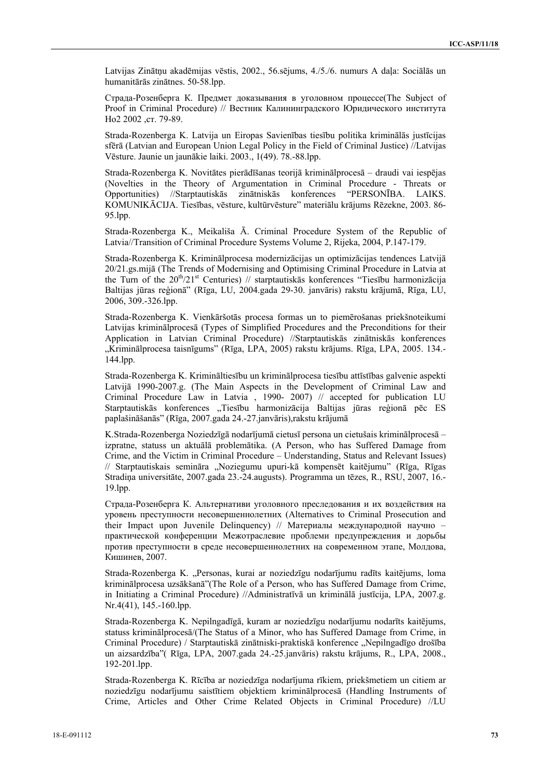Latvijas Zinātņu akadēmijas vēstis, 2002., 56.sējums, 4./5./6. numurs A daļa: Sociālās un humanitārās zinātnes. 50-58.lpp.

Страда-Розенберга К. Предмет доказывания в уголовном процессе(The Subject of Proof in Criminal Procedure) // Вестник Калининградского Юридического института Но2 2002 ,ст. 79-89.

Strada-Rozenberga K. Latvija un Eiropas Savienības tiesību politika kriminālās justīcijas sfērā (Latvian and European Union Legal Policy in the Field of Criminal Justice) //Latvijas Vēsture. Jaunie un jaunākie laiki. 2003., 1(49). 78.-88.lpp.

Strada-Rozenberga K. Novitātes pierādīšanas teorijā kriminālprocesā – draudi vai iespējas (Novelties in the Theory of Argumentation in Criminal Procedure - Threats or Opportunities) //Starptautiskās zinātniskās konferences "PERSONĪBA. LAIKS. KOMUNIKĀCIJA. Tiesības, vēsture, kultūrvēsture" materiālu krājums Rēzekne, 2003. 86- 95.lpp.

Strada-Rozenberga K., Meikališa Ā. Criminal Procedure System of the Republic of Latvia//Transition of Criminal Procedure Systems Volume 2, Rijeka, 2004, P.147-179.

Strada-Rozenberga K. Kriminālprocesa modernizācijas un optimizācijas tendences Latvijā 20/21.gs.mijā (The Trends of Modernising and Optimising Criminal Procedure in Latvia at the Turn of the  $20^{th}/21^{st}$  Centuries) // starptautiskās konferences "Tiesību harmonizācija Baltijas jūras reģionā" (Rīga, LU, 2004.gada 29-30. janvāris) rakstu krājumā, Rīga, LU, 2006, 309.-326.lpp.

Strada-Rozenberga K. Vienkāršotās procesa formas un to piemērošanas priekšnoteikumi Latvijas kriminālprocesā (Types of Simplified Procedures and the Preconditions for their Application in Latvian Criminal Procedure) //Starptautiskās zinātniskās konferences "Kriminālprocesa taisnīgums" (Rīga, LPA, 2005) rakstu krājums. Rīga, LPA, 2005. 134.-144.lpp.

Strada-Rozenberga K. Krimināltiesību un kriminālprocesa tiesību attīstības galvenie aspekti Latvijā 1990-2007.g. (The Main Aspects in the Development of Criminal Law and Criminal Procedure Law in Latvia , 1990- 2007) // accepted for publication LU Starptautiskās konferences "Tiesību harmonizācija Baltijas jūras reģionā pēc ES paplašināšanās" (Rīga, 2007.gada 24.-27.janvāris),rakstu krājumā

K.Strada-Rozenberga Noziedzīgā nodarījumā cietusī persona un cietušais kriminālprocesā – izpratne, statuss un aktuālā problemātika. (A Person, who has Suffered Damage from Crime, and the Victim in Criminal Procedure – Understanding, Status and Relevant Issues) // Starptautiskais semināra "Noziegumu upuri-kā kompensēt kaitējumu" (Rīga, Rīgas Stradiņa universitāte, 2007.gada 23.-24.augusts). Programma un tēzes, R., RSU, 2007, 16.- 19.lpp.

Страда-Розенберга К. Альтернативи уголовного преследования и их воздействия на уровень преступности несовершеннолетних (Alternatives to Criminal Prosecution and their Impact upon Juvenile Delinquency) // Mатериалы международной научно – практической конференции Межотраслевие проблеми предупреждения и дорьбы против преступности в среде несовершеннолетних на современном этапе, Молдова, Кишинев, 2007.

Strada-Rozenberga K. "Personas, kurai ar noziedzīgu nodarījumu radīts kaitējums, loma kriminālprocesa uzsākšanā"(The Role of a Person, who has Suffered Damage from Crime, in Initiating a Criminal Procedure) //Administratīvā un kriminālā justīcija, LPA, 2007.g. Nr.4(41), 145.-160.lpp.

Strada-Rozenberga K. Nepilngadīgā, kuram ar noziedzīgu nodarījumu nodarīts kaitējums, statuss kriminālprocesā/(The Status of a Minor, who has Suffered Damage from Crime, in Criminal Procedure) / Starptautiskā zinātniski-praktiskā konference "Nepilngadīgo drošība un aizsardzība"( Rīga, LPA, 2007.gada 24.-25.janvāris) rakstu krājums, R., LPA, 2008., 192-201.lpp.

Strada-Rozenberga K. Rīcība ar noziedzīga nodarījuma rīkiem, priekšmetiem un citiem ar noziedzīgu nodarījumu saistītiem objektiem kriminālprocesā (Handling Instruments of Crime, Articles and Other Crime Related Objects in Criminal Procedure) //LU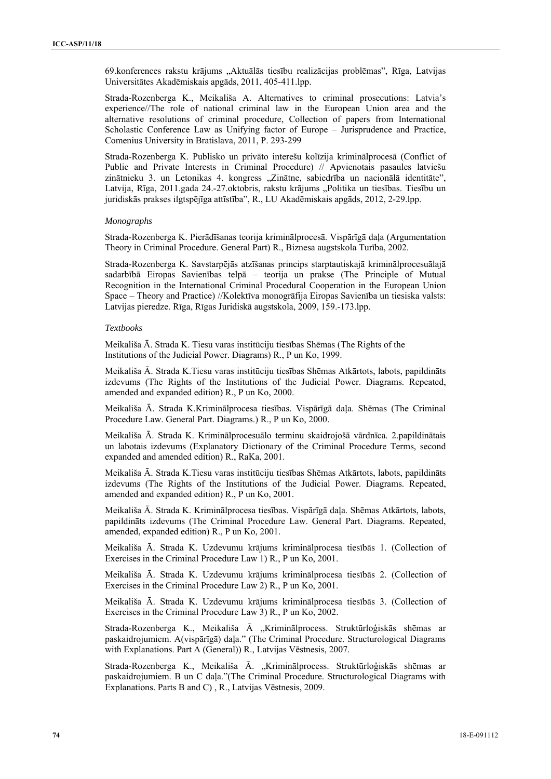69.konferences rakstu krājums "Aktuālās tiesību realizācijas problēmas", Rīga, Latvijas Universitātes Akadēmiskais apgāds, 2011, 405-411.lpp.

Strada-Rozenberga K., Meikališa A. Alternatives to criminal prosecutions: Latvia's experience//The role of national criminal law in the European Union area and the alternative resolutions of criminal procedure, Collection of papers from International Scholastic Conference Law as Unifying factor of Europe – Jurisprudence and Practice, Comenius University in Bratislava, 2011, P. 293-299

Strada-Rozenberga K. Publisko un privāto interešu kolīzija kriminālprocesā (Conflict of Public and Private Interests in Criminal Procedure) // Apvienotais pasaules latviešu zinātnieku 3. un Letonikas 4. kongress "Zinātne, sabiedrība un nacionālā identitāte", Latvija, Rīga, 2011.gada 24.-27.oktobris, rakstu krājums "Politika un tiesības. Tiesību un juridiskās prakses ilgtspējīga attīstība", R., LU Akadēmiskais apgāds, 2012, 2-29.lpp.

# *Monographs*

Strada-Rozenberga K. Pierādīšanas teorija kriminālprocesā. Vispārīgā daļa (Argumentation Theory in Criminal Procedure. General Part) R., Biznesa augstskola Turība, 2002.

Strada-Rozenberga K. Savstarpējās atzīšanas princips starptautiskajā kriminālprocesuālajā sadarbībā Eiropas Savienības telpā – teorija un prakse (The Principle of Mutual Recognition in the International Criminal Procedural Cooperation in the European Union Space – Theory and Practice) //Kolektīva monogrāfija Eiropas Savienība un tiesiska valsts: Latvijas pieredze. Rīga, Rīgas Juridiskā augstskola, 2009, 159.-173.lpp.

### *Textbooks*

Meikališa Ā. Strada K. Tiesu varas institūciju tiesības Shēmas (The Rights of the Institutions of the Judicial Power. Diagrams) R., P un Ko, 1999.

Meikališa Ā. Strada K.Tiesu varas institūciju tiesības Shēmas Atkārtots, labots, papildināts izdevums (The Rights of the Institutions of the Judicial Power. Diagrams. Repeated, amended and expanded edition) R., P un Ko, 2000.

Meikališa Ā. Strada K.Kriminālprocesa tiesības. Vispārīgā daļa. Shēmas (The Criminal Procedure Law. General Part. Diagrams.) R., P un Ko, 2000.

Meikališa Ā. Strada K. Kriminālprocesuālo terminu skaidrojošā vārdnīca. 2.papildinātais un labotais izdevums (Explanatory Dictionary of the Criminal Procedure Terms, second expanded and amended edition) R., RaKa, 2001.

Meikališa Ā. Strada K.Tiesu varas institūciju tiesības Shēmas Atkārtots, labots, papildināts izdevums (The Rights of the Institutions of the Judicial Power. Diagrams. Repeated, amended and expanded edition) R., P un Ko, 2001.

Meikališa Ā. Strada K. Kriminālprocesa tiesības. Vispārīgā daļa. Shēmas Atkārtots, labots, papildināts izdevums (The Criminal Procedure Law. General Part. Diagrams. Repeated, amended, expanded edition) R., P un Ko, 2001.

Meikališa Ā. Strada K. Uzdevumu krājums kriminālprocesa tiesībās 1. (Collection of Exercises in the Criminal Procedure Law 1) R., P un Ko, 2001.

Meikališa Ā. Strada K. Uzdevumu krājums kriminālprocesa tiesībās 2. (Collection of Exercises in the Criminal Procedure Law 2) R., P un Ko, 2001.

Meikališa Ā. Strada K. Uzdevumu krājums kriminālprocesa tiesībās 3. (Collection of Exercises in the Criminal Procedure Law 3) R., P un Ko, 2002.

Strada-Rozenberga K., Meikališa Ā "Kriminālprocess. Struktūrloģiskās shēmas ar paskaidrojumiem. A(vispārīgā) daļa." (The Criminal Procedure. Structurological Diagrams with Explanations. Part A (General)) R., Latvijas Vēstnesis, 2007.

Strada-Rozenberga K., Meikališa Ā. "Kriminālprocess. Struktūrloģiskās shēmas ar paskaidrojumiem. B un C daļa."(The Criminal Procedure. Structurological Diagrams with Explanations. Parts B and C) , R., Latvijas Vēstnesis, 2009.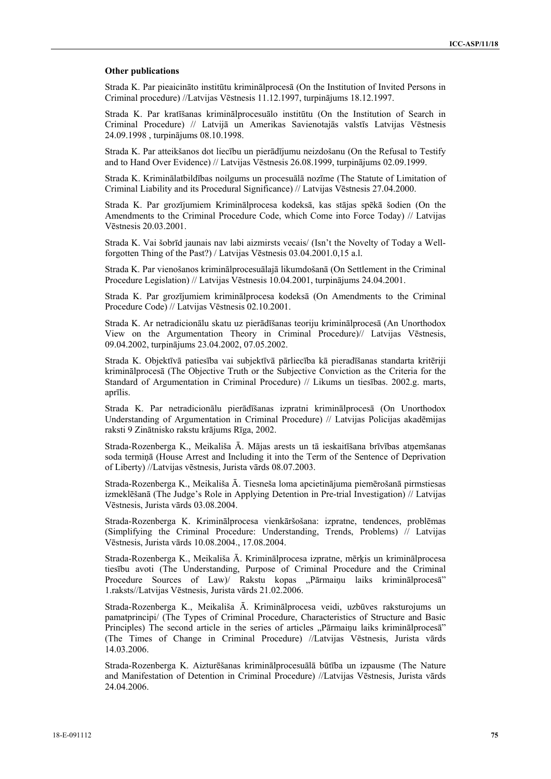### **Other publications**

Strada K. Par pieaicināto institūtu kriminālprocesā (On the Institution of Invited Persons in Criminal procedure) //Latvijas Vēstnesis 11.12.1997, turpinājums 18.12.1997.

Strada K. Par kratīšanas kriminālprocesuālo institūtu (On the Institution of Search in Criminal Procedure) // Latvijā un Amerikas Savienotajās valstīs Latvijas Vēstnesis 24.09.1998 , turpinājums 08.10.1998.

Strada K. Par atteikšanos dot liecību un pierādījumu neizdošanu (On the Refusal to Testify and to Hand Over Evidence) // Latvijas Vēstnesis 26.08.1999, turpinājums 02.09.1999.

Strada K. Kriminālatbildības noilgums un procesuālā nozīme (The Statute of Limitation of Criminal Liability and its Procedural Significance) // Latvijas Vēstnesis 27.04.2000.

Strada K. Par grozījumiem Kriminālprocesa kodeksā, kas stājas spēkā šodien (On the Amendments to the Criminal Procedure Code, which Come into Force Today) // Latvijas Vēstnesis 20.03.2001.

Strada K. Vai šobrīd jaunais nav labi aizmirsts vecais/ (Isn't the Novelty of Today a Wellforgotten Thing of the Past?) / Latvijas Vēstnesis 03.04.2001.0,15 a.l.

Strada K. Par vienošanos kriminālprocesuālajā likumdošanā (On Settlement in the Criminal Procedure Legislation) // Latvijas Vēstnesis 10.04.2001, turpinājums 24.04.2001.

Strada K. Par grozījumiem kriminālprocesa kodeksā (On Amendments to the Criminal Procedure Code) // Latvijas Vēstnesis 02.10.2001.

Strada K. Ar netradicionālu skatu uz pierādīšanas teoriju kriminālprocesā (An Unorthodox View on the Argumentation Theory in Criminal Procedure)// Latvijas Vēstnesis, 09.04.2002, turpinājums 23.04.2002, 07.05.2002.

Strada K. Objektīvā patiesība vai subjektīvā pārliecība kā pieradīšanas standarta kritēriji kriminālprocesā (The Objective Truth or the Subjective Conviction as the Criteria for the Standard of Argumentation in Criminal Procedure) // Likums un tiesības. 2002.g. marts, aprīlis.

Strada K. Par netradicionālu pierādīšanas izpratni kriminālprocesā (On Unorthodox Understanding of Argumentation in Criminal Procedure) // Latvijas Policijas akadēmijas raksti 9 Zinātnisko rakstu krājums Rīga, 2002.

Strada-Rozenberga K., Meikališa Ā. Mājas arests un tā ieskaitīšana brīvības atņemšanas soda termiņā (House Arrest and Including it into the Term of the Sentence of Deprivation of Liberty) //Latvijas vēstnesis, Jurista vārds 08.07.2003.

Strada-Rozenberga K., Meikališa Ā. Tiesneša loma apcietinājuma piemērošanā pirmstiesas izmeklēšanā (The Judge's Role in Applying Detention in Pre-trial Investigation) // Latvijas Vēstnesis, Jurista vārds 03.08.2004.

Strada-Rozenberga K. Kriminālprocesa vienkāršošana: izpratne, tendences, problēmas (Simplifying the Criminal Procedure: Understanding, Trends, Problems) // Latvijas Vēstnesis, Jurista vārds 10.08.2004., 17.08.2004.

Strada-Rozenberga K., Meikališa Ā. Kriminālprocesa izpratne, mērķis un kriminālprocesa tiesību avoti (The Understanding, Purpose of Criminal Procedure and the Criminal Procedure Sources of Law) Rakstu kopas "Pārmaiņu laiks kriminālprocesā" 1.raksts//Latvijas Vēstnesis, Jurista vārds 21.02.2006.

Strada-Rozenberga K., Meikališa Ā. Kriminālprocesa veidi, uzbūves raksturojums un pamatprincipi/ (The Types of Criminal Procedure, Characteristics of Structure and Basic Principles) The second article in the series of articles "Pārmaiņu laiks kriminālprocesā" (The Times of Change in Criminal Procedure) //Latvijas Vēstnesis, Jurista vārds 14.03.2006.

Strada-Rozenberga K. Aizturēšanas kriminālprocesuālā būtība un izpausme (The Nature and Manifestation of Detention in Criminal Procedure) //Latvijas Vēstnesis, Jurista vārds 24.04.2006.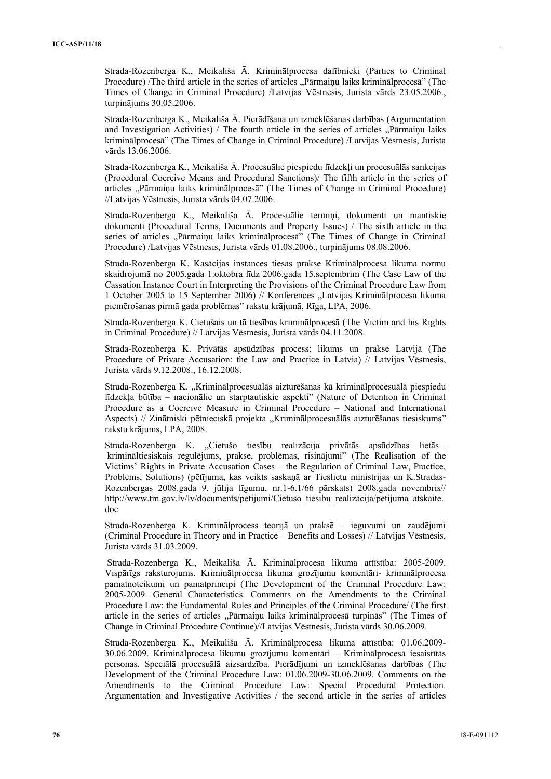Strada-Rozenberga K., Meikališa Ā. Kriminālprocesa dalībnieki (Parties to Criminal Procedure) /The third article in the series of articles "Parmainu laiks kriminālprocesā" (The Times of Change in Criminal Procedure) /Latvijas Vēstnesis, Jurista vārds 23.05.2006., turpinājums 30.05.2006.

Strada-Rozenberga K., Meikališa Ā. Pierādīšana un izmeklēšanas darbības (Argumentation and Investigation Activities) / The fourth article in the series of articles . Parmainu laiks kriminālprocesā" (The Times of Change in Criminal Procedure) /Latvijas Vēstnesis, Jurista vārds 13.06.2006.

Strada-Rozenberga K., Meikališa Ā. Procesuālie piespiedu līdzekļi un procesuālās sankcijas (Procedural Coercive Means and Procedural Sanctions)/ The fifth article in the series of articles "Pārmaiņu laiks kriminālprocesā" (The Times of Change in Criminal Procedure) //Latvijas Vēstnesis, Jurista vārds 04.07.2006.

Strada-Rozenberga K., Meikališa Ā. Procesuālie termiņi, dokumenti un mantiskie dokumenti (Procedural Terms, Documents and Property Issues) / The sixth article in the series of articles "Pārmaiņu laiks kriminālprocesā" (The Times of Change in Criminal Procedure) /Latvijas Vēstnesis, Jurista vārds 01.08.2006., turpinājums 08.08.2006.

Strada-Rozenberga K. Kasācijas instances tiesas prakse Kriminālprocesa likuma normu skaidrojumā no 2005.gada 1.oktobra līdz 2006.gada 15.septembrim (The Case Law of the Cassation Instance Court in Interpreting the Provisions of the Criminal Procedure Law from 1 October 2005 to 15 September 2006) // Konferences "Latvijas Kriminālprocesa likuma piemērošanas pirmā gada problēmas" rakstu krājumā, Rīga, LPA, 2006.

Strada-Rozenberga K. Cietušais un tā tiesības kriminālprocesā (The Victim and his Rights in Criminal Procedure) // Latvijas Vēstnesis, Jurista vārds 04.11.2008.

Strada-Rozenberga K. Privātās apsūdzības process: likums un prakse Latvijā (The Procedure of Private Accusation: the Law and Practice in Latvia) // Latvijas Vēstnesis, Jurista vārds 9.12.2008., 16.12.2008.

Strada-Rozenberga K. "Kriminālprocesuālās aizturēšanas kā kriminālprocesuālā piespiedu līdzekļa būtība – nacionālie un starptautiskie aspekti" (Nature of Detention in Criminal Procedure as a Coercive Measure in Criminal Procedure – National and International Aspects) // Zinātniski pētnieciskā projekta "Kriminālprocesuālās aizturēšanas tiesiskums" rakstu krājums, LPA, 2008.

Strada-Rozenberga K. "Cietušo tiesību realizācija privātās apsūdzības lietās krimināltiesiskais regulējums, prakse, problēmas, risinājumi" (The Realisation of the Victims' Rights in Private Accusation Cases – the Regulation of Criminal Law, Practice, Problems, Solutions) (pētījuma, kas veikts saskaņā ar Tieslietu ministrijas un K.Stradas-Rozenbergas 2008.gada 9. jūlija līgumu, nr.1-6.1/66 pārskats) 2008.gada novembris// http://www.tm.gov.lv/lv/documents/petijumi/Cietuso\_tiesibu\_realizacija/petijuma\_atskaite. doc

Strada-Rozenberga K. Kriminālprocess teorijā un praksē – ieguvumi un zaudējumi (Criminal Procedure in Theory and in Practice – Benefits and Losses) // Latvijas Vēstnesis, Jurista vārds 31.03.2009.

 Strada-Rozenberga K., Meikališa Ā. Kriminālprocesa likuma attīstība: 2005-2009. Vispārīgs raksturojums. Kriminālprocesa likuma grozījumu komentāri- kriminālprocesa pamatnoteikumi un pamatprincipi (The Development of the Criminal Procedure Law: 2005-2009. General Characteristics. Comments on the Amendments to the Criminal Procedure Law: the Fundamental Rules and Principles of the Criminal Procedure/ (The first article in the series of articles "Pārmaiņu laiks kriminālprocesā turpinās" (The Times of Change in Criminal Procedure Continue)//Latvijas Vēstnesis, Jurista vārds 30.06.2009.

Strada-Rozenberga K., Meikališa Ā. Kriminālprocesa likuma attīstība: 01.06.2009- 30.06.2009. Kriminālprocesa likumu grozījumu komentāri – Kriminālprocesā iesaistītās personas. Speciālā procesuālā aizsardzība. Pierādījumi un izmeklēšanas darbības (The Development of the Criminal Procedure Law: 01.06.2009-30.06.2009. Comments on the Amendments to the Criminal Procedure Law: Special Procedural Protection. Argumentation and Investigative Activities / the second article in the series of articles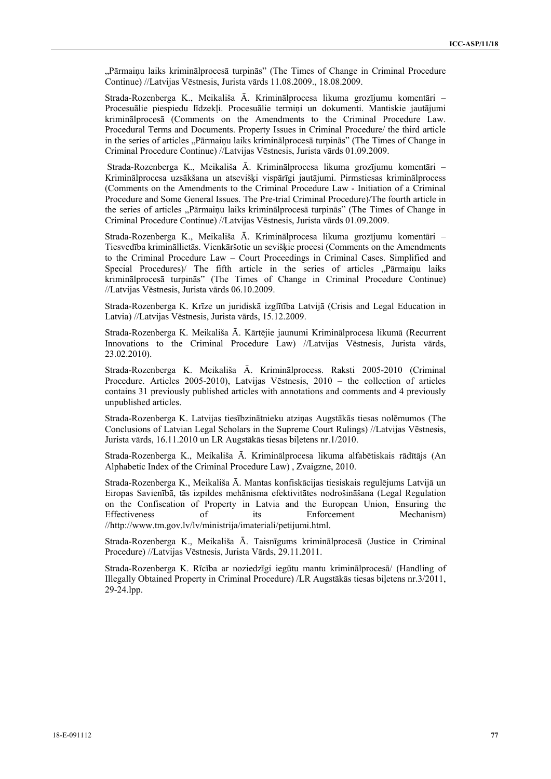"Pārmaiņu laiks kriminālprocesā turpinās" (The Times of Change in Criminal Procedure Continue) //Latvijas Vēstnesis, Jurista vārds 11.08.2009., 18.08.2009.

Strada-Rozenberga K., Meikališa Ā. Kriminālprocesa likuma grozījumu komentāri – Procesuālie piespiedu līdzekļi. Procesuālie termiņi un dokumenti. Mantiskie jautājumi kriminālprocesā (Comments on the Amendments to the Criminal Procedure Law. Procedural Terms and Documents. Property Issues in Criminal Procedure/ the third article in the series of articles ...Pārmainu laiks kriminālprocesā turpinās" (The Times of Change in Criminal Procedure Continue) //Latvijas Vēstnesis, Jurista vārds 01.09.2009.

 Strada-Rozenberga K., Meikališa Ā. Kriminālprocesa likuma grozījumu komentāri – Kriminālprocesa uzsākšana un atsevišķi vispārīgi jautājumi. Pirmstiesas kriminālprocess (Comments on the Amendments to the Criminal Procedure Law - Initiation of a Criminal Procedure and Some General Issues. The Pre-trial Criminal Procedure)/The fourth article in the series of articles ..Pārmainu laiks kriminālprocesā turpinās" (The Times of Change in Criminal Procedure Continue) //Latvijas Vēstnesis, Jurista vārds 01.09.2009.

Strada-Rozenberga K., Meikališa Ā. Kriminālprocesa likuma grozījumu komentāri – Tiesvedība krimināllietās. Vienkāršotie un sevišķie procesi (Comments on the Amendments to the Criminal Procedure Law – Court Proceedings in Criminal Cases. Simplified and Special Procedures)/ The fifth article in the series of articles "Pārmaiņu laiks" kriminālprocesā turpinās" (The Times of Change in Criminal Procedure Continue) //Latvijas Vēstnesis, Jurista vārds 06.10.2009.

Strada-Rozenberga K. Krīze un juridiskā izglītība Latvijā (Crisis and Legal Education in Latvia) //Latvijas Vēstnesis, Jurista vārds, 15.12.2009.

Strada-Rozenberga K. Meikališa Ā. Kārtējie jaunumi Kriminālprocesa likumā (Recurrent Innovations to the Criminal Procedure Law) //Latvijas Vēstnesis, Jurista vārds, 23.02.2010).

Strada-Rozenberga K. Meikališa Ā. Kriminālprocess. Raksti 2005-2010 (Criminal Procedure. Articles 2005-2010), Latvijas Vēstnesis, 2010 – the collection of articles contains 31 previously published articles with annotations and comments and 4 previously unpublished articles.

Strada-Rozenberga K. Latvijas tiesībzinātnieku atziņas Augstākās tiesas nolēmumos (The Conclusions of Latvian Legal Scholars in the Supreme Court Rulings) //Latvijas Vēstnesis, Jurista vārds, 16.11.2010 un LR Augstākās tiesas biļetens nr.1/2010.

Strada-Rozenberga K., Meikališa Ā. Kriminālprocesa likuma alfabētiskais rādītājs (An Alphabetic Index of the Criminal Procedure Law) , Zvaigzne, 2010.

Strada-Rozenberga K., Meikališa Ā. Mantas konfiskācijas tiesiskais regulējums Latvijā un Eiropas Savienībā, tās izpildes mehānisma efektivitātes nodrošināšana (Legal Regulation on the Confiscation of Property in Latvia and the European Union, Ensuring the Effectiveness of its Enforcement Mechanism) //http://www.tm.gov.lv/lv/ministrija/imateriali/petijumi.html.

Strada-Rozenberga K., Meikališa Ā. Taisnīgums kriminālprocesā (Justice in Criminal Procedure) //Latvijas Vēstnesis, Jurista Vārds, 29.11.2011.

Strada-Rozenberga K. Rīcība ar noziedzīgi iegūtu mantu kriminālprocesā/ (Handling of Illegally Obtained Property in Criminal Procedure) /LR Augstākās tiesas biļetens nr.3/2011, 29-24.lpp.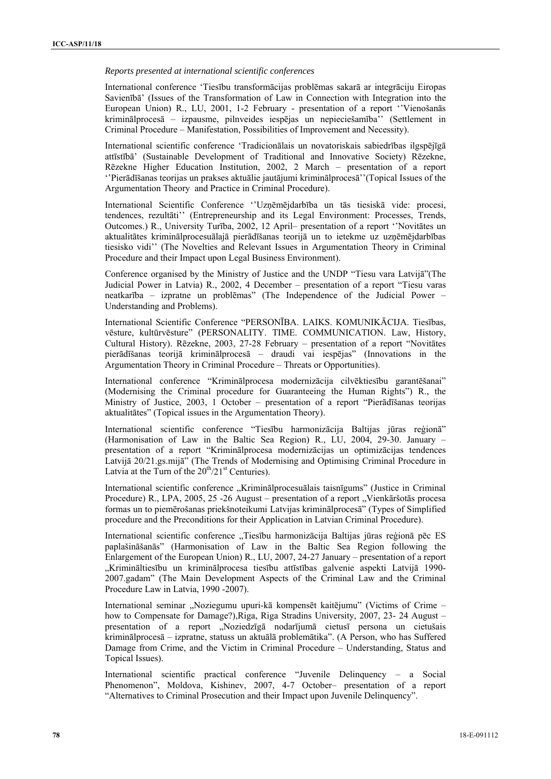### *Reports presented at international scientific conferences*

International conference 'Tiesību transformācijas problēmas sakarā ar integrāciju Eiropas Savienībā' (Issues of the Transformation of Law in Connection with Integration into the European Union) R., LU, 2001, 1-2 February - presentation of a report ''Vienošanās kriminālprocesā – izpausme, pilnveides iespējas un nepieciešamība'' (Settlement in Criminal Procedure – Manifestation, Possibilities of Improvement and Necessity).

International scientific conference 'Tradicionālais un novatoriskais sabiedrības ilgspējīgā attīstībā' (Sustainable Development of Traditional and Innovative Society) Rēzekne, Rēzekne Higher Education Institution, 2002, 2 March – presentation of a report ''Pierādīšanas teorijas un prakses aktuālie jautājumi kriminālprocesā''(Topical Issues of the Argumentation Theory and Practice in Criminal Procedure).

International Scientific Conference ''Uzņēmējdarbība un tās tiesiskā vide: procesi, tendences, rezultāti'' (Entrepreneurship and its Legal Environment: Processes, Trends, Outcomes.) R., University Turība, 2002, 12 April– presentation of a report ''Novitātes un aktualitātes kriminālprocesuālajā pierādīšanas teorijā un to ietekme uz uzņēmējdarbības tiesisko vidi'' (The Novelties and Relevant Issues in Argumentation Theory in Criminal Procedure and their Impact upon Legal Business Environment).

Conference organised by the Ministry of Justice and the UNDP "Tiesu vara Latvijā"(The Judicial Power in Latvia) R., 2002, 4 December – presentation of a report "Tiesu varas neatkarība – izpratne un problēmas" (The Independence of the Judicial Power – Understanding and Problems).

International Scientific Conference "PERSONĪBA. LAIKS. KOMUNIKĀCIJA. Tiesības, vēsture, kultūrvēsture" (PERSONALITY. TIME. COMMUNICATION. Law, History, Cultural History). Rēzekne, 2003, 27-28 February – presentation of a report "Novitātes pierādīšanas teorijā kriminālprocesā – draudi vai iespējas" (Innovations in the Argumentation Theory in Criminal Procedure – Threats or Opportunities).

International conference "Kriminālprocesa modernizācija cilvēktiesību garantēšanai" (Modernising the Criminal procedure for Guaranteeing the Human Rights") R., the Ministry of Justice, 2003, 1 October – presentation of a report "Pierādīšanas teorijas aktualitātes" (Topical issues in the Argumentation Theory).

International scientific conference "Tiesību harmonizācija Baltijas jūras reģionā" (Harmonisation of Law in the Baltic Sea Region) R., LU, 2004, 29-30. January – presentation of a report "Kriminālprocesa modernizācijas un optimizācijas tendences Latvijā 20/21.gs.mijā" (The Trends of Modernising and Optimising Criminal Procedure in Latvia at the Turn of the  $20^{th}/21^{st}$  Centuries).

International scientific conference "Kriminālprocesuālais taisnīgums" (Justice in Criminal Procedure) R., LPA, 2005, 25 -26 August – presentation of a report "Vienkāršotās procesa formas un to piemērošanas priekšnoteikumi Latvijas kriminālprocesā" (Types of Simplified procedure and the Preconditions for their Application in Latvian Criminal Procedure).

International scientific conference "Tiesību harmonizācija Baltijas jūras reģionā pēc ES paplašināšanās" (Harmonisation of Law in the Baltic Sea Region following the Enlargement of the European Union) R., LU, 2007, 24-27 January – presentation of a report "Krimināltiesību un kriminālprocesa tiesību attīstības galvenie aspekti Latvijā 1990-2007.gadam" (The Main Development Aspects of the Criminal Law and the Criminal Procedure Law in Latvia, 1990 -2007).

International seminar "Noziegumu upuri-kā kompensēt kaitējumu" (Victims of Crime – how to Compensate for Damage?),Riga, Riga Stradins University, 2007, 23- 24 August – presentation of a report "Noziedzīgā nodarījumā cietusī persona un cietušais kriminālprocesā – izpratne, statuss un aktuālā problemātika". (A Person, who has Suffered Damage from Crime, and the Victim in Criminal Procedure – Understanding, Status and Topical Issues).

International scientific practical conference "Juvenile Delinquency – a Social Phenomenon", Moldova, Kishinev, 2007, 4-7 October– presentation of a report "Alternatives to Criminal Prosecution and their Impact upon Juvenile Delinquency".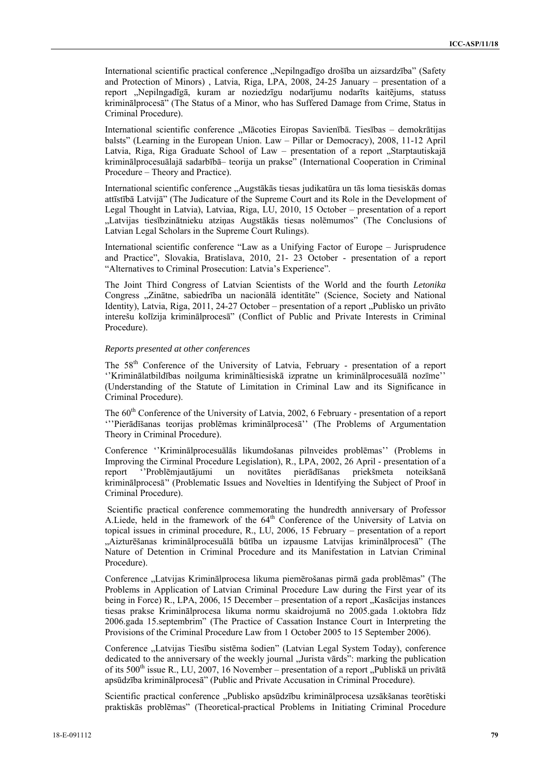International scientific practical conference "Nepilngadīgo drošība un aizsardzība" (Safety and Protection of Minors) , Latvia, Riga, LPA, 2008, 24-25 January – presentation of a report "Nepilngadīgā, kuram ar noziedzīgu nodarījumu nodarīts kaitējums, statuss kriminālprocesā" (The Status of a Minor, who has Suffered Damage from Crime, Status in Criminal Procedure).

International scientific conference "Mācoties Eiropas Savienībā. Tiesības – demokrātijas balsts" (Learning in the European Union. Law – Pillar or Democracy), 2008, 11-12 April Latvia, Riga, Riga Graduate School of Law - presentation of a report "Starptautiskajā kriminālprocesuālajā sadarbībā– teorija un prakse" (International Cooperation in Criminal Procedure – Theory and Practice).

International scientific conference "Augstākās tiesas judikatūra un tās loma tiesiskās domas attīstībā Latvijā" (The Judicature of the Supreme Court and its Role in the Development of Legal Thought in Latvia), Latviaa, Riga, LU, 2010, 15 October – presentation of a report "Latvijas tiesībzinātnieku atziņas Augstākās tiesas nolēmumos" (The Conclusions of Latvian Legal Scholars in the Supreme Court Rulings).

International scientific conference "Law as a Unifying Factor of Europe – Jurisprudence and Practice", Slovakia, Bratislava, 2010, 21- 23 October - presentation of a report "Alternatives to Criminal Prosecution: Latvia's Experience".

The Joint Third Congress of Latvian Scientists of the World and the fourth *Letonika*  Congress "Zinātne, sabiedrība un nacionālā identitāte" (Science, Society and National Identity), Latvia, Riga, 2011, 24-27 October – presentation of a report "Publisko un privāto interešu kolīzija kriminālprocesā" (Conflict of Public and Private Interests in Criminal Procedure).

### *Reports presented at other conferences*

The 58<sup>th</sup> Conference of the University of Latvia, February - presentation of a report ''Kriminālatbildības noilguma krimināltiesiskā izpratne un kriminālprocesuālā nozīme'' (Understanding of the Statute of Limitation in Criminal Law and its Significance in Criminal Procedure).

The 60<sup>th</sup> Conference of the University of Latvia, 2002, 6 February - presentation of a report '''Pierādīšanas teorijas problēmas kriminālprocesā'' (The Problems of Argumentation Theory in Criminal Procedure).

Conference ''Kriminālprocesuālās likumdošanas pilnveides problēmas'' (Problems in Improving the Cirminal Procedure Legislation), R., LPA, 2002, 26 April - presentation of a report ''Problēmjautājumi un novitātes pierādīšanas priekšmeta noteikšanā kriminālprocesā'' (Problematic Issues and Novelties in Identifying the Subject of Proof in Criminal Procedure).

 Scientific practical conference commemorating the hundredth anniversary of Professor A.Liede, held in the framework of the  $64<sup>th</sup>$  Conference of the University of Latvia on topical issues in criminal procedure, R., LU, 2006, 15 February – presentation of a report "Aizturēšanas kriminālprocesuālā būtība un izpausme Latvijas kriminālprocesā" (The Nature of Detention in Criminal Procedure and its Manifestation in Latvian Criminal Procedure).

Conference "Latvijas Kriminālprocesa likuma piemērošanas pirmā gada problēmas" (The Problems in Application of Latvian Criminal Procedure Law during the First year of its being in Force) R., LPA, 2006, 15 December – presentation of a report "Kasācijas instances tiesas prakse Kriminālprocesa likuma normu skaidrojumā no 2005.gada 1.oktobra līdz 2006.gada 15.septembrim" (The Practice of Cassation Instance Court in Interpreting the Provisions of the Criminal Procedure Law from 1 October 2005 to 15 September 2006).

Conference "Latvijas Tiesību sistēma šodien" (Latvian Legal System Today), conference dedicated to the anniversary of the weekly journal "Jurista vārds": marking the publication of its 500<sup>th</sup> issue R., LU, 2007, 16 November – presentation of a report "Publiskā un privātā apsūdzība kriminālprocesā" (Public and Private Accusation in Criminal Procedure).

Scientific practical conference "Publisko apsūdzību kriminālprocesa uzsākšanas teorētiski praktiskās problēmas" (Theoretical-practical Problems in Initiating Criminal Procedure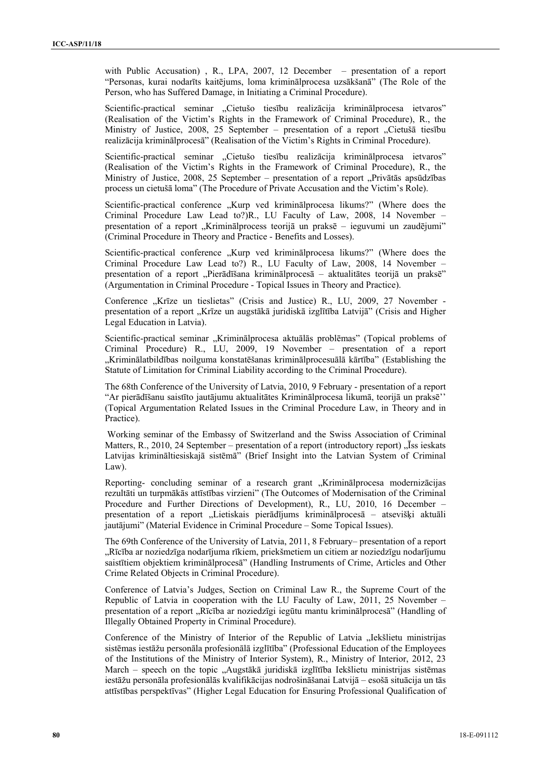with Public Accusation) , R., LPA, 2007, 12 December – presentation of a report "Personas, kurai nodarīts kaitējums, loma kriminālprocesa uzsākšanā" (The Role of the Person, who has Suffered Damage, in Initiating a Criminal Procedure).

Scientific-practical seminar "Cietušo tiesību realizācija kriminālprocesa ietvaros" (Realisation of the Victim's Rights in the Framework of Criminal Procedure), R., the Ministry of Justice, 2008, 25 September – presentation of a report "Cietušā tiesību realizācija kriminālprocesā" (Realisation of the Victim's Rights in Criminal Procedure).

Scientific-practical seminar "Cietušo tiesību realizācija kriminālprocesa ietvaros" (Realisation of the Victim's Rights in the Framework of Criminal Procedure), R., the Ministry of Justice, 2008, 25 September – presentation of a report "Privātās apsūdzības process un cietušā loma" (The Procedure of Private Accusation and the Victim's Role).

Scientific-practical conference "Kurp ved kriminālprocesa likums?" (Where does the Criminal Procedure Law Lead to?)R., LU Faculty of Law, 2008, 14 November – presentation of a report "Kriminālprocess teorijā un praksē – ieguvumi un zaudējumi" (Criminal Procedure in Theory and Practice - Benefits and Losses).

Scientific-practical conference "Kurp ved kriminālprocesa likums?" (Where does the Criminal Procedure Law Lead to?) R., LU Faculty of Law, 2008, 14 November – presentation of a report "Pierādīšana kriminālprocesā – aktualitātes teorijā un praksē" (Argumentation in Criminal Procedure - Topical Issues in Theory and Practice).

Conference "Krīze un tieslietas" (Crisis and Justice) R., LU, 2009, 27 November presentation of a report "Krīze un augstākā juridiskā izglītība Latvijā" (Crisis and Higher Legal Education in Latvia).

Scientific-practical seminar "Kriminālprocesa aktuālās problēmas" (Topical problems of Criminal Procedure) R., LU, 2009, 19 November – presentation of a report "Kriminālatbildības noilguma konstatēšanas kriminālprocesuālā kārtība" (Establishing the Statute of Limitation for Criminal Liability according to the Criminal Procedure).

The 68th Conference of the University of Latvia, 2010, 9 February - presentation of a report "Ar pierādīšanu saistīto jautājumu aktualitātes Kriminālprocesa likumā, teorijā un praksē'' (Topical Argumentation Related Issues in the Criminal Procedure Law, in Theory and in Practice).

 Working seminar of the Embassy of Switzerland and the Swiss Association of Criminal Matters, R., 2010, 24 September – presentation of a report (introductory report)  $\overline{S}$  is ieskats Latvijas krimināltiesiskajā sistēmā" (Brief Insight into the Latvian System of Criminal Law).

Reporting- concluding seminar of a research grant "Kriminālprocesa modernizācijas" rezultāti un turpmākās attīstības virzieni" (The Outcomes of Modernisation of the Criminal Procedure and Further Directions of Development), R., LU, 2010, 16 December – presentation of a report "Lietiskais pierādījums kriminālprocesā – atsevišķi aktuāli jautājumi" (Material Evidence in Criminal Procedure – Some Topical Issues).

The 69th Conference of the University of Latvia, 2011, 8 February– presentation of a report "Rīcība ar noziedzīga nodarījuma rīkiem, priekšmetiem un citiem ar noziedzīgu nodarījumu saistītiem objektiem kriminālprocesā" (Handling Instruments of Crime, Articles and Other Crime Related Objects in Criminal Procedure).

Conference of Latvia's Judges, Section on Criminal Law R., the Supreme Court of the Republic of Latvia in cooperation with the LU Faculty of Law, 2011, 25 November – presentation of a report "Rīcība ar noziedzīgi iegūtu mantu kriminālprocesā" (Handling of Illegally Obtained Property in Criminal Procedure).

Conference of the Ministry of Interior of the Republic of Latvia "Iekšlietu ministrijas sistēmas iestāžu personāla profesionālā izglītība" (Professional Education of the Employees of the Institutions of the Ministry of Interior System), R., Ministry of Interior, 2012, 23 March – speech on the topic "Augstākā juridiskā izglītība Iekšlietu ministrijas sistēmas iestāžu personāla profesionālās kvalifikācijas nodrošināšanai Latvijā – esošā situācija un tās attīstības perspektīvas" (Higher Legal Education for Ensuring Professional Qualification of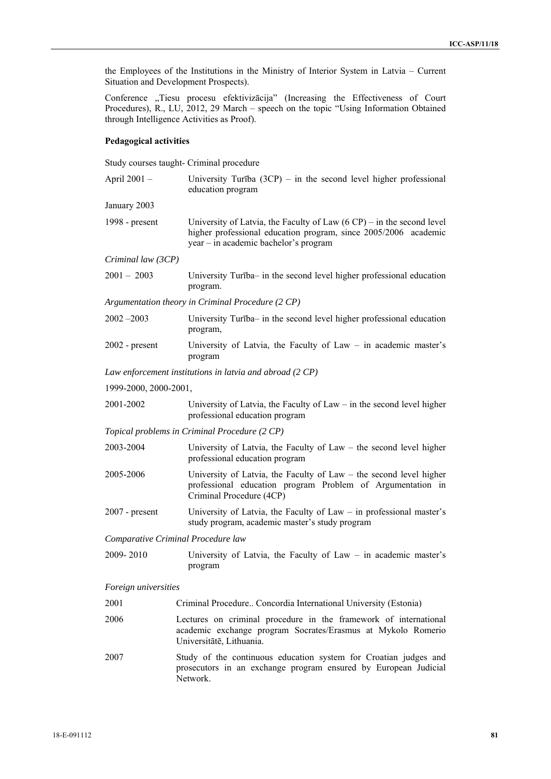the Employees of the Institutions in the Ministry of Interior System in Latvia – Current Situation and Development Prospects).

Conference "Tiesu procesu efektivizācija" (Increasing the Effectiveness of Court Procedures), R., LU, 2012, 29 March – speech on the topic "Using Information Obtained through Intelligence Activities as Proof).

# **Pedagogical activities**

Study courses taught- Criminal procedure

Network.

| April 2001 -          | University Turība $(3CP)$ – in the second level higher professional<br>education program                                                                                                    |
|-----------------------|---------------------------------------------------------------------------------------------------------------------------------------------------------------------------------------------|
| January 2003          |                                                                                                                                                                                             |
| 1998 - present        | University of Latvia, the Faculty of Law $(6 \text{ CP})$ – in the second level<br>higher professional education program, since 2005/2006 academic<br>year – in academic bachelor's program |
| Criminal law (3CP)    |                                                                                                                                                                                             |
| $2001 - 2003$         | University Turība- in the second level higher professional education<br>program.                                                                                                            |
|                       | Argumentation theory in Criminal Procedure (2 CP)                                                                                                                                           |
| $2002 - 2003$         | University Turība- in the second level higher professional education<br>program,                                                                                                            |
| $2002$ - present      | University of Latvia, the Faculty of Law $-$ in academic master's<br>program                                                                                                                |
|                       | Law enforcement institutions in latvia and abroad (2 CP)                                                                                                                                    |
| 1999-2000, 2000-2001, |                                                                                                                                                                                             |
| 2001-2002             | University of Latvia, the Faculty of $Law - in$ the second level higher<br>professional education program                                                                                   |
|                       | Topical problems in Criminal Procedure (2 CP)                                                                                                                                               |
| 2003-2004             | University of Latvia, the Faculty of Law $-$ the second level higher<br>professional education program                                                                                      |
| 2005-2006             | University of Latvia, the Faculty of Law – the second level higher<br>professional education program Problem of Argumentation in<br>Criminal Procedure (4CP)                                |
| $2007$ - present      | University of Latvia, the Faculty of $Law - in$ professional master's<br>study program, academic master's study program                                                                     |
|                       | Comparative Criminal Procedure law                                                                                                                                                          |
| 2009-2010             | University of Latvia, the Faculty of Law $-$ in academic master's<br>program                                                                                                                |
| Foreign universities  |                                                                                                                                                                                             |
| 2001                  | Criminal Procedure Concordia International University (Estonia)                                                                                                                             |
| 2006                  | Lectures on criminal procedure in the framework of international<br>academic exchange program Socrates/Erasmus at Mykolo Romerio<br>Universitātē, Lithuania.                                |
| 2007                  | Study of the continuous education system for Croatian judges and<br>prosecutors in an exchange program ensured by European Judicial                                                         |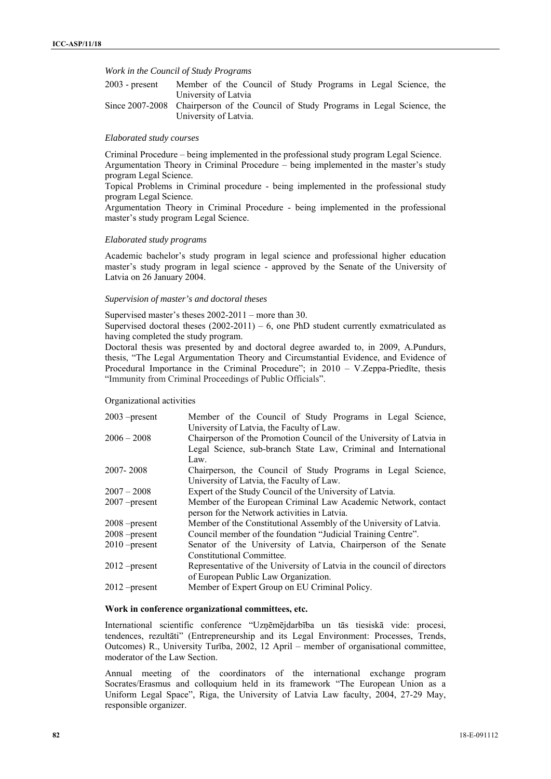### *Work in the Council of Study Programs*

| $2003$ - present | Member of the Council of Study Programs in Legal Science, the                      |
|------------------|------------------------------------------------------------------------------------|
|                  | University of Latvia                                                               |
|                  | Since 2007-2008 Chairperson of the Council of Study Programs in Legal Science, the |
|                  | University of Latvia.                                                              |

#### *Elaborated study courses*

Criminal Procedure – being implemented in the professional study program Legal Science. Argumentation Theory in Criminal Procedure – being implemented in the master's study program Legal Science.

Topical Problems in Criminal procedure - being implemented in the professional study program Legal Science.

Argumentation Theory in Criminal Procedure - being implemented in the professional master's study program Legal Science.

## *Elaborated study programs*

Academic bachelor's study program in legal science and professional higher education master's study program in legal science - approved by the Senate of the University of Latvia on 26 January 2004.

### *Supervision of master's and doctoral theses*

Supervised master's theses 2002-2011 – more than 30.

Supervised doctoral theses  $(2002-2011) - 6$ , one PhD student currently exmatriculated as having completed the study program.

Doctoral thesis was presented by and doctoral degree awarded to, in 2009, A.Pundurs, thesis, "The Legal Argumentation Theory and Circumstantial Evidence, and Evidence of Procedural Importance in the Criminal Procedure"; in 2010 – V.Zeppa-Priedīte, thesis "Immunity from Criminal Proceedings of Public Officials".

### Organizational activities

| $2003$ -present | Member of the Council of Study Programs in Legal Science,              |
|-----------------|------------------------------------------------------------------------|
|                 | University of Latvia, the Faculty of Law.                              |
| $2006 - 2008$   | Chairperson of the Promotion Council of the University of Latvia in    |
|                 | Legal Science, sub-branch State Law, Criminal and International        |
|                 | Law.                                                                   |
| 2007-2008       | Chairperson, the Council of Study Programs in Legal Science,           |
|                 | University of Latvia, the Faculty of Law.                              |
| $2007 - 2008$   | Expert of the Study Council of the University of Latvia.               |
| $2007$ -present | Member of the European Criminal Law Academic Network, contact          |
|                 | person for the Network activities in Latvia.                           |
| 2008 – present  | Member of the Constitutional Assembly of the University of Latvia.     |
| $2008$ -present | Council member of the foundation "Judicial Training Centre".           |
| $2010$ -present | Senator of the University of Latvia, Chairperson of the Senate         |
|                 | Constitutional Committee.                                              |
| 2012 – present  | Representative of the University of Latvia in the council of directors |
|                 | of European Public Law Organization.                                   |
| $2012$ -present | Member of Expert Group on EU Criminal Policy.                          |
|                 |                                                                        |

# **Work in conference organizational committees, etc.**

International scientific conference "Uzņēmējdarbība un tās tiesiskā vide: procesi, tendences, rezultāti" (Entrepreneurship and its Legal Environment: Processes, Trends, Outcomes) R., University Turība, 2002, 12 April – member of organisational committee, moderator of the Law Section.

Annual meeting of the coordinators of the international exchange program Socrates/Erasmus and colloquium held in its framework "The European Union as a Uniform Legal Space", Riga, the University of Latvia Law faculty, 2004, 27-29 May, responsible organizer.